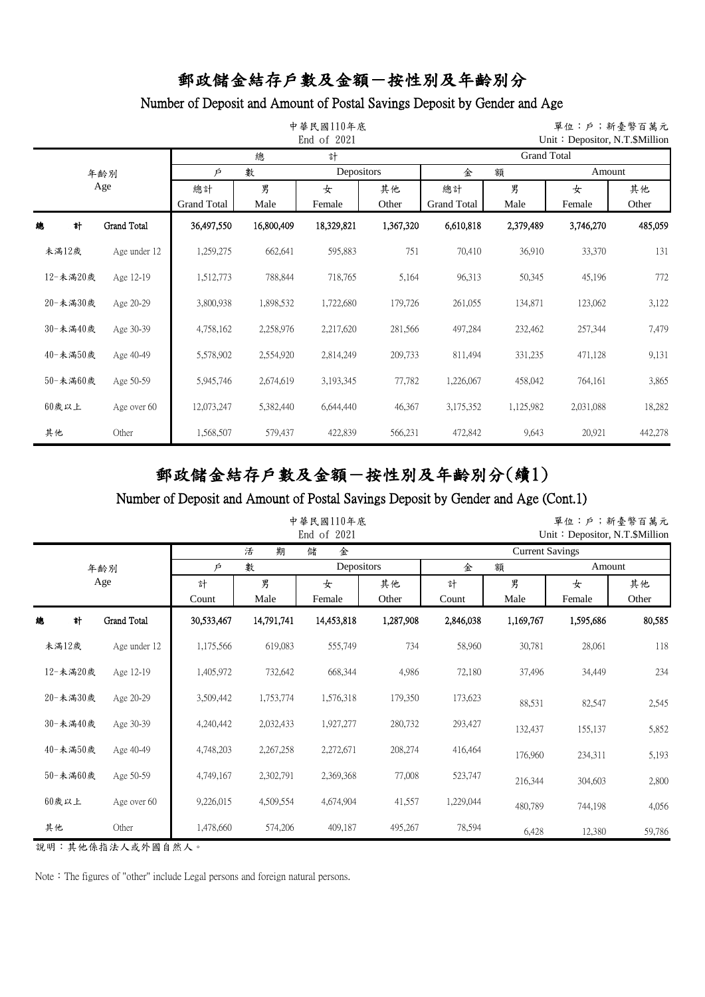## Number of Deposit and Amount of Postal Savings Deposit by Gender and Age

|    |          |              |             | 中華民國110年底  | 單位:戶;新臺幣百萬元<br>Unit: Depositor, N.T. \$Million |           |                    |           |           |         |  |  |
|----|----------|--------------|-------------|------------|------------------------------------------------|-----------|--------------------|-----------|-----------|---------|--|--|
|    |          |              |             | 總          | 計                                              |           | <b>Grand Total</b> |           |           |         |  |  |
|    |          | 年齢別          | Þ           | 數          | Depositors                                     |           | 金                  | 額         | Amount    |         |  |  |
|    |          | Age          | 總計          | 男          | 女                                              | 其他        | 總計                 | 男         | 女         | 其他      |  |  |
|    |          |              | Grand Total | Male       | Female                                         | Other     | Grand Total        | Male      | Female    | Other   |  |  |
| 總  | 計        | Grand Total  | 36,497,550  | 16,800,409 | 18,329,821                                     | 1,367,320 | 6,610,818          | 2,379,489 | 3,746,270 | 485,059 |  |  |
|    | 未滿12歲    | Age under 12 | 1,259,275   | 662,641    | 595,883                                        | 751       | 70,410             | 36,910    | 33,370    | 131     |  |  |
|    | 12-未滿20歲 | Age 12-19    | 1,512,773   | 788,844    | 718,765                                        | 5,164     | 96,313             | 50,345    | 45,196    | 772     |  |  |
|    | 20-未満30歲 | Age 20-29    | 3,800,938   | 1,898,532  | 1,722,680                                      | 179,726   | 261,055            | 134,871   | 123,062   | 3,122   |  |  |
|    | 30-未満40歲 | Age 30-39    | 4,758,162   | 2,258,976  | 2,217,620                                      | 281,566   | 497,284            | 232,462   | 257,344   | 7,479   |  |  |
|    | 40-未満50歲 | Age 40-49    | 5,578,902   | 2,554,920  | 2,814,249                                      | 209,733   | 811,494            | 331,235   | 471,128   | 9,131   |  |  |
|    | 50-未満60歲 | Age 50-59    | 5,945,746   | 2,674,619  | 3,193,345                                      | 77,782    | 1,226,067          | 458,042   | 764,161   | 3,865   |  |  |
|    | $60$ 歲以上 | Age over 60  | 12,073,247  | 5,382,440  | 6,644,440                                      | 46,367    | 3,175,352          | 1,125,982 | 2,031,088 | 18,282  |  |  |
| 其他 |          | Other        | 1,568,507   | 579,437    | 422,839                                        | 566,231   | 472,842            | 9,643     | 20,921    | 442,278 |  |  |

郵政儲金結存戶數及金額-按性別及年齡別分(續1)

### Number of Deposit and Amount of Postal Savings Deposit by Gender and Age (Cont.1)

|          |                    |            | 中華民國110年底  | 單位:戶;新臺幣百萬元<br>Unit: Depositor, N.T.\$Million |             |                        |           |             |             |  |  |
|----------|--------------------|------------|------------|-----------------------------------------------|-------------|------------------------|-----------|-------------|-------------|--|--|
|          |                    |            | 期<br>活     | 儲<br>金                                        |             | <b>Current Savings</b> |           |             |             |  |  |
|          | 年齢別                | Þ          | 數          | Depositors                                    |             | 金<br>額                 |           | Amount      |             |  |  |
| Age      |                    | 計<br>Count | 男<br>Male  | 女<br>Female                                   | 其他<br>Other | 計<br>Count             | 男<br>Male | 女<br>Female | 其他<br>Other |  |  |
| 計<br>總   | <b>Grand Total</b> | 30,533,467 | 14,791,741 | 14,453,818                                    | 1,287,908   | 2,846,038              | 1,169,767 | 1,595,686   | 80,585      |  |  |
| 未滿12歲    | Age under 12       | 1,175,566  | 619,083    | 555,749                                       | 734         | 58,960                 | 30,781    | 28,061      | 118         |  |  |
| 12-未満20歲 | Age 12-19          | 1,405,972  | 732,642    | 668,344                                       | 4,986       | 72,180                 | 37,496    | 34,449      | 234         |  |  |
| 20-未満30歲 | Age 20-29          | 3,509,442  | 1,753,774  | 1,576,318                                     | 179,350     | 173,623                | 88,531    | 82,547      | 2,545       |  |  |
| 30-未滿40歲 | Age 30-39          | 4,240,442  | 2,032,433  | 1,927,277                                     | 280,732     | 293,427                | 132,437   | 155,137     | 5,852       |  |  |
| 40-未満50歲 | Age 40-49          | 4,748,203  | 2,267,258  | 2,272,671                                     | 208,274     | 416,464                | 176,960   | 234,311     | 5,193       |  |  |
| 50-未満60歲 | Age 50-59          | 4,749,167  | 2,302,791  | 2,369,368                                     | 77,008      | 523,747                | 216,344   | 304,603     | 2,800       |  |  |
| $60$ 歲以上 | Age over 60        | 9,226,015  | 4,509,554  | 4,674,904                                     | 41,557      | 1,229,044              | 480,789   | 744,198     | 4,056       |  |  |
| 其他       | Other              | 1,478,660  | 574,206    | 409,187                                       | 495,267     | 78,594                 | 6,428     | 12,380      | 59,786      |  |  |

說明:其他係指法人或外國自然人。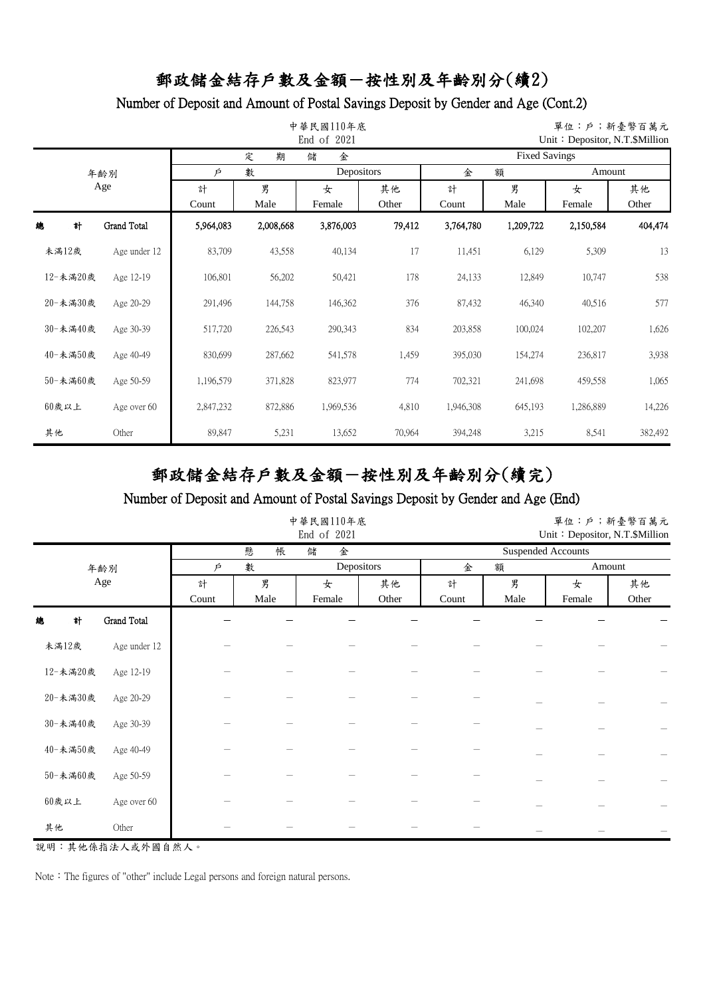## Number of Deposit and Amount of Postal Savings Deposit by Gender and Age (Cont.2)

|    |          |              |           | 單位:戶;新臺幣百萬元<br>Unit: Depositor, N.T. \$Million |            |        |                      |           |           |         |  |  |
|----|----------|--------------|-----------|------------------------------------------------|------------|--------|----------------------|-----------|-----------|---------|--|--|
|    |          |              |           | 期<br>定                                         | 金<br>儲     |        | <b>Fixed Savings</b> |           |           |         |  |  |
|    |          | 年齢別          | Þ         | 數                                              | Depositors |        | 金                    | 額         | Amount    |         |  |  |
|    | Age      |              | 計         | 男                                              | 女          | 其他     | 計                    | 男         | 女         | 其他      |  |  |
|    |          |              | Count     | Male                                           | Female     | Other  | Count                | Male      | Female    | Other   |  |  |
| 總  | 計        | Grand Total  | 5,964,083 | 2,008,668                                      | 3,876,003  | 79,412 | 3,764,780            | 1,209,722 | 2,150,584 | 404,474 |  |  |
|    | 未滿12歲    | Age under 12 | 83,709    | 43,558                                         | 40,134     | 17     | 11,451               | 6,129     | 5,309     | 13      |  |  |
|    | 12-未滿20歲 | Age 12-19    | 106,801   | 56,202                                         | 50,421     | 178    | 24,133               | 12,849    | 10,747    | 538     |  |  |
|    | 20-未満30歲 | Age 20-29    | 291,496   | 144,758                                        | 146,362    | 376    | 87,432               | 46,340    | 40,516    | 577     |  |  |
|    | 30-未滿40歲 | Age 30-39    | 517,720   | 226,543                                        | 290,343    | 834    | 203,858              | 100,024   | 102,207   | 1,626   |  |  |
|    | 40-未満50歲 | Age 40-49    | 830,699   | 287,662                                        | 541,578    | 1,459  | 395,030              | 154,274   | 236,817   | 3,938   |  |  |
|    | 50-未満60歲 | Age 50-59    | 1,196,579 | 371,828                                        | 823,977    | 774    | 702,321              | 241,698   | 459,558   | 1,065   |  |  |
|    | $60$ 歲以上 | Age over 60  | 2,847,232 | 872,886                                        | 1,969,536  | 4,810  | 1,946,308            | 645,193   | 1,286,889 | 14,226  |  |  |
| 其他 |          | Other        | 89,847    | 5,231                                          | 13,652     | 70,964 | 394,248              | 3,215     | 8,541     | 382,492 |  |  |

郵政儲金結存戶數及金額-按性別及年齡別分(續完)

### Number of Deposit and Amount of Postal Savings Deposit by Gender and Age (End)

|          |              |       |        | 中華民國110年底<br>End of 2021 |       |        |      | Unit: Depositor, N.T.\$Million | 單位:戶;新臺幣百萬元 |
|----------|--------------|-------|--------|--------------------------|-------|--------|------|--------------------------------|-------------|
|          |              |       | 懸<br>帳 | 儲<br>金                   |       |        |      | <b>Suspended Accounts</b>      |             |
|          | 年齡別          | Þ     | 數      | Depositors               |       | 金<br>額 |      | Amount                         |             |
|          | Age          | 計     | 男      | 女                        | 其他    | 計      | 男    | 女                              | 其他          |
|          |              | Count | Male   | Female                   | Other | Count  | Male | Female                         | Other       |
| 總<br>計   | Grand Total  |       |        |                          |       |        |      |                                |             |
| 未滿12歲    | Age under 12 |       |        |                          |       |        |      |                                |             |
| 12-未満20歲 | Age 12-19    |       |        |                          |       |        |      |                                |             |
| 20-未満30歲 | Age 20-29    |       |        |                          |       |        |      |                                |             |
| 30-未満40歲 | Age 30-39    |       |        |                          |       |        |      |                                |             |
| 40-未満50歲 | Age 40-49    |       |        |                          |       |        |      |                                |             |
| 50-未満60歲 | Age 50-59    |       |        |                          |       |        |      |                                |             |
| $60$ 歲以上 | Age over 60  |       |        |                          |       |        |      |                                |             |
| 其他       | Other        |       |        |                          |       |        |      |                                |             |

說明:其他係指法人或外國自然人。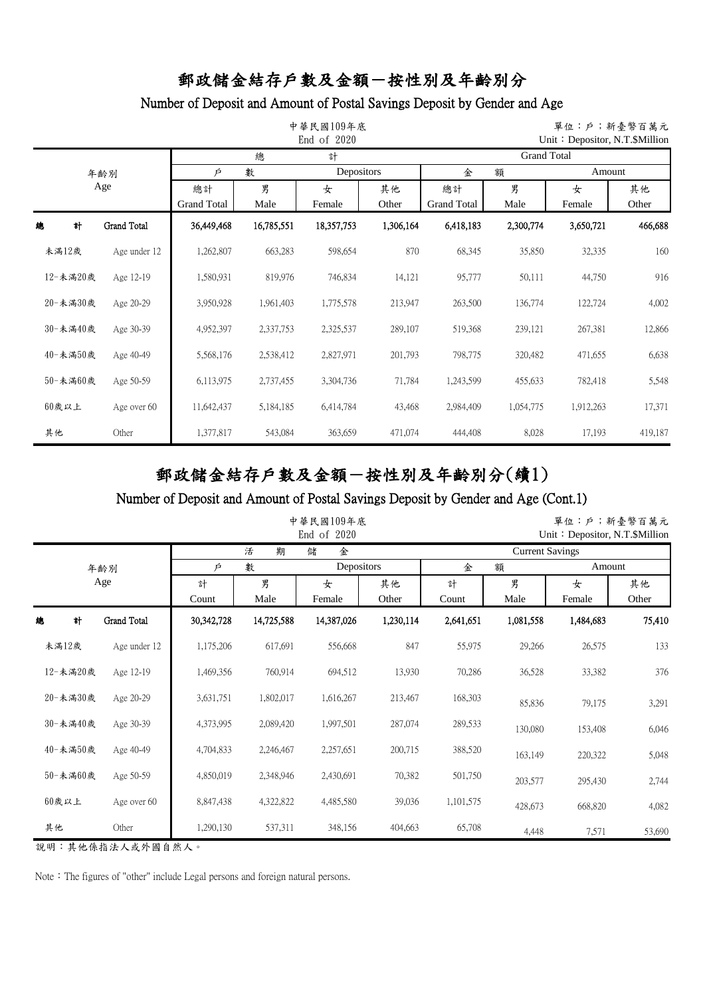## Number of Deposit and Amount of Postal Savings Deposit by Gender and Age

|    |          |              |                    | 中華民國109年底  | 單位:戶;新臺幣百萬元<br>Unit: Depositor, N.T. \$Million |           |                    |           |           |             |  |  |
|----|----------|--------------|--------------------|------------|------------------------------------------------|-----------|--------------------|-----------|-----------|-------------|--|--|
|    |          |              |                    | 總          | 計                                              |           | <b>Grand Total</b> |           |           |             |  |  |
|    |          | 年齢別          | Þ                  | 數          | Depositors                                     |           | 金                  | 額         | Amount    |             |  |  |
|    |          | Age          | 總計                 | 男          | 女                                              | 其他        | 總計                 | 男         | 女         | 其他<br>Other |  |  |
|    |          |              | <b>Grand Total</b> | Male       | Female                                         | Other     | Grand Total        | Male      | Female    |             |  |  |
| 總  | 計        | Grand Total  | 36,449,468         | 16,785,551 | 18,357,753                                     | 1,306,164 | 6,418,183          | 2,300,774 | 3,650,721 | 466,688     |  |  |
|    | 未滿12歲    | Age under 12 | 1,262,807          | 663,283    | 598,654                                        | 870       | 68,345             | 35,850    | 32,335    | 160         |  |  |
|    | 12-未滿20歲 | Age 12-19    | 1,580,931          | 819,976    | 746,834                                        | 14,121    | 95,777             | 50,111    | 44,750    | 916         |  |  |
|    | 20-未満30歲 | Age 20-29    | 3,950,928          | 1,961,403  | 1,775,578                                      | 213,947   | 263,500            | 136,774   | 122,724   | 4,002       |  |  |
|    | 30-未満40歲 | Age 30-39    | 4,952,397          | 2,337,753  | 2,325,537                                      | 289,107   | 519,368            | 239,121   | 267,381   | 12,866      |  |  |
|    | 40-未満50歲 | Age 40-49    | 5,568,176          | 2,538,412  | 2,827,971                                      | 201,793   | 798,775            | 320,482   | 471,655   | 6,638       |  |  |
|    | 50-未満60歲 | Age 50-59    | 6,113,975          | 2,737,455  | 3,304,736                                      | 71,784    | 1,243,599          | 455,633   | 782,418   | 5,548       |  |  |
|    | $60$ 歲以上 | Age over 60  | 11,642,437         | 5,184,185  | 6,414,784                                      | 43,468    | 2,984,409          | 1,054,775 | 1,912,263 | 17,371      |  |  |
| 其他 |          | Other        | 1,377,817          | 543,084    | 363,659                                        | 471,074   | 444,408            | 8,028     | 17,193    | 419,187     |  |  |

郵政儲金結存戶數及金額-按性別及年齡別分(續1)

### Number of Deposit and Amount of Postal Savings Deposit by Gender and Age (Cont.1)

|          |              |            | 中華民國109年底  | 單位:戶;新臺幣百萬元<br>Unit: Depositor, N.T.\$Million |            |                        |           |           |        |  |  |
|----------|--------------|------------|------------|-----------------------------------------------|------------|------------------------|-----------|-----------|--------|--|--|
|          |              |            | 期<br>活     | 金<br>儲                                        |            | <b>Current Savings</b> |           |           |        |  |  |
|          | 年齡別          | Þ          | 數          |                                               | Depositors |                        | 額         | Amount    |        |  |  |
|          | Age          | 計          | 男          | 女                                             | 其他         | 計                      | 男         | 女         | 其他     |  |  |
|          |              | Count      | Male       | Female                                        | Other      | Count                  | Male      | Female    | Other  |  |  |
| 計<br>總   | Grand Total  | 30,342,728 | 14,725,588 | 14,387,026                                    | 1,230,114  | 2,641,651              | 1,081,558 | 1,484,683 | 75,410 |  |  |
| 未満12歲    | Age under 12 | 1,175,206  | 617,691    | 556,668                                       | 847        | 55,975                 | 29,266    | 26,575    | 133    |  |  |
| 12-未満20歲 | Age 12-19    | 1,469,356  | 760,914    | 694,512                                       | 13,930     | 70,286                 | 36,528    | 33,382    | 376    |  |  |
| 20-未満30歲 | Age 20-29    | 3,631,751  | 1,802,017  | 1,616,267                                     | 213,467    | 168,303                | 85,836    | 79,175    | 3,291  |  |  |
| 30-未満40歲 | Age 30-39    | 4,373,995  | 2,089,420  | 1,997,501                                     | 287,074    | 289,533                | 130,080   | 153,408   | 6,046  |  |  |
| 40-未満50歲 | Age 40-49    | 4,704,833  | 2,246,467  | 2,257,651                                     | 200,715    | 388,520                | 163,149   | 220,322   | 5,048  |  |  |
| 50-未満60歲 | Age 50-59    | 4,850,019  | 2,348,946  | 2,430,691                                     | 70,382     | 501,750                | 203,577   | 295,430   | 2,744  |  |  |
| 60歲以上    | Age over 60  | 8,847,438  | 4,322,822  | 4,485,580                                     | 39,036     | 1,101,575              | 428,673   | 668,820   | 4,082  |  |  |
| 其他       | Other        | 1,290,130  | 537,311    | 348,156                                       | 404,663    | 65,708                 | 4,448     | 7,571     | 53,690 |  |  |

說明:其他係指法人或外國自然人。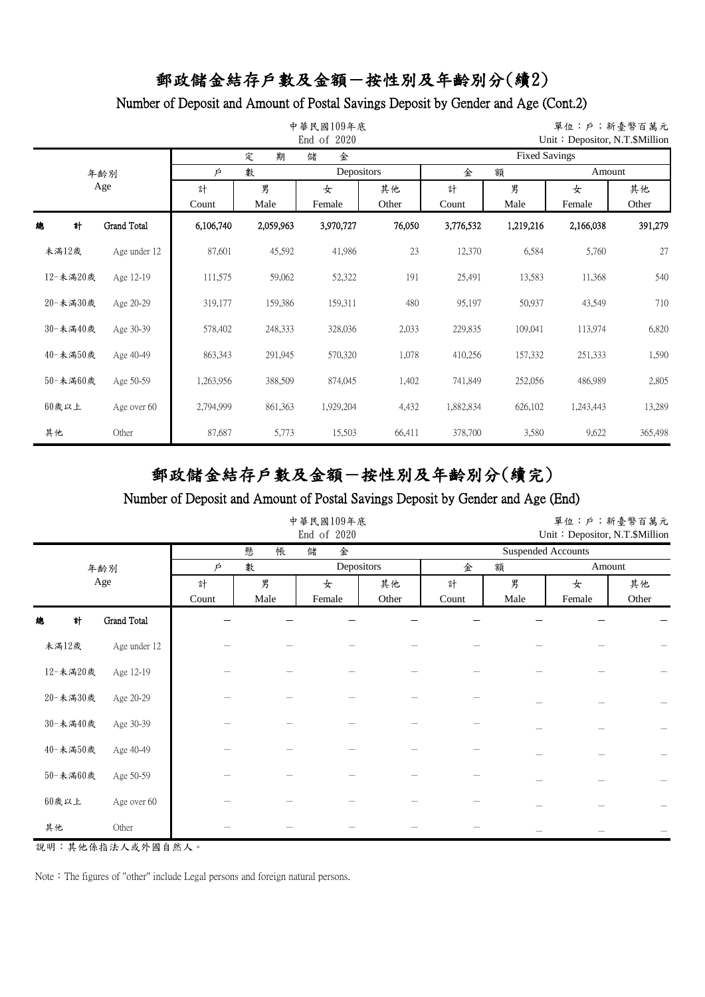## Number of Deposit and Amount of Postal Savings Deposit by Gender and Age (Cont.2)

|    |          |              |           | 單位:戶;新臺幣百萬元<br>Unit: Depositor, N.T. \$Million |           |                 |                      |           |             |         |  |  |
|----|----------|--------------|-----------|------------------------------------------------|-----------|-----------------|----------------------|-----------|-------------|---------|--|--|
|    |          |              |           | 期<br>定                                         | 金<br>儲    |                 | <b>Fixed Savings</b> |           |             |         |  |  |
|    |          | 年齢別          | Þ         | 數                                              |           | Depositors<br>金 |                      |           | 額<br>Amount |         |  |  |
|    | Age      |              | 計         | 男                                              | 女         | 其他              | 計                    | 男         | 女           | 其他      |  |  |
|    |          |              | Count     | Male                                           | Female    | Other           | Count                | Male      | Female      | Other   |  |  |
| 總  | 計        | Grand Total  | 6,106,740 | 2,059,963                                      | 3,970,727 | 76,050          | 3,776,532            | 1,219,216 | 2,166,038   | 391,279 |  |  |
|    | 未満12歲    | Age under 12 | 87,601    | 45,592                                         | 41,986    | 23              | 12,370               | 6,584     | 5,760       | 27      |  |  |
|    | 12-未滿20歲 | Age 12-19    | 111,575   | 59,062                                         | 52,322    | 191             | 25,491               | 13,583    | 11,368      | 540     |  |  |
|    | 20-未満30歲 | Age 20-29    | 319,177   | 159,386                                        | 159,311   | 480             | 95,197               | 50,937    | 43,549      | 710     |  |  |
|    | 30-未滿40歲 | Age 30-39    | 578,402   | 248,333                                        | 328,036   | 2,033           | 229,835              | 109,041   | 113,974     | 6,820   |  |  |
|    | 40-未満50歲 | Age 40-49    | 863,343   | 291,945                                        | 570,320   | 1,078           | 410,256              | 157,332   | 251,333     | 1,590   |  |  |
|    | 50-未満60歲 | Age 50-59    | 1,263,956 | 388,509                                        | 874,045   | 1,402           | 741,849              | 252,056   | 486,989     | 2,805   |  |  |
|    | $60$ 歲以上 | Age over 60  | 2,794,999 | 861,363                                        | 1,929,204 | 4,432           | 1,882,834            | 626,102   | 1,243,443   | 13,289  |  |  |
| 其他 |          | Other        | 87,687    | 5,773                                          | 15,503    | 66,411          | 378,700              | 3,580     | 9,622       | 365,498 |  |  |

郵政儲金結存戶數及金額-按性別及年齡別分(續完)

### Number of Deposit and Amount of Postal Savings Deposit by Gender and Age (End)

|                         |            | 中華民國109年底<br>End of 2020 |             | 單位:戶;新臺幣百萬元<br>Unit: Depositor, N.T.\$Million |            |           |                           |             |
|-------------------------|------------|--------------------------|-------------|-----------------------------------------------|------------|-----------|---------------------------|-------------|
|                         |            | 懸<br>帳                   | 金<br>儲      |                                               |            |           | <b>Suspended Accounts</b> |             |
| 年齡別                     | Þ          | 數                        | Depositors  |                                               | 金<br>額     |           | Amount                    |             |
| Age                     | 計<br>Count | 男<br>Male                | 女<br>Female | 其他<br>Other                                   | 計<br>Count | 男<br>Male | 女<br>Female               | 其他<br>Other |
| 計<br>Grand Total<br>總   |            |                          |             |                                               |            |           |                           |             |
| 未滿12歲<br>Age under 12   |            |                          |             |                                               |            |           |                           |             |
| 12-未満20歲<br>Age 12-19   |            |                          |             |                                               |            |           |                           |             |
| 20-未満30歲<br>Age 20-29   |            |                          |             |                                               |            |           |                           |             |
| 30-未満40歲<br>Age 30-39   |            |                          |             |                                               |            |           |                           |             |
| 40-未満50歲<br>Age 40-49   |            |                          |             |                                               |            |           |                           |             |
| 50-未満60歲<br>Age 50-59   |            |                          |             |                                               |            |           |                           |             |
| $60$ 歲以上<br>Age over 60 |            |                          |             |                                               |            |           |                           |             |
| 其他<br>Other             |            |                          |             |                                               |            |           |                           |             |

說明:其他係指法人或外國自然人。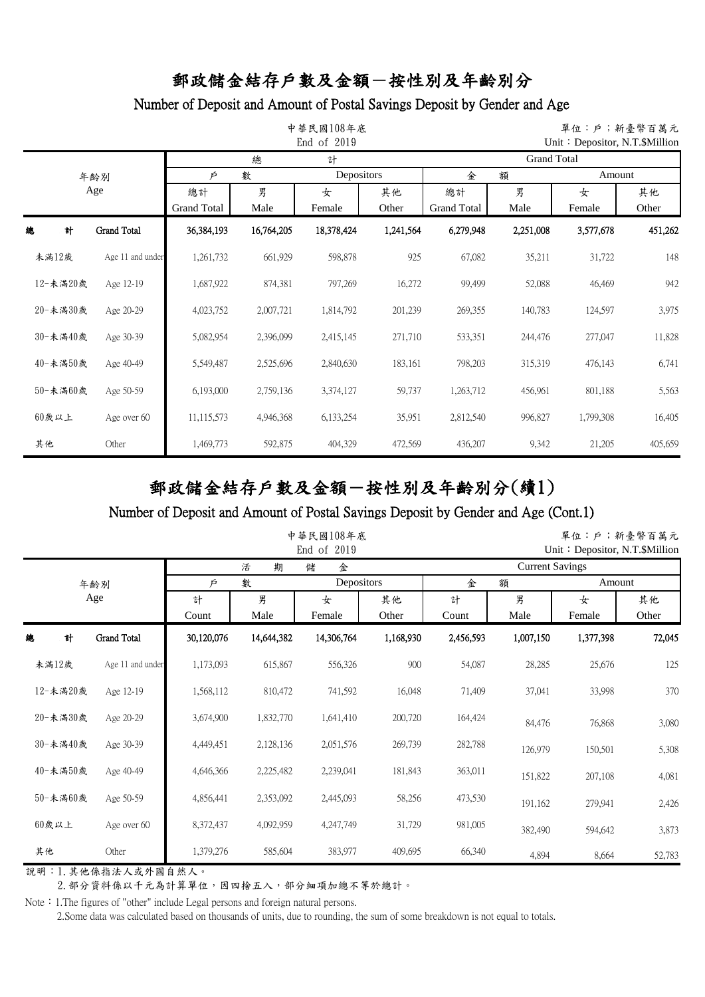#### Number of Deposit and Amount of Postal Savings Deposit by Gender and Age

|          |   |                    |                    | 中華民國108年底  | 單位:戶;新臺幣百萬元<br>Unit: Depositor, N.T. \$Million |            |                    |           |           |         |  |  |
|----------|---|--------------------|--------------------|------------|------------------------------------------------|------------|--------------------|-----------|-----------|---------|--|--|
|          |   |                    |                    | 總          | 計                                              |            | <b>Grand Total</b> |           |           |         |  |  |
|          |   | 年齢別                | 數<br>Þ             |            |                                                | Depositors |                    | 額         | Amount    |         |  |  |
|          |   | Age                | 總計                 | 男          | 女                                              | 其他         | 總計                 | 男         | 女         | 其他      |  |  |
|          |   |                    | <b>Grand Total</b> | Male       | Female                                         | Other      | <b>Grand Total</b> | Male      | Female    | Other   |  |  |
| 總        | 計 | <b>Grand Total</b> | 36,384,193         | 16,764,205 | 18,378,424                                     | 1,241,564  | 6,279,948          | 2,251,008 | 3,577,678 | 451,262 |  |  |
| 未滿12歲    |   | Age 11 and under   | 1,261,732          | 661,929    | 598,878                                        | 925        | 67,082             | 35,211    | 31,722    | 148     |  |  |
| 12-未滿20歲 |   | Age 12-19          | 1,687,922          | 874,381    | 797,269                                        | 16,272     | 99,499             | 52,088    | 46,469    | 942     |  |  |
| 20-未滿30歲 |   | Age 20-29          | 4,023,752          | 2,007,721  | 1,814,792                                      | 201,239    | 269,355            | 140,783   | 124,597   | 3,975   |  |  |
| 30-未滿40歲 |   | Age 30-39          | 5,082,954          | 2,396,099  | 2,415,145                                      | 271,710    | 533,351            | 244,476   | 277,047   | 11,828  |  |  |
| 40-未滿50歲 |   | Age 40-49          | 5,549,487          | 2,525,696  | 2,840,630                                      | 183,161    | 798,203            | 315,319   | 476,143   | 6,741   |  |  |
| 50-未滿60歲 |   | Age 50-59          | 6,193,000          | 2,759,136  | 3,374,127                                      | 59,737     | 1,263,712          | 456,961   | 801,188   | 5,563   |  |  |
| $60$ 歲以上 |   | Age over 60        | 11,115,573         | 4,946,368  | 6,133,254                                      | 35,951     | 2,812,540          | 996,827   | 1,799,308 | 16,405  |  |  |
| 其他       |   | Other              | 1,469,773          | 592,875    | 404,329                                        | 472,569    | 436,207            | 9,342     | 21,205    | 405,659 |  |  |

# 郵政儲金結存戶數及金額-按性別及年齡別分(續1)

#### Number of Deposit and Amount of Postal Savings Deposit by Gender and Age (Cont.1)

|          |                    |            | 中華民國108年底  | 單位:戶;新臺幣百萬元<br>Unit: Depositor, N.T. \$Million |             |                        |           |             |             |  |  |
|----------|--------------------|------------|------------|------------------------------------------------|-------------|------------------------|-----------|-------------|-------------|--|--|
|          |                    |            | 期<br>活     | 金<br>儲                                         |             | <b>Current Savings</b> |           |             |             |  |  |
|          | 年齢別                | Þ          | 數          | Depositors                                     |             | 額<br>金                 |           | Amount      |             |  |  |
| Age      |                    | 計<br>Count | 男<br>Male  | 女<br>Female                                    | 其他<br>Other | 計<br>Count             | 男<br>Male | 女<br>Female | 其他<br>Other |  |  |
| 計<br>總   | <b>Grand Total</b> | 30,120,076 | 14,644,382 | 14,306,764                                     | 1,168,930   | 2,456,593              | 1,007,150 | 1,377,398   | 72,045      |  |  |
| 未滿12歲    | Age 11 and under   | 1,173,093  | 615,867    | 556,326                                        | 900         | 54,087                 | 28,285    | 25,676      | 125         |  |  |
| 12-未滿20歲 | Age 12-19          | 1,568,112  | 810,472    | 741,592                                        | 16,048      | 71,409                 | 37,041    | 33,998      | 370         |  |  |
| 20-未滿30歲 | Age 20-29          | 3,674,900  | 1,832,770  | 1,641,410                                      | 200,720     | 164,424                | 84,476    | 76,868      | 3,080       |  |  |
| 30-未滿40歲 | Age 30-39          | 4,449,451  | 2,128,136  | 2,051,576                                      | 269,739     | 282,788                | 126,979   | 150,501     | 5,308       |  |  |
| 40-未滿50歲 | Age 40-49          | 4,646,366  | 2,225,482  | 2,239,041                                      | 181,843     | 363,011                | 151,822   | 207,108     | 4,081       |  |  |
| 50-未滿60歲 | Age 50-59          | 4,856,441  | 2,353,092  | 2,445,093                                      | 58,256      | 473,530                | 191,162   | 279,941     | 2,426       |  |  |
| $60$ 歲以上 | Age over 60        | 8,372,437  | 4,092,959  | 4,247,749                                      | 31,729      | 981,005                | 382,490   | 594,642     | 3,873       |  |  |
| 其他       | Other              | 1,379,276  | 585,604    | 383,977                                        | 409,695     | 66,340                 | 4,894     | 8,664       | 52,783      |  |  |

說明:1.其他係指法人或外國自然人。

2. 部分資料係以千元為計算單位,因四捨五入,部分細項加總不等於總計。

Note: 1.The figures of "other" include Legal persons and foreign natural persons.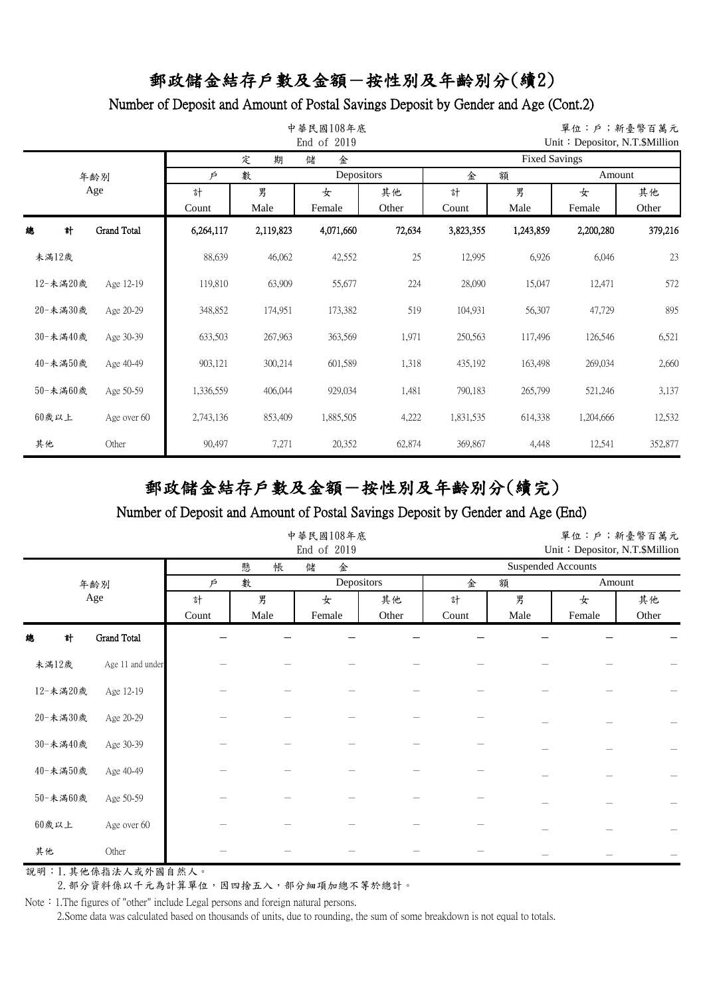#### Number of Deposit and Amount of Postal Savings Deposit by Gender and Age (Cont.2)

|    |          |             |                      | 單位:戶;新臺幣百萬元<br>Unit: Depositor, N.T. \$Million |           |        |                      |           |           |         |  |  |
|----|----------|-------------|----------------------|------------------------------------------------|-----------|--------|----------------------|-----------|-----------|---------|--|--|
|    |          |             |                      | 定<br>期                                         | 金<br>儲    |        | <b>Fixed Savings</b> |           |           |         |  |  |
|    |          | 年齢別         | Depositors<br>數<br>Þ |                                                |           |        | 金<br>Amount<br>額     |           |           |         |  |  |
|    | Age      |             | 計                    | 男                                              | 女         | 其他     | 計                    | 男         | 女         | 其他      |  |  |
|    |          |             | Count                | Male                                           | Female    | Other  | Count                | Male      | Female    | Other   |  |  |
| 總  | 計        | Grand Total | 6,264,117            | 2,119,823                                      | 4,071,660 | 72,634 | 3,823,355            | 1,243,859 | 2,200,280 | 379,216 |  |  |
|    | 未滿12歲    |             | 88,639               | 46,062                                         | 42,552    | 25     | 12,995               | 6,926     | 6,046     | 23      |  |  |
|    | 12-未滿20歲 | Age 12-19   | 119,810              | 63,909                                         | 55,677    | 224    | 28,090               | 15,047    | 12,471    | 572     |  |  |
|    | 20-未滿30歲 | Age 20-29   | 348,852              | 174,951                                        | 173,382   | 519    | 104,931              | 56,307    | 47,729    | 895     |  |  |
|    | 30-未滿40歲 | Age 30-39   | 633,503              | 267,963                                        | 363,569   | 1,971  | 250,563              | 117,496   | 126,546   | 6,521   |  |  |
|    | 40-未滿50歲 | Age 40-49   | 903,121              | 300,214                                        | 601,589   | 1,318  | 435,192              | 163,498   | 269,034   | 2,660   |  |  |
|    | 50-未滿60歲 | Age 50-59   | 1,336,559            | 406,044                                        | 929,034   | 1,481  | 790,183              | 265,799   | 521,246   | 3,137   |  |  |
|    | $60$ 歲以上 | Age over 60 | 2,743,136            | 853,409                                        | 1,885,505 | 4,222  | 1,831,535            | 614,338   | 1,204,666 | 12,532  |  |  |
| 其他 |          | Other       | 90,497               | 7,271                                          | 20,352    | 62,874 | 369,867              | 4,448     | 12,541    | 352,877 |  |  |

# 郵政儲金結存戶數及金額-按性別及年齡別分(續完)

#### Number of Deposit and Amount of Postal Savings Deposit by Gender and Age (End)

|          |                  |            |           | 中華民國108年底<br>End of 2019 |             | 單位:戶;新臺幣百萬元<br>Unit: Depositor, N.T.\$Million |           |             |                          |  |  |
|----------|------------------|------------|-----------|--------------------------|-------------|-----------------------------------------------|-----------|-------------|--------------------------|--|--|
|          |                  |            | 帳<br>懸    | 儲<br>金                   |             | <b>Suspended Accounts</b>                     |           |             |                          |  |  |
|          | 年齢別              | Þ          | 數         | Depositors               |             | 金                                             | 額         |             | Amount                   |  |  |
|          | Age              | 計<br>Count | 男<br>Male | 女<br>Female              | 其他<br>Other | 計<br>Count                                    | 男<br>Male | 女<br>Female | 其他<br>Other              |  |  |
| 計<br>總   | Grand Total      |            |           |                          |             |                                               |           |             |                          |  |  |
| 未滿12歲    | Age 11 and under |            |           |                          |             |                                               |           |             |                          |  |  |
| 12-未滿20歲 | Age 12-19        |            |           |                          |             |                                               |           |             |                          |  |  |
| 20-未満30歲 | Age 20-29        |            |           |                          |             |                                               |           |             |                          |  |  |
| 30-未滿40歲 | Age 30-39        |            |           |                          |             |                                               |           |             | $\overline{\phantom{0}}$ |  |  |
| 40-未滿50歲 | Age 40-49        |            |           |                          |             |                                               |           |             |                          |  |  |
| 50-未滿60歲 | Age 50-59        |            |           |                          |             |                                               |           |             |                          |  |  |
| 60歲以上    | Age over 60      |            |           |                          |             |                                               |           |             |                          |  |  |
| 其他       | Other            |            |           |                          |             |                                               |           |             |                          |  |  |

說明:1.其他係指法人或外國自然人。

2. 部分資料係以千元為計算單位,因四捨五入,部分細項加總不等於總計。

Note: 1.The figures of "other" include Legal persons and foreign natural persons.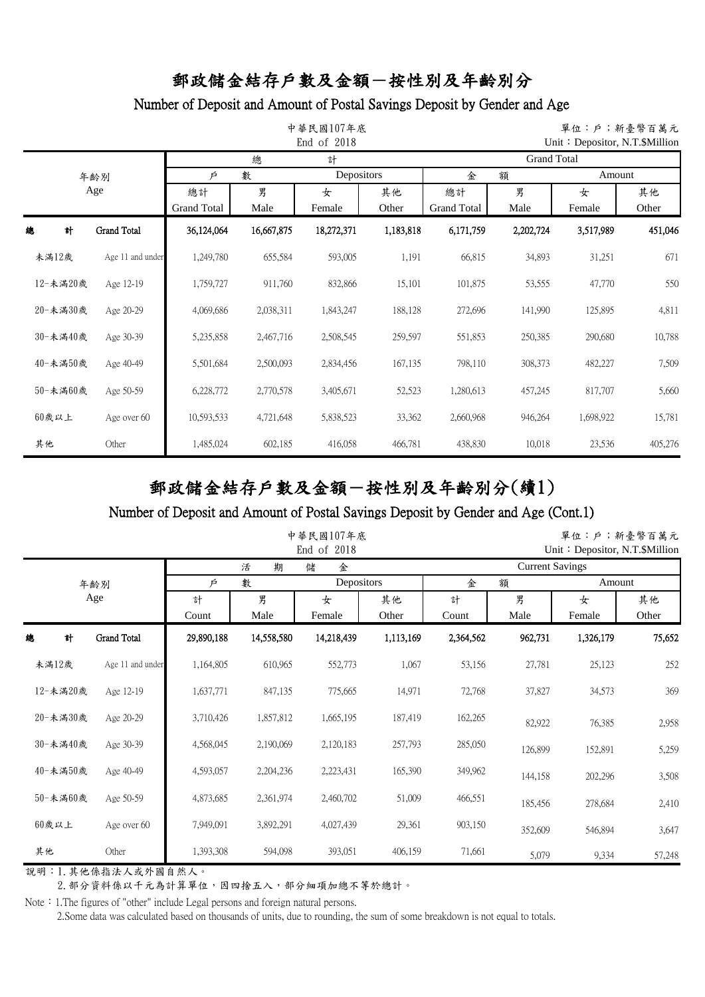#### Number of Deposit and Amount of Postal Savings Deposit by Gender and Age

|          |          |                    |                    | 單位:戶;新臺幣百萬元<br>Unit: Depositor, N.T. \$Million |            |           |                    |           |           |         |  |  |  |
|----------|----------|--------------------|--------------------|------------------------------------------------|------------|-----------|--------------------|-----------|-----------|---------|--|--|--|
|          |          |                    |                    | 總                                              | 計          |           | <b>Grand Total</b> |           |           |         |  |  |  |
|          |          | 年齢別                | Þ                  | 數                                              | Depositors |           | 金                  | 額         |           | Amount  |  |  |  |
|          | Age      |                    | 總計                 | 男                                              | 女          | 其他        | 總計                 | 男         | 女         | 其他      |  |  |  |
|          |          |                    | <b>Grand Total</b> | Male                                           | Female     | Other     | <b>Grand Total</b> | Male      | Female    | Other   |  |  |  |
| 總        | 計        | <b>Grand Total</b> | 36,124,064         | 16,667,875                                     | 18,272,371 | 1,183,818 | 6,171,759          | 2,202,724 | 3,517,989 | 451,046 |  |  |  |
| 未滿12歲    |          | Age 11 and under   | 1,249,780          | 655,584                                        | 593,005    | 1,191     | 66,815             | 34,893    | 31,251    | 671     |  |  |  |
|          | 12-未滿20歲 | Age 12-19          | 1,759,727          | 911,760                                        | 832,866    | 15,101    | 101,875            | 53,555    | 47,770    | 550     |  |  |  |
|          | 20-未滿30歲 | Age 20-29          | 4,069,686          | 2,038,311                                      | 1,843,247  | 188,128   | 272,696            | 141,990   | 125,895   | 4,811   |  |  |  |
|          | 30-未滿40歲 | Age 30-39          | 5,235,858          | 2,467,716                                      | 2,508,545  | 259,597   | 551,853            | 250,385   | 290,680   | 10,788  |  |  |  |
|          | 40-未滿50歲 | Age 40-49          | 5,501,684          | 2,500,093                                      | 2,834,456  | 167,135   | 798,110            | 308,373   | 482,227   | 7,509   |  |  |  |
|          | 50-未滿60歲 | Age 50-59          | 6,228,772          | 2,770,578                                      | 3,405,671  | 52,523    | 1,280,613          | 457,245   | 817,707   | 5,660   |  |  |  |
| $60$ 歲以上 |          | Age over 60        | 10,593,533         | 4,721,648                                      | 5,838,523  | 33,362    | 2,660,968          | 946,264   | 1,698,922 | 15,781  |  |  |  |
| 其他       |          | Other              | 1,485,024          | 602,185                                        | 416,058    | 466,781   | 438,830            | 10,018    | 23,536    | 405,276 |  |  |  |

# 郵政儲金結存戶數及金額-按性別及年齡別分(續1)

#### Number of Deposit and Amount of Postal Savings Deposit by Gender and Age (Cont.1)

|          |                    |            |            | 中華民國107年底<br>End of 2018 |             | 單位:戶;新臺幣百萬元<br>Unit: Depositor, N.T.\$Million |           |             |             |  |
|----------|--------------------|------------|------------|--------------------------|-------------|-----------------------------------------------|-----------|-------------|-------------|--|
|          |                    |            | 期<br>活     | 儲<br>金                   |             | <b>Current Savings</b>                        |           |             |             |  |
|          | 年齢別                | Þ          | 數          | Depositors               |             | 金                                             | 額         |             | Amount      |  |
|          | Age                | 計<br>Count | 男<br>Male  | 女<br>Female              | 其他<br>Other | 計<br>Count                                    | 男<br>Male | 女<br>Female | 其他<br>Other |  |
| 計<br>總   | <b>Grand Total</b> | 29,890,188 | 14,558,580 | 14,218,439               | 1,113,169   | 2,364,562                                     | 962,731   | 1,326,179   | 75,652      |  |
| 未滿12歲    | Age 11 and under   | 1,164,805  | 610,965    | 552,773                  | 1,067       | 53,156                                        | 27,781    | 25,123      | 252         |  |
| 12-未滿20歲 | Age 12-19          | 1,637,771  | 847,135    | 775,665                  | 14,971      | 72,768                                        | 37,827    | 34,573      | 369         |  |
| 20-未滿30歲 | Age 20-29          | 3,710,426  | 1,857,812  | 1,665,195                | 187,419     | 162,265                                       | 82,922    | 76,385      | 2,958       |  |
| 30-未滿40歲 | Age 30-39          | 4,568,045  | 2,190,069  | 2,120,183                | 257,793     | 285,050                                       | 126,899   | 152,891     | 5,259       |  |
| 40-未滿50歲 | Age 40-49          | 4,593,057  | 2,204,236  | 2,223,431                | 165,390     | 349,962                                       | 144,158   | 202,296     | 3,508       |  |
| 50-未滿60歲 | Age 50-59          | 4,873,685  | 2,361,974  | 2,460,702                | 51,009      | 466,551                                       | 185,456   | 278,684     | 2,410       |  |
| $60$ 歲以上 | Age over 60        | 7,949,091  | 3,892,291  | 4,027,439                | 29,361      | 903,150                                       | 352,609   | 546,894     | 3,647       |  |
| 其他       | Other              | 1,393,308  | 594,098    | 393,051                  | 406,159     | 71,661                                        | 5,079     | 9,334       | 57,248      |  |

說明:1.其他係指法人或外國自然人。

2. 部分資料係以千元為計算單位,因四捨五入,部分細項加總不等於總計。

Note: 1.The figures of "other" include Legal persons and foreign natural persons.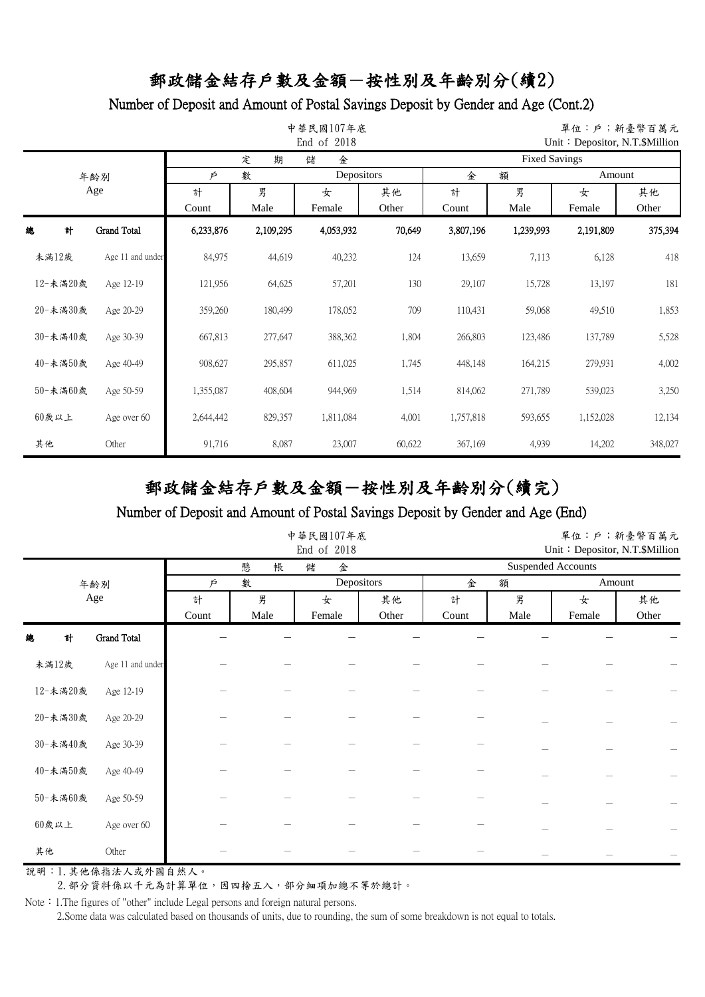#### Number of Deposit and Amount of Postal Savings Deposit by Gender and Age (Cont.2)

|    |          |                    |           | 單位:戶;新臺幣百萬元<br>Unit: Depositor, N.T.\$Million |            |        |                      |           |           |         |  |  |
|----|----------|--------------------|-----------|-----------------------------------------------|------------|--------|----------------------|-----------|-----------|---------|--|--|
|    |          |                    |           | 定<br>期                                        | 儲<br>金     |        | <b>Fixed Savings</b> |           |           |         |  |  |
|    |          | 年齢別                | Þ         | 數                                             | Depositors |        | 金                    | 額         |           | Amount  |  |  |
|    | Age      |                    | 計         | 男                                             | 女          | 其他     | 計                    | 男         | 女         | 其他      |  |  |
|    |          |                    | Count     | Male                                          | Female     | Other  | Count                | Male      | Female    | Other   |  |  |
| 總  | 計        | <b>Grand Total</b> | 6,233,876 | 2,109,295                                     | 4,053,932  | 70,649 | 3,807,196            | 1,239,993 | 2,191,809 | 375,394 |  |  |
|    | 未滿12歲    | Age 11 and under   | 84,975    | 44,619                                        | 40,232     | 124    | 13,659               | 7,113     | 6,128     | 418     |  |  |
|    | 12-未滿20歲 | Age 12-19          | 121,956   | 64,625                                        | 57,201     | 130    | 29,107               | 15,728    | 13,197    | 181     |  |  |
|    | 20-未満30歲 | Age 20-29          | 359,260   | 180,499                                       | 178,052    | 709    | 110,431              | 59,068    | 49,510    | 1,853   |  |  |
|    | 30-未滿40歲 | Age 30-39          | 667,813   | 277,647                                       | 388,362    | 1,804  | 266,803              | 123,486   | 137,789   | 5,528   |  |  |
|    | 40-未滿50歲 | Age 40-49          | 908,627   | 295,857                                       | 611,025    | 1,745  | 448,148              | 164,215   | 279,931   | 4,002   |  |  |
|    | 50-未滿60歲 | Age 50-59          | 1,355,087 | 408,604                                       | 944,969    | 1,514  | 814,062              | 271,789   | 539,023   | 3,250   |  |  |
|    | 60歲以上    | Age over 60        | 2,644,442 | 829,357                                       | 1,811,084  | 4,001  | 1,757,818            | 593,655   | 1,152,028 | 12,134  |  |  |
| 其他 |          | Other              | 91,716    | 8,087                                         | 23,007     | 60,622 | 367,169              | 4,939     | 14,202    | 348,027 |  |  |

# 郵政儲金結存戶數及金額-按性別及年齡別分(續完)

#### Number of Deposit and Amount of Postal Savings Deposit by Gender and Age (End)

|          |                    |            |           | 中華民國107年底<br>End of 2018 |             | 單位:戶;新臺幣百萬元<br>Unit: Depositor, N.T.\$Million |           |             |             |  |
|----------|--------------------|------------|-----------|--------------------------|-------------|-----------------------------------------------|-----------|-------------|-------------|--|
|          |                    |            | 懸<br>帳    | 儲<br>金                   |             | <b>Suspended Accounts</b>                     |           |             |             |  |
|          | 年齢別                | P          | 數         | Depositors               |             | 金<br>額                                        |           | Amount      |             |  |
|          | Age                | 計<br>Count | 男<br>Male | 女<br>Female              | 其他<br>Other | 計<br>Count                                    | 男<br>Male | 女<br>Female | 其他<br>Other |  |
| 計<br>總   | <b>Grand Total</b> |            |           |                          |             |                                               |           |             |             |  |
| 未滿12歲    | Age 11 and under   |            |           |                          |             |                                               |           |             |             |  |
| 12-未滿20歲 | Age 12-19          |            |           |                          |             |                                               |           |             |             |  |
| 20-未満30歲 | Age 20-29          |            |           |                          |             |                                               |           |             |             |  |
| 30-未満40歲 | Age 30-39          |            |           |                          |             |                                               |           |             |             |  |
| 40-未滿50歲 | Age 40-49          |            |           |                          |             |                                               |           |             |             |  |
| 50-未満60歲 | Age 50-59          |            |           |                          |             |                                               |           |             |             |  |
| 60歲以上    | Age over 60        |            |           |                          |             |                                               |           |             |             |  |
| 其他       | Other              |            |           |                          |             |                                               |           |             |             |  |

說明:1.其他係指法人或外國自然人。

2. 部分資料係以千元為計算單位,因四捨五入,部分細項加總不等於總計。

Note: 1.The figures of "other" include Legal persons and foreign natural persons.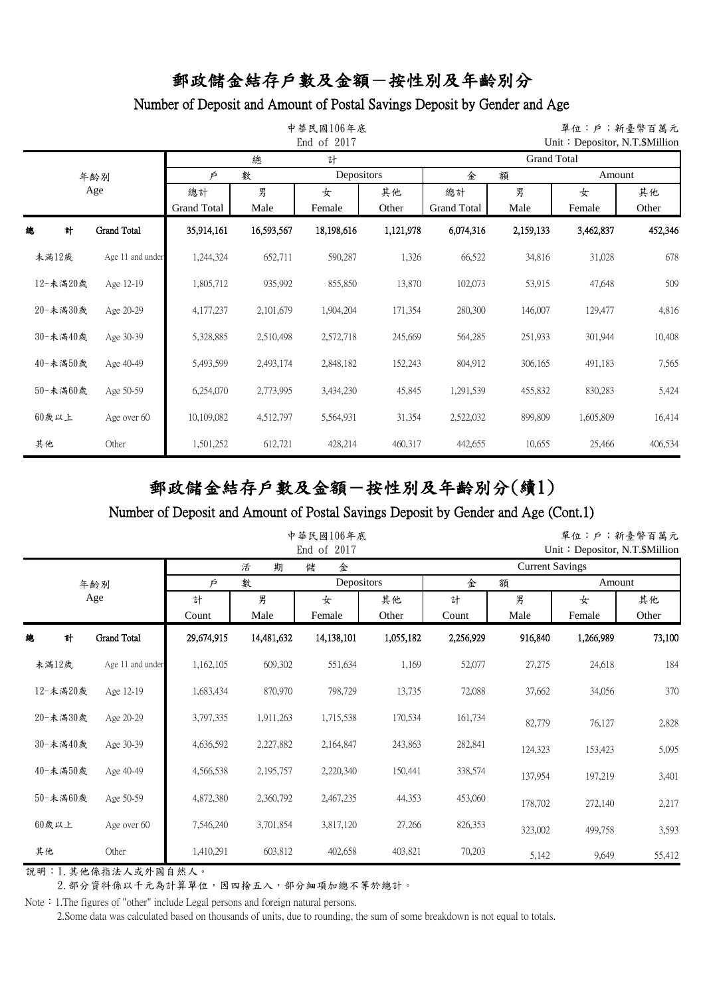#### Number of Deposit and Amount of Postal Savings Deposit by Gender and Age

|    |          |                    |                    | 中華民國106年底  | 單位:戶;新臺幣百萬元<br>Unit: Depositor, N.T. \$Million |           |                    |           |           |         |  |  |  |
|----|----------|--------------------|--------------------|------------|------------------------------------------------|-----------|--------------------|-----------|-----------|---------|--|--|--|
|    |          |                    |                    | 總          | 計                                              |           | <b>Grand Total</b> |           |           |         |  |  |  |
|    |          | 年齢別                | Þ                  | 數          | Depositors                                     |           | 金<br>額             |           | Amount    |         |  |  |  |
|    |          | Age                | 總計                 | 男          | 女                                              | 其他        | 總計                 | 男         | 女         | 其他      |  |  |  |
|    |          |                    | <b>Grand Total</b> | Male       | Female                                         | Other     | <b>Grand Total</b> | Male      | Female    | Other   |  |  |  |
| 總  | 計        | <b>Grand Total</b> | 35,914,161         | 16,593,567 | 18,198,616                                     | 1,121,978 | 6,074,316          | 2,159,133 | 3,462,837 | 452,346 |  |  |  |
|    | 未滿12歲    | Age 11 and under   | 1,244,324          | 652,711    | 590,287                                        | 1,326     | 66,522             | 34,816    | 31,028    | 678     |  |  |  |
|    | 12-未滿20歲 | Age 12-19          | 1,805,712          | 935,992    | 855,850                                        | 13,870    | 102,073            | 53,915    | 47,648    | 509     |  |  |  |
|    | 20-未滿30歲 | Age 20-29          | 4,177,237          | 2,101,679  | 1,904,204                                      | 171,354   | 280,300            | 146,007   | 129,477   | 4,816   |  |  |  |
|    | 30-未滿40歲 | Age 30-39          | 5,328,885          | 2,510,498  | 2,572,718                                      | 245,669   | 564,285            | 251,933   | 301,944   | 10,408  |  |  |  |
|    | 40-未滿50歲 | Age 40-49          | 5,493,599          | 2,493,174  | 2,848,182                                      | 152,243   | 804,912            | 306,165   | 491,183   | 7,565   |  |  |  |
|    | 50-未滿60歲 | Age 50-59          | 6,254,070          | 2,773,995  | 3,434,230                                      | 45,845    | 1,291,539          | 455,832   | 830,283   | 5,424   |  |  |  |
|    | $60$ 歲以上 | Age over 60        | 10,109,082         | 4,512,797  | 5,564,931                                      | 31,354    | 2,522,032          | 899,809   | 1,605,809 | 16,414  |  |  |  |
| 其他 |          | Other              | 1,501,252          | 612,721    | 428,214                                        | 460,317   | 442,655            | 10,655    | 25,466    | 406,534 |  |  |  |

# 郵政儲金結存戶數及金額-按性別及年齡別分(續1)

#### Number of Deposit and Amount of Postal Savings Deposit by Gender and Age (Cont.1)

|          |                    |            |            | 中華民國106年底<br>End of 2017 |             | 單位:戶;新臺幣百萬元<br>Unit: Depositor, N.T. \$Million |           |             |             |  |
|----------|--------------------|------------|------------|--------------------------|-------------|------------------------------------------------|-----------|-------------|-------------|--|
|          |                    |            | 期<br>活     | 金<br>儲                   |             | <b>Current Savings</b>                         |           |             |             |  |
|          | 年齢別                | Þ          | 數          | Depositors               |             | 額<br>金                                         |           | Amount      |             |  |
| Age      |                    | 計<br>Count | 男<br>Male  | 女<br>Female              | 其他<br>Other | 計<br>Count                                     | 男<br>Male | 女<br>Female | 其他<br>Other |  |
| 計<br>總   | <b>Grand Total</b> | 29,674,915 | 14,481,632 | 14,138,101               | 1,055,182   | 2,256,929                                      | 916,840   | 1,266,989   | 73,100      |  |
| 未滿12歲    | Age 11 and under   | 1,162,105  | 609,302    | 551,634                  | 1,169       | 52,077                                         | 27,275    | 24,618      | 184         |  |
| 12-未滿20歲 | Age 12-19          | 1,683,434  | 870,970    | 798,729                  | 13,735      | 72,088                                         | 37,662    | 34,056      | 370         |  |
| 20-未滿30歲 | Age 20-29          | 3,797,335  | 1,911,263  | 1,715,538                | 170,534     | 161,734                                        | 82,779    | 76,127      | 2,828       |  |
| 30-未滿40歲 | Age 30-39          | 4,636,592  | 2,227,882  | 2,164,847                | 243,863     | 282,841                                        | 124,323   | 153,423     | 5,095       |  |
| 40-未滿50歲 | Age 40-49          | 4,566,538  | 2,195,757  | 2,220,340                | 150,441     | 338,574                                        | 137,954   | 197,219     | 3,401       |  |
| 50-未滿60歲 | Age 50-59          | 4,872,380  | 2,360,792  | 2,467,235                | 44,353      | 453,060                                        | 178,702   | 272,140     | 2,217       |  |
| $60$ 歲以上 | Age over 60        | 7,546,240  | 3,701,854  | 3,817,120                | 27,266      | 826,353                                        | 323,002   | 499,758     | 3,593       |  |
| 其他       | Other              | 1,410,291  | 603,812    | 402,658                  | 403,821     | 70,203                                         | 5,142     | 9,649       | 55,412      |  |

說明:1.其他係指法人或外國自然人。

2. 部分資料係以千元為計算單位,因四捨五入,部分細項加總不等於總計。

Note: 1.The figures of "other" include Legal persons and foreign natural persons.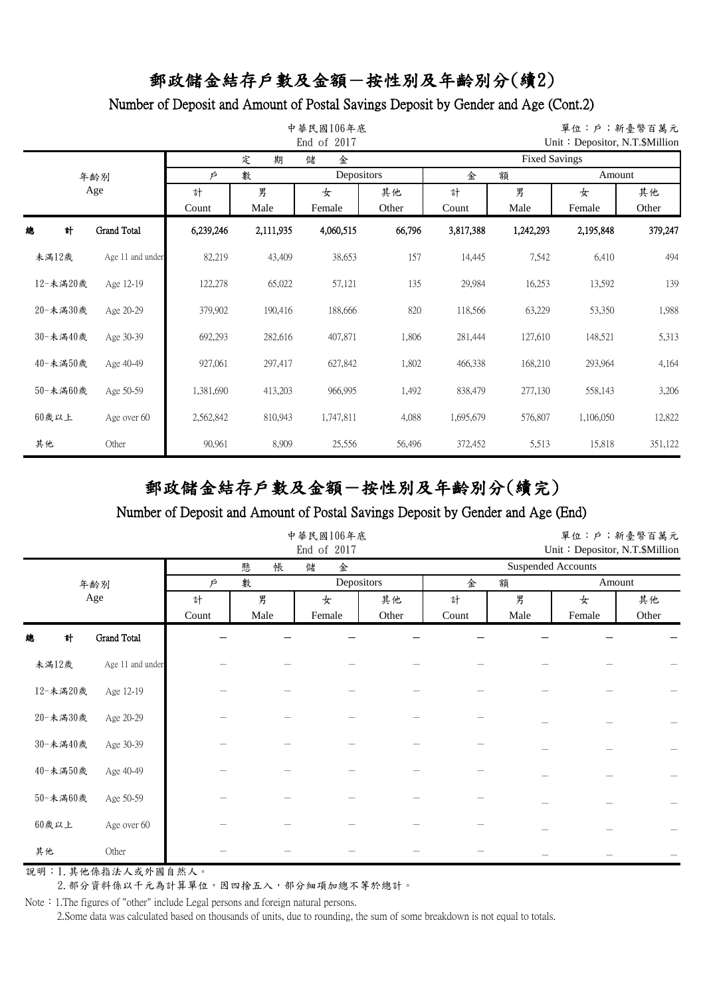#### Number of Deposit and Amount of Postal Savings Deposit by Gender and Age (Cont.2)

|     |          |                    |           | 單位:戶;新臺幣百萬元<br>Unit: Depositor, N.T. \$Million |           |            |                      |           |           |         |  |  |
|-----|----------|--------------------|-----------|------------------------------------------------|-----------|------------|----------------------|-----------|-----------|---------|--|--|
|     |          |                    |           | 定<br>期                                         | 金<br>儲    |            | <b>Fixed Savings</b> |           |           |         |  |  |
|     |          | 年齢別                | Þ         | 數                                              |           | Depositors |                      | 金<br>額    |           | Amount  |  |  |
| Age |          | 計                  | 男         | 女                                              | 其他        | 計          | 男                    | 女         | 其他        |         |  |  |
|     |          |                    | Count     | Male                                           | Female    | Other      | Count                | Male      | Female    | Other   |  |  |
| 總   | 計        | <b>Grand Total</b> | 6,239,246 | 2,111,935                                      | 4,060,515 | 66,796     | 3,817,388            | 1,242,293 | 2,195,848 | 379,247 |  |  |
|     | 未滿12歲    | Age 11 and under   | 82,219    | 43,409                                         | 38,653    | 157        | 14,445               | 7,542     | 6,410     | 494     |  |  |
|     | 12-未滿20歲 | Age 12-19          | 122,278   | 65,022                                         | 57,121    | 135        | 29,984               | 16,253    | 13,592    | 139     |  |  |
|     | 20-未満30歲 | Age 20-29          | 379,902   | 190,416                                        | 188,666   | 820        | 118,566              | 63,229    | 53,350    | 1,988   |  |  |
|     | 30-未滿40歲 | Age 30-39          | 692,293   | 282,616                                        | 407,871   | 1,806      | 281,444              | 127,610   | 148,521   | 5,313   |  |  |
|     | 40-未滿50歲 | Age 40-49          | 927,061   | 297,417                                        | 627,842   | 1,802      | 466,338              | 168,210   | 293,964   | 4,164   |  |  |
|     | 50-未滿60歲 | Age 50-59          | 1,381,690 | 413,203                                        | 966,995   | 1,492      | 838,479              | 277,130   | 558,143   | 3,206   |  |  |
|     | 60歲以上    | Age over 60        | 2,562,842 | 810,943                                        | 1,747,811 | 4,088      | 1,695,679            | 576,807   | 1,106,050 | 12,822  |  |  |
| 其他  |          | Other              | 90,961    | 8,909                                          | 25,556    | 56,496     | 372,452              | 5,513     | 15,818    | 351,122 |  |  |

# 郵政儲金結存戶數及金額-按性別及年齡別分(續完)

#### Number of Deposit and Amount of Postal Savings Deposit by Gender and Age (End)

|          |                  |            |           | 中華民國106年底<br>End of 2017 |             | 單位:戶;新臺幣百萬元<br>Unit: Depositor, N.T.\$Million |           |             |             |  |  |
|----------|------------------|------------|-----------|--------------------------|-------------|-----------------------------------------------|-----------|-------------|-------------|--|--|
|          |                  |            | 帳<br>懸    | 儲<br>金                   |             | <b>Suspended Accounts</b>                     |           |             |             |  |  |
|          | 年齢別              | Þ          | 數         | Depositors               |             | 金<br>額                                        |           | Amount      |             |  |  |
|          | Age              | 計<br>Count | 男<br>Male | 女<br>Female              | 其他<br>Other | 計<br>Count                                    | 男<br>Male | 女<br>Female | 其他<br>Other |  |  |
| 計<br>總   | Grand Total      |            |           |                          |             |                                               |           |             |             |  |  |
| 未滿12歲    | Age 11 and under |            |           |                          |             |                                               |           |             |             |  |  |
| 12-未滿20歲 | Age 12-19        |            |           |                          |             |                                               |           |             |             |  |  |
| 20-未満30歲 | Age 20-29        |            |           |                          |             |                                               |           |             |             |  |  |
| 30-未滿40歲 | Age 30-39        |            |           |                          |             |                                               |           |             |             |  |  |
| 40-未滿50歲 | Age 40-49        |            |           |                          |             |                                               |           |             |             |  |  |
| 50-未満60歲 | Age 50-59        |            |           |                          |             |                                               |           |             |             |  |  |
| $60$ 歲以上 | Age over 60      |            |           |                          |             |                                               |           |             |             |  |  |
| 其他       | Other            |            |           |                          |             |                                               |           |             |             |  |  |

說明:1.其他係指法人或外國自然人。

2. 部分資料係以千元為計算單位,因四捨五入,部分細項加總不等於總計。

Note: 1.The figures of "other" include Legal persons and foreign natural persons.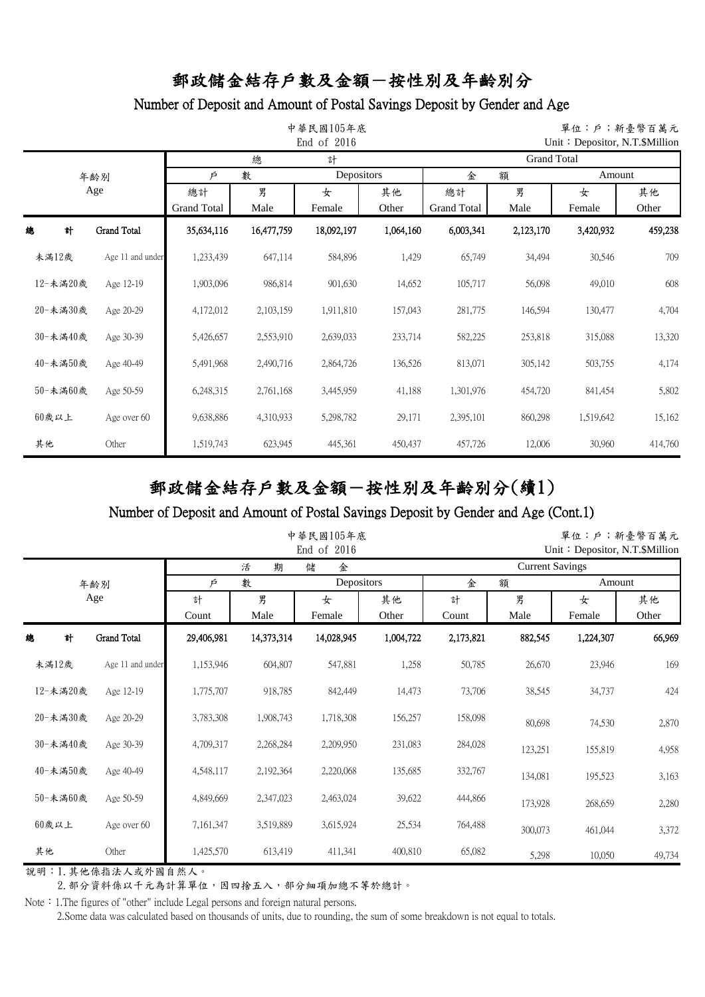#### Number of Deposit and Amount of Postal Savings Deposit by Gender and Age

|          |          |                    |                    | 單位:戶;新臺幣百萬元<br>Unit: Depositor, N.T. \$Million |            |           |                    |           |           |         |  |  |  |
|----------|----------|--------------------|--------------------|------------------------------------------------|------------|-----------|--------------------|-----------|-----------|---------|--|--|--|
|          |          |                    |                    | 總                                              | 計          |           | <b>Grand Total</b> |           |           |         |  |  |  |
|          |          | 年齢別                | 數<br>Þ             |                                                | Depositors |           | 金                  | 額         | Amount    |         |  |  |  |
|          |          | Age                | 總計                 | 男                                              | 女          | 其他        | 總計                 | 男         | 女         | 其他      |  |  |  |
|          |          |                    | <b>Grand Total</b> | Male                                           | Female     | Other     | <b>Grand Total</b> | Male      | Female    | Other   |  |  |  |
| 總        | 計        | <b>Grand Total</b> | 35,634,116         | 16,477,759                                     | 18,092,197 | 1,064,160 | 6,003,341          | 2,123,170 | 3,420,932 | 459,238 |  |  |  |
| 未滿12歲    |          | Age 11 and under   | 1,233,439          | 647,114                                        | 584,896    | 1,429     | 65,749             | 34,494    | 30,546    | 709     |  |  |  |
|          | 12-未滿20歲 | Age 12-19          | 1,903,096          | 986,814                                        | 901,630    | 14,652    | 105,717            | 56,098    | 49,010    | 608     |  |  |  |
|          | 20-未滿30歲 | Age 20-29          | 4,172,012          | 2,103,159                                      | 1,911,810  | 157,043   | 281,775            | 146,594   | 130,477   | 4,704   |  |  |  |
|          | 30-未滿40歲 | Age 30-39          | 5,426,657          | 2,553,910                                      | 2,639,033  | 233,714   | 582,225            | 253,818   | 315,088   | 13,320  |  |  |  |
|          | 40-未滿50歲 | Age 40-49          | 5,491,968          | 2,490,716                                      | 2,864,726  | 136,526   | 813,071            | 305,142   | 503,755   | 4,174   |  |  |  |
|          | 50-未滿60歲 | Age 50-59          | 6,248,315          | 2,761,168                                      | 3,445,959  | 41,188    | 1,301,976          | 454,720   | 841,454   | 5,802   |  |  |  |
| $60$ 歲以上 |          | Age over 60        | 9,638,886          | 4,310,933                                      | 5,298,782  | 29,171    | 2,395,101          | 860,298   | 1,519,642 | 15,162  |  |  |  |
| 其他       |          | Other              | 1,519,743          | 623,945                                        | 445,361    | 450,437   | 457,726            | 12,006    | 30,960    | 414,760 |  |  |  |

# 郵政儲金結存戶數及金額-按性別及年齡別分(續1)

#### Number of Deposit and Amount of Postal Savings Deposit by Gender and Age (Cont.1)

|          |                    |            |            | 中華民國105年底<br>End of 2016 |             | 單位:戶;新臺幣百萬元<br>Unit: Depositor, N.T.\$Million |           |             |             |  |
|----------|--------------------|------------|------------|--------------------------|-------------|-----------------------------------------------|-----------|-------------|-------------|--|
|          |                    |            | 期<br>活     | 儲<br>金                   |             | <b>Current Savings</b>                        |           |             |             |  |
|          | 年齢別                | Þ          | 數          | Depositors               |             | 額<br>金                                        |           | Amount      |             |  |
|          | Age                | 計<br>Count | 男<br>Male  | 女<br>Female              | 其他<br>Other | 計<br>Count                                    | 男<br>Male | 女<br>Female | 其他<br>Other |  |
| 計<br>總   | <b>Grand Total</b> | 29,406,981 | 14,373,314 | 14,028,945               | 1,004,722   | 2,173,821                                     | 882,545   | 1,224,307   | 66,969      |  |
| 未滿12歲    | Age 11 and under   | 1,153,946  | 604,807    | 547,881                  | 1,258       | 50,785                                        | 26,670    | 23,946      | 169         |  |
| 12-未滿20歲 | Age 12-19          | 1,775,707  | 918,785    | 842,449                  | 14,473      | 73,706                                        | 38,545    | 34,737      | 424         |  |
| 20-未満30歲 | Age 20-29          | 3,783,308  | 1,908,743  | 1,718,308                | 156,257     | 158,098                                       | 80,698    | 74,530      | 2,870       |  |
| 30-未滿40歲 | Age 30-39          | 4,709,317  | 2,268,284  | 2,209,950                | 231,083     | 284,028                                       | 123,251   | 155,819     | 4,958       |  |
| 40-未滿50歲 | Age 40-49          | 4,548,117  | 2,192,364  | 2,220,068                | 135,685     | 332,767                                       | 134,081   | 195,523     | 3,163       |  |
| 50-未滿60歲 | Age 50-59          | 4,849,669  | 2,347,023  | 2,463,024                | 39,622      | 444,866                                       | 173,928   | 268,659     | 2,280       |  |
| $60$ 歲以上 | Age over 60        | 7,161,347  | 3,519,889  | 3,615,924                | 25,534      | 764,488                                       | 300,073   | 461,044     | 3,372       |  |
| 其他       | Other              | 1,425,570  | 613,419    | 411,341                  | 400,810     | 65,082                                        | 5,298     | 10,050      | 49,734      |  |

說明:1.其他係指法人或外國自然人。

2. 部分資料係以千元為計算單位,因四捨五入,部分細項加總不等於總計。

Note: 1.The figures of "other" include Legal persons and foreign natural persons.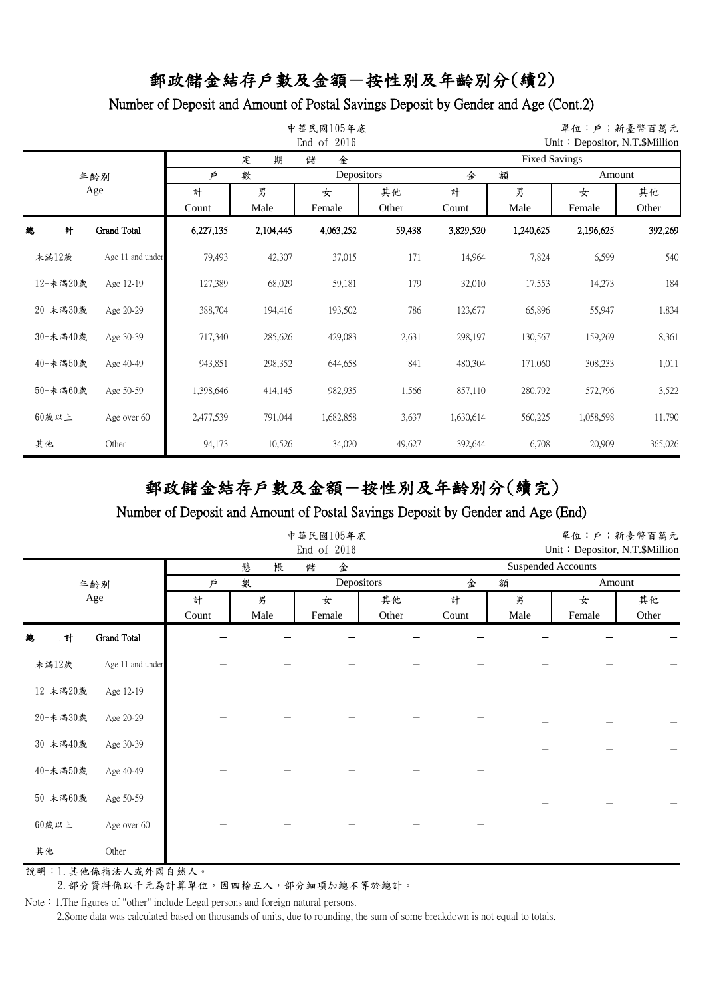#### Number of Deposit and Amount of Postal Savings Deposit by Gender and Age (Cont.2)

|    |          |                    |           | 單位:戶;新臺幣百萬元<br>Unit: Depositor, N.T.\$Million |           |            |                      |           |           |         |  |  |
|----|----------|--------------------|-----------|-----------------------------------------------|-----------|------------|----------------------|-----------|-----------|---------|--|--|
|    |          |                    |           | 定<br>期                                        | 儲<br>金    |            | <b>Fixed Savings</b> |           |           |         |  |  |
|    |          | 年齢別                | Þ         | 數                                             |           | Depositors |                      | 金<br>額    |           | Amount  |  |  |
|    | Age      |                    | 計         | 男                                             | 女         | 其他         | 計                    | 男         | 女         | 其他      |  |  |
|    |          |                    | Count     | Male                                          | Female    | Other      | Count                | Male      | Female    | Other   |  |  |
| 總  | 計        | <b>Grand Total</b> | 6,227,135 | 2,104,445                                     | 4,063,252 | 59,438     | 3,829,520            | 1,240,625 | 2,196,625 | 392,269 |  |  |
|    | 未滿12歲    | Age 11 and under   | 79,493    | 42,307                                        | 37,015    | 171        | 14,964               | 7,824     | 6,599     | 540     |  |  |
|    | 12-未滿20歲 | Age 12-19          | 127,389   | 68,029                                        | 59,181    | 179        | 32,010               | 17,553    | 14,273    | 184     |  |  |
|    | 20-未満30歲 | Age 20-29          | 388,704   | 194,416                                       | 193,502   | 786        | 123,677              | 65,896    | 55,947    | 1,834   |  |  |
|    | 30-未滿40歲 | Age 30-39          | 717,340   | 285,626                                       | 429,083   | 2,631      | 298,197              | 130,567   | 159,269   | 8,361   |  |  |
|    | 40-未滿50歲 | Age 40-49          | 943,851   | 298,352                                       | 644,658   | 841        | 480,304              | 171,060   | 308,233   | 1,011   |  |  |
|    | 50-未滿60歲 | Age 50-59          | 1,398,646 | 414,145                                       | 982,935   | 1,566      | 857,110              | 280,792   | 572,796   | 3,522   |  |  |
|    | $60$ 歲以上 | Age over 60        | 2,477,539 | 791,044                                       | 1,682,858 | 3,637      | 1,630,614            | 560,225   | 1,058,598 | 11,790  |  |  |
| 其他 |          | Other              | 94,173    | 10,526                                        | 34,020    | 49,627     | 392,644              | 6,708     | 20,909    | 365,026 |  |  |

# 郵政儲金結存戶數及金額-按性別及年齡別分(續完)

#### Number of Deposit and Amount of Postal Savings Deposit by Gender and Age (End)

|          |                    |            |           | 中華民國105年底<br>End of 2016 | 單位:戶;新臺幣百萬元<br>Unit: Depositor, N.T.\$Million |                           |           |             |                 |  |  |
|----------|--------------------|------------|-----------|--------------------------|-----------------------------------------------|---------------------------|-----------|-------------|-----------------|--|--|
|          |                    |            | 懸<br>帳    | 儲<br>金                   |                                               | <b>Suspended Accounts</b> |           |             |                 |  |  |
|          | 年齢別                | 數<br>P     |           | Depositors               |                                               | 金<br>額                    |           | Amount      |                 |  |  |
|          | Age                | 計<br>Count | 男<br>Male | 女<br>Female              | 其他<br>Other                                   | 計<br>Count                | 男<br>Male | 女<br>Female | 其他<br>Other     |  |  |
| 計<br>總   | <b>Grand Total</b> |            |           |                          |                                               |                           |           |             |                 |  |  |
| 未滿12歲    | Age 11 and under   |            |           |                          |                                               |                           |           |             |                 |  |  |
| 12-未滿20歲 | Age 12-19          |            |           |                          |                                               |                           |           |             |                 |  |  |
| 20-未満30歲 | Age 20-29          |            |           |                          |                                               |                           |           |             | $\qquad \qquad$ |  |  |
| 30-未滿40歲 | Age 30-39          |            |           |                          |                                               |                           |           |             |                 |  |  |
| 40-未滿50歲 | Age 40-49          |            |           |                          |                                               |                           |           |             |                 |  |  |
| 50-未滿60歲 | Age 50-59          |            |           |                          |                                               |                           |           |             |                 |  |  |
| $60$ 歲以上 | Age over 60        |            |           |                          |                                               |                           |           |             |                 |  |  |
| 其他       | Other              |            |           |                          |                                               |                           |           |             |                 |  |  |

說明:1.其他係指法人或外國自然人。

2. 部分資料係以千元為計算單位,因四捨五入,部分細項加總不等於總計。

Note: 1.The figures of "other" include Legal persons and foreign natural persons.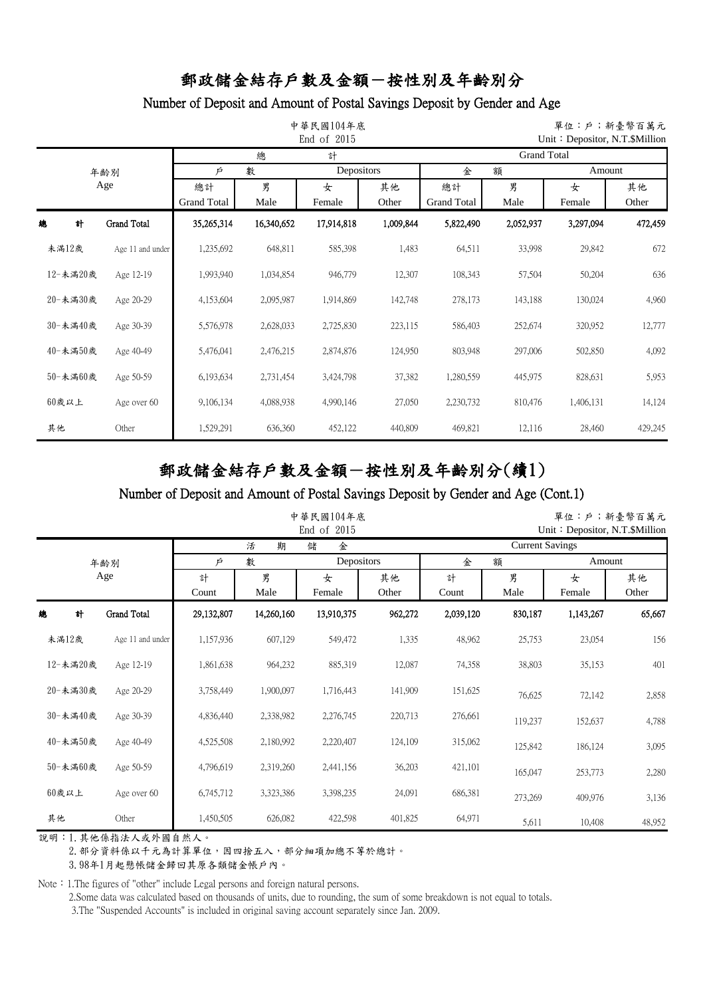## Number of Deposit and Amount of Postal Savings Deposit by Gender and Age

|          |                    |                          | 中華民國104年底<br>End of 2015 |             | 單位:戶;新臺幣百萬元<br>Unit: Depositor, N.T. $$$ Million |                          |                    |             |             |
|----------|--------------------|--------------------------|--------------------------|-------------|--------------------------------------------------|--------------------------|--------------------|-------------|-------------|
|          |                    |                          | 總                        | 計           |                                                  |                          | <b>Grand Total</b> |             |             |
|          | 年齢別                | Þ                        | 數                        | Depositors  |                                                  | 金                        | 額                  |             | Amount      |
|          | Age                | 總計<br><b>Grand Total</b> | 男<br>Male                | 女<br>Female | 其他<br>Other                                      | 總計<br><b>Grand Total</b> | 男<br>Male          | 女<br>Female | 其他<br>Other |
| 總<br>計   | <b>Grand Total</b> | 35,265,314               | 16,340,652               | 17,914,818  | 1,009,844                                        | 5,822,490                | 2,052,937          | 3,297,094   | 472,459     |
| 未滿12歲    | Age 11 and under   | 1,235,692                | 648,811                  | 585,398     | 1,483                                            | 64,511                   | 33,998             | 29,842      | 672         |
| 12-未滿20歲 | Age 12-19          | 1,993,940                | 1,034,854                | 946,779     | 12,307                                           | 108,343                  | 57,504             | 50,204      | 636         |
| 20-未満30歲 | Age 20-29          | 4,153,604                | 2,095,987                | 1,914,869   | 142,748                                          | 278,173                  | 143,188            | 130,024     | 4,960       |
| 30-未滿40歲 | Age 30-39          | 5,576,978                | 2,628,033                | 2,725,830   | 223,115                                          | 586,403                  | 252,674            | 320,952     | 12,777      |
| 40-未滿50歲 | Age 40-49          | 5,476,041                | 2,476,215                | 2,874,876   | 124,950                                          | 803,948                  | 297,006            | 502,850     | 4,092       |
| 50-未滿60歲 | Age 50-59          | 6,193,634                | 2,731,454                | 3,424,798   | 37,382                                           | 1,280,559                | 445,975            | 828,631     | 5,953       |
| 60歲以上    | Age over 60        | 9,106,134                | 4,088,938                | 4,990,146   | 27,050                                           | 2,230,732                | 810,476            | 1,406,131   | 14,124      |
| 其他       | Other              | 1,529,291                | 636,360                  | 452,122     | 440,809                                          | 469,821                  | 12,116             | 28,460      | 429,245     |

# 郵政儲金結存戶數及金額-按性別及年齡別分(續1)

#### Number of Deposit and Amount of Postal Savings Deposit by Gender and Age (Cont.1)

|          |                    |            | 中華民國104年底  |             |             |            | 單位:戶;新臺幣百萬元<br>Unit: Depositor, N.T. \$Million |             |             |
|----------|--------------------|------------|------------|-------------|-------------|------------|------------------------------------------------|-------------|-------------|
|          |                    |            | 期<br>活     | 儲<br>金      |             |            | <b>Current Savings</b>                         |             |             |
|          | 年齢別                | Þ          | 數          | Depositors  |             | 金          | 額                                              | Amount      |             |
|          | Age                | 計<br>Count | 男<br>Male  | 女<br>Female | 其他<br>Other | 計<br>Count | 男<br>Male                                      | 女<br>Female | 其他<br>Other |
| 計<br>總   | <b>Grand Total</b> | 29,132,807 | 14,260,160 | 13,910,375  | 962,272     | 2,039,120  | 830,187                                        | 1,143,267   | 65,667      |
| 未滿12歲    | Age 11 and under   | 1,157,936  | 607,129    | 549,472     | 1,335       | 48,962     | 25,753                                         | 23,054      | 156         |
| 12-未滿20歲 | Age 12-19          | 1,861,638  | 964,232    | 885,319     | 12,087      | 74,358     | 38,803                                         | 35,153      | 401         |
| 20-未滿30歲 | Age 20-29          | 3,758,449  | 1,900,097  | 1,716,443   | 141,909     | 151,625    | 76,625                                         | 72,142      | 2,858       |
| 30-未滿40歲 | Age 30-39          | 4,836,440  | 2,338,982  | 2,276,745   | 220,713     | 276,661    | 119,237                                        | 152,637     | 4,788       |
| 40-未滿50歲 | Age 40-49          | 4,525,508  | 2,180,992  | 2,220,407   | 124,109     | 315,062    | 125,842                                        | 186,124     | 3,095       |
| 50-未滿60歲 | Age 50-59          | 4,796,619  | 2,319,260  | 2,441,156   | 36,203      | 421,101    | 165,047                                        | 253,773     | 2,280       |
| $60$ 歲以上 | Age over 60        | 6,745,712  | 3,323,386  | 3,398,235   | 24,091      | 686,381    | 273,269                                        | 409,976     | 3,136       |
| 其他       | Other              | 1,450,505  | 626,082    | 422,598     | 401,825     | 64,971     | 5,611                                          | 10,408      | 48,952      |

說明:1.其他係指法人或外國自然人。

2. 部分資料係以千元為計算單位,因四捨五入,部分細項加總不等於總計。

3.98年1月起懸帳儲金歸回其原各類儲金帳戶內。

Note: 1.The figures of "other" include Legal persons and foreign natural persons.

2.Some data was calculated based on thousands of units, due to rounding, the sum of some breakdown is not equal to totals.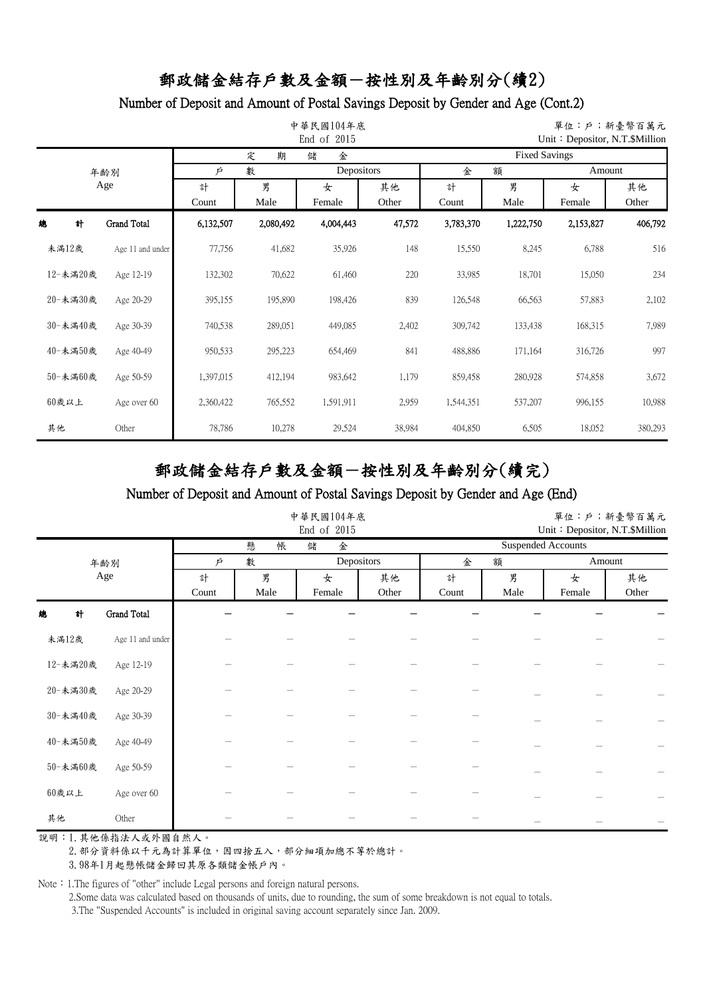### Number of Deposit and Amount of Postal Savings Deposit by Gender and Age (Cont.2)

|          |                    |            | 中華民國104年底<br>End of 2015 |             | 單位:戶;新臺幣百萬元<br>Unit: Depositor, N.T.\$Million |            |                      |             |             |
|----------|--------------------|------------|--------------------------|-------------|-----------------------------------------------|------------|----------------------|-------------|-------------|
|          |                    |            | 期<br>定                   | 儲<br>金      |                                               |            | <b>Fixed Savings</b> |             |             |
|          | 年齡別                | Þ          | 數                        | Depositors  |                                               | 金          | 額                    | Amount      |             |
|          | Age                | 計<br>Count | 男<br>Male                | 女<br>Female | 其他<br>Other                                   | 計<br>Count | 男<br>Male            | 女<br>Female | 其他<br>Other |
| 總<br>計   | <b>Grand Total</b> | 6,132,507  | 2,080,492                | 4,004,443   | 47,572                                        | 3,783,370  | 1,222,750            | 2,153,827   | 406,792     |
| 未滿12歲    | Age 11 and under   | 77,756     | 41,682                   | 35,926      | 148                                           | 15,550     | 8,245                | 6,788       | 516         |
| 12-未滿20歲 | Age 12-19          | 132,302    | 70,622                   | 61,460      | 220                                           | 33,985     | 18,701               | 15,050      | 234         |
| 20-未満30歲 | Age 20-29          | 395,155    | 195,890                  | 198,426     | 839                                           | 126,548    | 66,563               | 57,883      | 2,102       |
| 30-未滿40歲 | Age 30-39          | 740,538    | 289,051                  | 449,085     | 2,402                                         | 309,742    | 133,438              | 168,315     | 7,989       |
| 40-未滿50歲 | Age 40-49          | 950,533    | 295,223                  | 654,469     | 841                                           | 488,886    | 171,164              | 316,726     | 997         |
| 50-未滿60歲 | Age 50-59          | 1,397,015  | 412,194                  | 983,642     | 1,179                                         | 859,458    | 280,928              | 574,858     | 3,672       |
| 60歲以上    | Age over 60        | 2,360,422  | 765,552                  | 1,591,911   | 2,959                                         | 1,544,351  | 537,207              | 996,155     | 10,988      |
| 其他       | Other              | 78,786     | 10,278                   | 29,524      | 38,984                                        | 404,850    | 6,505                | 18,052      | 380,293     |

# 郵政儲金結存戶數及金額-按性別及年齡別分(續完)

#### Number of Deposit and Amount of Postal Savings Deposit by Gender and Age (End)

|          |                    |       | 中華民國104年底 |            | 單位:戶;新臺幣百萬元<br>Unit: Depositor, N.T.\$Million |       |      |                           |        |  |
|----------|--------------------|-------|-----------|------------|-----------------------------------------------|-------|------|---------------------------|--------|--|
|          |                    |       | 懸<br>帳    | 儲<br>金     |                                               |       |      | <b>Suspended Accounts</b> |        |  |
|          | 年齢別                | Ŕ     | 數         | Depositors |                                               | 金     | 額    |                           | Amount |  |
|          | Age                | 計     | 男         | 女          | 其他                                            | 計     | 男    | 女                         | 其他     |  |
|          |                    | Count | Male      | Female     | Other                                         | Count | Male | Female                    | Other  |  |
| 計<br>總   | <b>Grand Total</b> |       |           |            |                                               |       |      |                           |        |  |
| 未滿12歲    | Age 11 and under   |       |           |            |                                               |       |      |                           |        |  |
| 12-未満20歲 | Age 12-19          |       |           |            |                                               |       |      |                           |        |  |
| 20-未満30歲 | Age 20-29          |       |           |            |                                               |       |      |                           |        |  |
| 30-未満40歲 | Age 30-39          |       |           |            |                                               |       |      |                           |        |  |
| 40-未満50歲 | Age 40-49          |       |           |            |                                               |       |      |                           |        |  |
| 50-未満60歲 | Age 50-59          |       |           |            |                                               |       |      |                           |        |  |
| $60$ 歲以上 | Age over 60        |       |           |            |                                               |       |      |                           |        |  |
| 其他       | Other              |       |           |            |                                               |       |      |                           |        |  |

說明:1.其他係指法人或外國自然人。

2. 部分資料係以千元為計算單位,因四捨五入,部分細項加總不等於總計。

3.98年1月起懸帳儲金歸回其原各類儲金帳戶內。

Note: 1.The figures of "other" include Legal persons and foreign natural persons.

2.Some data was calculated based on thousands of units, due to rounding, the sum of some breakdown is not equal to totals.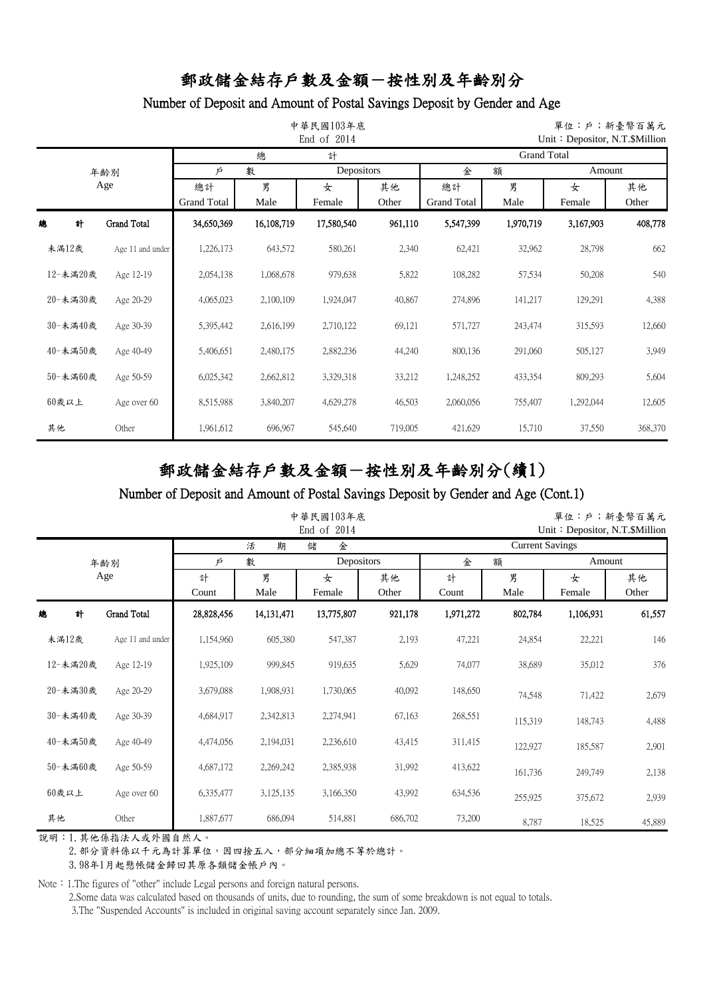## Number of Deposit and Amount of Postal Savings Deposit by Gender and Age

|          |                    |                          | 中華民國103年底<br>End of 2014 |             | 單位:戶;新臺幣百萬元<br>Unit: Depositor, N.T. \$Million |                          |                    |             |             |
|----------|--------------------|--------------------------|--------------------------|-------------|------------------------------------------------|--------------------------|--------------------|-------------|-------------|
|          |                    |                          | 總                        | 計           |                                                |                          | <b>Grand Total</b> |             |             |
|          | 年齢別                | Þ                        | 數                        | Depositors  |                                                | 金                        | 額                  | Amount      |             |
|          | Age                | 總計<br><b>Grand Total</b> | 男<br>Male                | 女<br>Female | 其他<br>Other                                    | 總計<br><b>Grand Total</b> | 男<br>Male          | 女<br>Female | 其他<br>Other |
| 總<br>計   | <b>Grand Total</b> | 34,650,369               | 16,108,719               | 17,580,540  | 961,110                                        | 5,547,399                | 1,970,719          | 3,167,903   | 408,778     |
| 未滿12歲    | Age 11 and under   | 1,226,173                | 643,572                  | 580,261     | 2,340                                          | 62,421                   | 32,962             | 28,798      | 662         |
| 12-未滿20歲 | Age 12-19          | 2,054,138                | 1,068,678                | 979,638     | 5,822                                          | 108,282                  | 57,534             | 50,208      | 540         |
| 20-未滿30歲 | Age 20-29          | 4,065,023                | 2,100,109                | 1,924,047   | 40,867                                         | 274,896                  | 141,217            | 129,291     | 4,388       |
| 30-未滿40歲 | Age 30-39          | 5,395,442                | 2,616,199                | 2,710,122   | 69,121                                         | 571,727                  | 243,474            | 315,593     | 12,660      |
| 40-未滿50歲 | Age 40-49          | 5,406,651                | 2,480,175                | 2,882,236   | 44,240                                         | 800,136                  | 291,060            | 505,127     | 3,949       |
| 50-未滿60歲 | Age 50-59          | 6,025,342                | 2,662,812                | 3,329,318   | 33,212                                         | 1,248,252                | 433,354            | 809,293     | 5,604       |
| $60$ 歲以上 | Age over 60        | 8,515,988                | 3,840,207                | 4,629,278   | 46,503                                         | 2,060,056                | 755,407            | 1,292,044   | 12,605      |
| 其他       | Other              | 1,961,612                | 696,967                  | 545,640     | 719,005                                        | 421,629                  | 15,710             | 37,550      | 368,370     |

# 郵政儲金結存戶數及金額-按性別及年齡別分(續1)

#### Number of Deposit and Amount of Postal Savings Deposit by Gender and Age (Cont.1)

|          |                    |            | 中華民國103年底    |             |             |            | 單位:戶;新臺幣百萬元<br>Unit: Depositor, N.T.\$Million |             |             |
|----------|--------------------|------------|--------------|-------------|-------------|------------|-----------------------------------------------|-------------|-------------|
|          |                    |            | 期<br>活       | 儲<br>金      |             |            | <b>Current Savings</b>                        |             |             |
|          | 年齢別                | Þ          | 數            | Depositors  |             | 金          | 額                                             | Amount      |             |
|          | Age                | 計<br>Count | 男<br>Male    | 女<br>Female | 其他<br>Other | 計<br>Count | 男<br>Male                                     | 女<br>Female | 其他<br>Other |
| 總<br>計   | <b>Grand Total</b> | 28,828,456 | 14, 131, 471 | 13,775,807  | 921,178     | 1,971,272  | 802,784                                       | 1,106,931   | 61,557      |
| 未滿12歲    | Age 11 and under   | 1,154,960  | 605,380      | 547,387     | 2,193       | 47,221     | 24,854                                        | 22,221      | 146         |
| 12-未滿20歲 | Age 12-19          | 1,925,109  | 999,845      | 919,635     | 5,629       | 74,077     | 38,689                                        | 35,012      | 376         |
| 20-未滿30歲 | Age 20-29          | 3,679,088  | 1,908,931    | 1,730,065   | 40,092      | 148,650    | 74,548                                        | 71,422      | 2,679       |
| 30-未滿40歲 | Age 30-39          | 4,684,917  | 2,342,813    | 2,274,941   | 67,163      | 268,551    | 115,319                                       | 148,743     | 4,488       |
| 40-未滿50歲 | Age 40-49          | 4,474,056  | 2,194,031    | 2,236,610   | 43,415      | 311,415    | 122,927                                       | 185,587     | 2,901       |
| 50-未滿60歲 | Age 50-59          | 4,687,172  | 2,269,242    | 2,385,938   | 31,992      | 413,622    | 161,736                                       | 249,749     | 2,138       |
| $60$ 歲以上 | Age over 60        | 6,335,477  | 3,125,135    | 3,166,350   | 43,992      | 634,536    | 255,925                                       | 375,672     | 2,939       |
| 其他       | Other              | 1,887,677  | 686,094      | 514,881     | 686,702     | 73,200     | 8,787                                         | 18,525      | 45,889      |

說明:1.其他係指法人或外國自然人。

2. 部分資料係以千元為計算單位,因四捨五入,部分細項加總不等於總計。

3.98年1月起懸帳儲金歸回其原各類儲金帳戶內。

Note: 1.The figures of "other" include Legal persons and foreign natural persons.

2.Some data was calculated based on thousands of units, due to rounding, the sum of some breakdown is not equal to totals.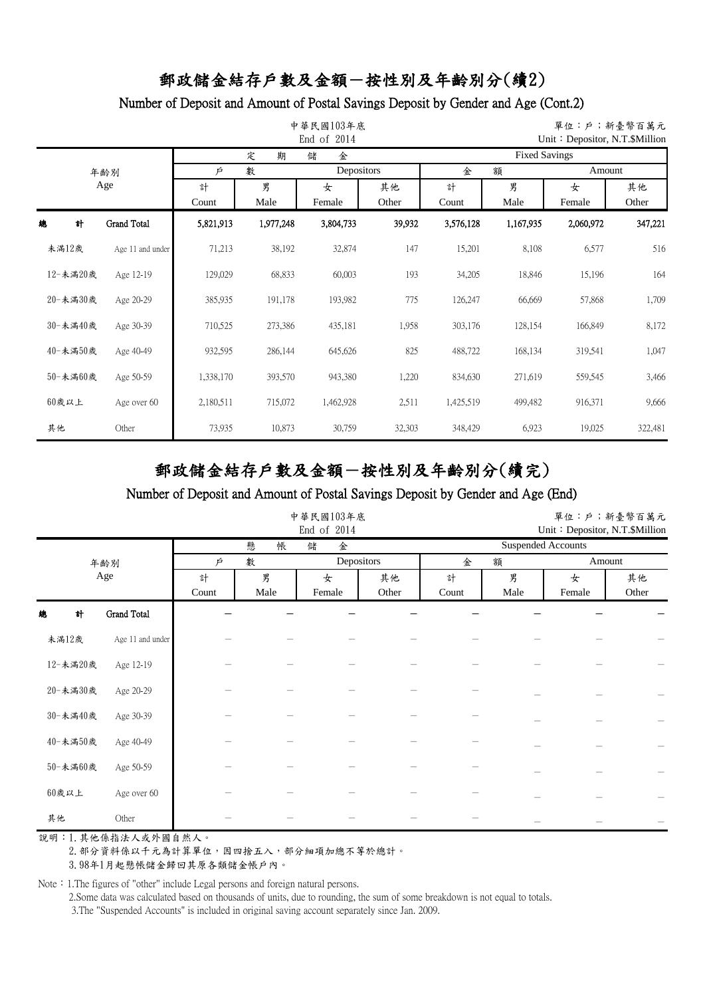### Number of Deposit and Amount of Postal Savings Deposit by Gender and Age (Cont.2)

|          |                    |            | 中華民國103年底<br>End of 2014 |             | 單位:戶;新臺幣百萬元<br>Unit: Depositor, N.T.\$Million |            |                      |             |             |
|----------|--------------------|------------|--------------------------|-------------|-----------------------------------------------|------------|----------------------|-------------|-------------|
|          |                    |            | 期<br>定                   | 儲<br>金      |                                               |            | <b>Fixed Savings</b> |             |             |
|          | 年齡別                | Þ          | 數                        | Depositors  |                                               | 金          | 額                    | Amount      |             |
|          | Age                | 計<br>Count | 男<br>Male                | 女<br>Female | 其他<br>Other                                   | 計<br>Count | 男<br>Male            | 女<br>Female | 其他<br>Other |
| 總<br>計   | <b>Grand Total</b> | 5,821,913  | 1,977,248                | 3,804,733   | 39,932                                        | 3,576,128  | 1,167,935            | 2,060,972   | 347,221     |
| 未滿12歲    | Age 11 and under   | 71,213     | 38,192                   | 32,874      | 147                                           | 15,201     | 8,108                | 6,577       | 516         |
| 12-未滿20歲 | Age 12-19          | 129,029    | 68,833                   | 60,003      | 193                                           | 34,205     | 18,846               | 15,196      | 164         |
| 20-未満30歲 | Age 20-29          | 385,935    | 191,178                  | 193,982     | 775                                           | 126,247    | 66,669               | 57,868      | 1,709       |
| 30-未滿40歲 | Age 30-39          | 710,525    | 273,386                  | 435,181     | 1,958                                         | 303,176    | 128,154              | 166,849     | 8,172       |
| 40-未滿50歲 | Age 40-49          | 932,595    | 286,144                  | 645,626     | 825                                           | 488,722    | 168,134              | 319,541     | 1,047       |
| 50-未滿60歲 | Age 50-59          | 1,338,170  | 393,570                  | 943,380     | 1,220                                         | 834,630    | 271,619              | 559,545     | 3,466       |
| 60歲以上    | Age over 60        | 2,180,511  | 715,072                  | 1,462,928   | 2,511                                         | 1,425,519  | 499,482              | 916,371     | 9,666       |
| 其他       | Other              | 73,935     | 10,873                   | 30,759      | 32,303                                        | 348,429    | 6,923                | 19,025      | 322,481     |

# 郵政儲金結存戶數及金額-按性別及年齡別分(續完)

#### Number of Deposit and Amount of Postal Savings Deposit by Gender and Age (End)

|          |                  |       |        | 中華民國103年底<br>End of 2014 | 單位:戶;新臺幣百萬元<br>Unit: Depositor, N.T.\$Million |       |      |                           |        |
|----------|------------------|-------|--------|--------------------------|-----------------------------------------------|-------|------|---------------------------|--------|
|          |                  |       | 懸<br>帳 | 儲<br>金                   |                                               |       |      | <b>Suspended Accounts</b> |        |
|          | 年齢別              | Þ     | 數      | Depositors               |                                               | 金     | 額    |                           | Amount |
|          | Age              | 計     | 男      | 女                        | 其他                                            | 計     | 男    | 女                         | 其他     |
|          |                  | Count | Male   | Female                   | Other                                         | Count | Male | Female                    | Other  |
| 計<br>總   | Grand Total      |       |        |                          |                                               |       |      |                           |        |
| 未滿12歲    | Age 11 and under |       |        |                          |                                               |       |      |                           |        |
| 12-未満20歲 | Age 12-19        |       |        |                          |                                               |       |      |                           |        |
| 20-未満30歲 | Age 20-29        |       |        |                          |                                               |       |      |                           |        |
| 30-未満40歲 | Age 30-39        |       |        |                          |                                               |       |      |                           |        |
| 40-未満50歲 | Age 40-49        |       |        |                          |                                               |       |      |                           |        |
| 50-未満60歲 | Age 50-59        |       |        |                          |                                               |       |      |                           |        |
| $60$ 歲以上 | Age over 60      |       |        |                          |                                               |       |      |                           |        |
| 其他       | Other            |       |        |                          |                                               |       |      |                           |        |

說明:1.其他係指法人或外國自然人。

2. 部分資料係以千元為計算單位,因四捨五入,部分細項加總不等於總計。

3.98年1月起懸帳儲金歸回其原各類儲金帳戶內。

Note: 1.The figures of "other" include Legal persons and foreign natural persons.

2.Some data was calculated based on thousands of units, due to rounding, the sum of some breakdown is not equal to totals.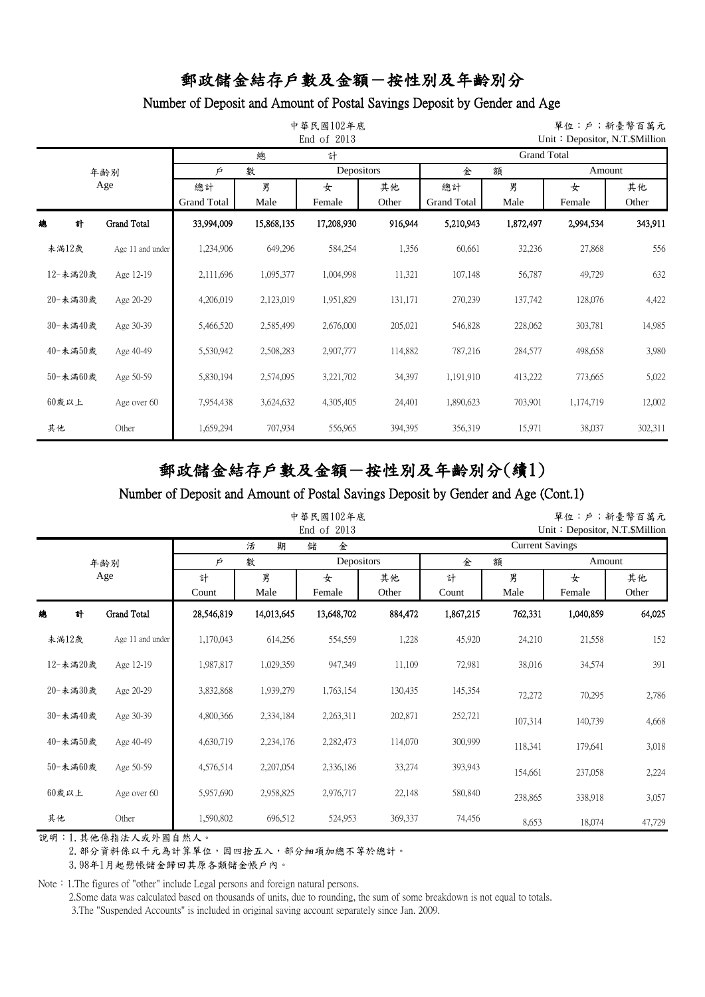### Number of Deposit and Amount of Postal Savings Deposit by Gender and Age

|          |                    |                          |            | 中華民國102年底<br>End of $2013$ |             | 單位:戶;新臺幣百萬元<br>Unit: Depositor, N.T. \$Million |                    |             |             |  |
|----------|--------------------|--------------------------|------------|----------------------------|-------------|------------------------------------------------|--------------------|-------------|-------------|--|
|          |                    |                          | 總          | 計                          |             |                                                | <b>Grand Total</b> |             |             |  |
|          | 年齢別                | Þ                        | 數          | Depositors                 |             | 金                                              | 額                  |             | Amount      |  |
|          | Age                | 總計<br><b>Grand Total</b> | 男<br>Male  | 女<br>Female                | 其他<br>Other | 總計<br><b>Grand Total</b>                       | 男<br>Male          | 女<br>Female | 其他<br>Other |  |
| 總<br>計   | <b>Grand Total</b> | 33,994,009               | 15,868,135 | 17,208,930                 | 916,944     | 5,210,943                                      | 1,872,497          | 2,994,534   | 343,911     |  |
| 未滿12歲    | Age 11 and under   | 1,234,906                | 649,296    | 584,254                    | 1,356       | 60,661                                         | 32,236             | 27,868      | 556         |  |
| 12-未滿20歲 | Age 12-19          | 2,111,696                | 1,095,377  | 1,004,998                  | 11,321      | 107,148                                        | 56,787             | 49,729      | 632         |  |
| 20-未滿30歲 | Age 20-29          | 4,206,019                | 2,123,019  | 1,951,829                  | 131,171     | 270,239                                        | 137,742            | 128,076     | 4,422       |  |
| 30-未滿40歲 | Age 30-39          | 5,466,520                | 2,585,499  | 2,676,000                  | 205,021     | 546,828                                        | 228,062            | 303,781     | 14,985      |  |
| 40-未滿50歲 | Age 40-49          | 5,530,942                | 2,508,283  | 2,907,777                  | 114,882     | 787,216                                        | 284,577            | 498,658     | 3,980       |  |
| 50-未滿60歲 | Age 50-59          | 5,830,194                | 2,574,095  | 3,221,702                  | 34,397      | 1,191,910                                      | 413,222            | 773,665     | 5,022       |  |
| $60$ 歲以上 | Age over 60        | 7,954,438                | 3,624,632  | 4,305,405                  | 24,401      | 1,890,623                                      | 703,901            | 1,174,719   | 12,002      |  |
| 其他       | Other              | 1,659,294                | 707,934    | 556,965                    | 394,395     | 356,319                                        | 15,971             | 38,037      | 302,311     |  |

# 郵政儲金結存戶數及金額-按性別及年齡別分(續1)

#### Number of Deposit and Amount of Postal Savings Deposit by Gender and Age (Cont.1)

|          |                    |            | 中華民國102年底<br>End of 2013 |             |             |            |                        | 單位:戶;新臺幣百萬元<br>Unit: Depositor, N.T. \$Million |             |
|----------|--------------------|------------|--------------------------|-------------|-------------|------------|------------------------|------------------------------------------------|-------------|
|          |                    |            | 活<br>期                   | 儲<br>金      |             |            | <b>Current Savings</b> |                                                |             |
|          | 年齢別                | Þ          | 數                        | Depositors  |             | 金          | 額                      | Amount                                         |             |
|          | Age                | 計<br>Count | 男<br>Male                | 女<br>Female | 其他<br>Other | 計<br>Count | 男<br>Male              | 女<br>Female                                    | 其他<br>Other |
| 計<br>總   | <b>Grand Total</b> | 28,546,819 | 14,013,645               | 13,648,702  | 884,472     | 1,867,215  | 762,331                | 1,040,859                                      | 64,025      |
| 未滿12歲    | Age 11 and under   | 1,170,043  | 614,256                  | 554,559     | 1,228       | 45,920     | 24,210                 | 21,558                                         | 152         |
| 12-未滿20歲 | Age 12-19          | 1,987,817  | 1,029,359                | 947,349     | 11,109      | 72,981     | 38,016                 | 34,574                                         | 391         |
| 20-未滿30歲 | Age 20-29          | 3,832,868  | 1,939,279                | 1,763,154   | 130,435     | 145,354    | 72,272                 | 70,295                                         | 2,786       |
| 30-未滿40歲 | Age 30-39          | 4,800,366  | 2,334,184                | 2,263,311   | 202,871     | 252,721    | 107,314                | 140,739                                        | 4,668       |
| 40-未滿50歲 | Age 40-49          | 4,630,719  | 2,234,176                | 2,282,473   | 114,070     | 300,999    | 118,341                | 179,641                                        | 3,018       |
| 50-未滿60歲 | Age 50-59          | 4,576,514  | 2,207,054                | 2,336,186   | 33,274      | 393,943    | 154,661                | 237,058                                        | 2,224       |
| $60$ 歲以上 | Age over 60        | 5,957,690  | 2,958,825                | 2,976,717   | 22,148      | 580,840    | 238,865                | 338,918                                        | 3,057       |
| 其他       | Other              | 1,590,802  | 696,512                  | 524,953     | 369,337     | 74,456     | 8,653                  | 18,074                                         | 47,729      |

說明:1.其他係指法人或外國自然人。

2. 部分資料係以千元為計算單位,因四捨五入,部分細項加總不等於總計。

3.98年1月起懸帳儲金歸回其原各類儲金帳戶內。

Note: 1.The figures of "other" include Legal persons and foreign natural persons.

2.Some data was calculated based on thousands of units, due to rounding, the sum of some breakdown is not equal to totals.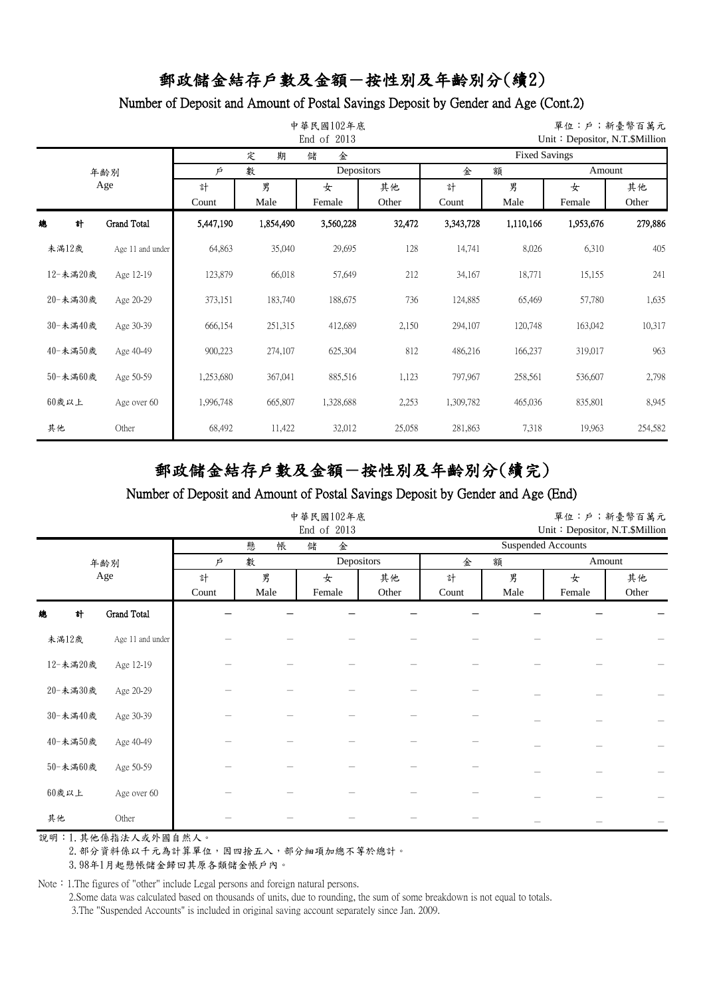### Number of Deposit and Amount of Postal Savings Deposit by Gender and Age (Cont.2)

|    |          |                    |            | 中華民國102年底<br>End of 2013 |             | 單位:戶;新臺幣百萬元<br>Unit: Depositor, N.T.\$Million |            |                      |             |             |
|----|----------|--------------------|------------|--------------------------|-------------|-----------------------------------------------|------------|----------------------|-------------|-------------|
|    |          |                    |            | 期<br>定                   | 儲<br>金      |                                               |            | <b>Fixed Savings</b> |             |             |
|    |          | 年齢別                | Þ          | 數                        | Depositors  |                                               | 金          | 額                    | Amount      |             |
|    |          | Age                | 計<br>Count | 男<br>Male                | 女<br>Female | 其他<br>Other                                   | 計<br>Count | 男<br>Male            | 女<br>Female | 其他<br>Other |
| 總  | 計        | <b>Grand Total</b> | 5,447,190  | 1,854,490                | 3,560,228   | 32,472                                        | 3,343,728  | 1,110,166            | 1,953,676   | 279,886     |
|    | 未滿12歲    | Age 11 and under   | 64,863     | 35,040                   | 29,695      | 128                                           | 14,741     | 8,026                | 6,310       | 405         |
|    | 12-未滿20歲 | Age 12-19          | 123,879    | 66,018                   | 57,649      | 212                                           | 34,167     | 18,771               | 15,155      | 241         |
|    | 20-未満30歲 | Age 20-29          | 373,151    | 183,740                  | 188,675     | 736                                           | 124,885    | 65,469               | 57,780      | 1,635       |
|    | 30-未滿40歲 | Age 30-39          | 666,154    | 251,315                  | 412,689     | 2,150                                         | 294,107    | 120,748              | 163,042     | 10,317      |
|    | 40-未満50歲 | Age 40-49          | 900,223    | 274,107                  | 625,304     | 812                                           | 486,216    | 166,237              | 319,017     | 963         |
|    | 50-未満60歲 | Age 50-59          | 1,253,680  | 367,041                  | 885,516     | 1,123                                         | 797,967    | 258,561              | 536,607     | 2,798       |
|    | $60$ 歲以上 | Age over 60        | 1,996,748  | 665,807                  | 1,328,688   | 2,253                                         | 1,309,782  | 465,036              | 835,801     | 8,945       |
| 其他 |          | Other              | 68,492     | 11,422                   | 32,012      | 25,058                                        | 281,863    | 7,318                | 19,963      | 254,582     |

# 郵政儲金結存戶數及金額-按性別及年齡別分(續完)

#### Number of Deposit and Amount of Postal Savings Deposit by Gender and Age (End)

|          |                  |       | 中華民國102年底<br>End of 2013 |            | 單位:戶;新臺幣百萬元<br>Unit: Depositor, N.T.\$Million |       |      |                           |        |
|----------|------------------|-------|--------------------------|------------|-----------------------------------------------|-------|------|---------------------------|--------|
|          |                  |       | 懸<br>帳                   | 儲<br>金     |                                               |       |      | <b>Suspended Accounts</b> |        |
|          | 年齢別              | Þ     | 數                        | Depositors |                                               | 金     | 額    |                           | Amount |
|          | Age              | 計     | 男                        | 女          | 其他                                            | 計     | 男    | 女                         | 其他     |
|          |                  | Count | Male                     | Female     | Other                                         | Count | Male | Female                    | Other  |
| 計<br>總   | Grand Total      |       |                          |            |                                               |       |      |                           |        |
| 未滿12歲    | Age 11 and under |       |                          |            |                                               |       |      |                           |        |
| 12-未満20歲 | Age 12-19        |       |                          |            |                                               |       |      |                           |        |
| 20-未満30歲 | Age 20-29        |       |                          |            |                                               |       |      |                           |        |
| 30-未満40歲 | Age 30-39        |       |                          |            |                                               |       |      |                           |        |
| 40-未満50歲 | Age 40-49        |       |                          |            |                                               |       |      |                           |        |
| 50-未滿60歲 | Age 50-59        |       |                          |            |                                               |       |      |                           |        |
| $60$ 歲以上 | Age over 60      |       |                          |            |                                               |       |      |                           |        |
| 其他       | Other            |       |                          |            |                                               |       |      |                           |        |

說明:1.其他係指法人或外國自然人。

2. 部分資料係以千元為計算單位,因四捨五入,部分細項加總不等於總計。

3.98年1月起懸帳儲金歸回其原各類儲金帳戶內。

Note: 1.The figures of "other" include Legal persons and foreign natural persons.

2.Some data was calculated based on thousands of units, due to rounding, the sum of some breakdown is not equal to totals.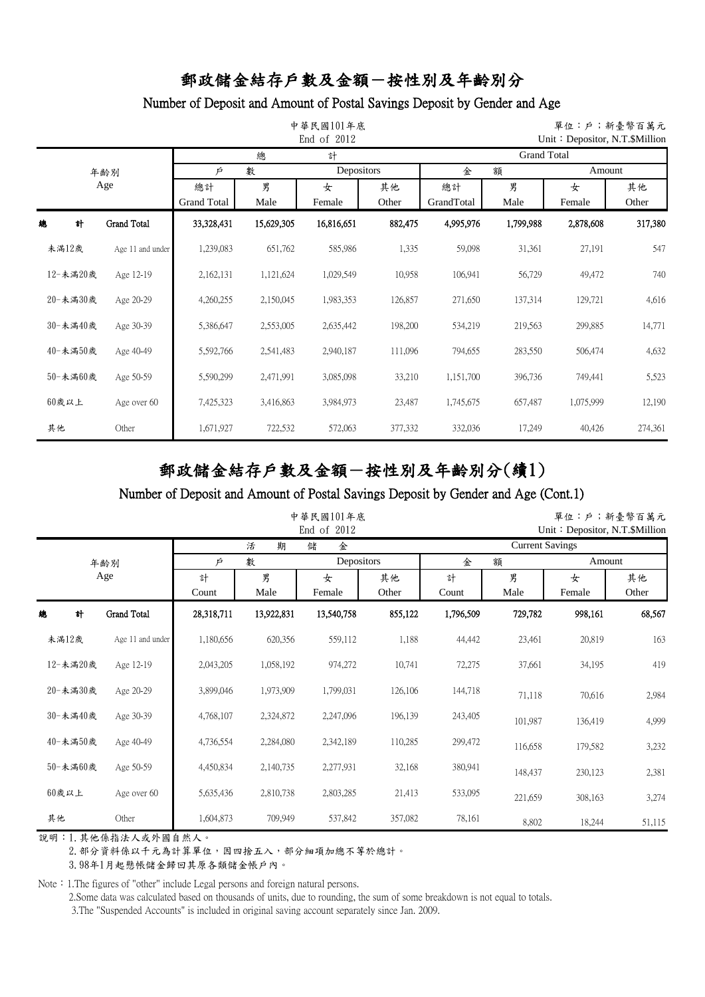## Number of Deposit and Amount of Postal Savings Deposit by Gender and Age

|          |                    |                          |            | 中華民國101年底<br>End of 2012 |             |                    | 單位:戶;新臺幣百萬元<br>Unit: Depositor, N.T. \$Million |             |             |  |  |  |
|----------|--------------------|--------------------------|------------|--------------------------|-------------|--------------------|------------------------------------------------|-------------|-------------|--|--|--|
|          |                    |                          | 總          | 計                        |             | <b>Grand Total</b> |                                                |             |             |  |  |  |
|          | 年齢別                | Depositors<br>數<br>Þ     |            |                          | 金           | 額                  |                                                | Amount      |             |  |  |  |
|          | Age                | 總計<br><b>Grand Total</b> | 男<br>Male  | 女<br>Female              | 其他<br>Other | 總計<br>GrandTotal   | 男<br>Male                                      | 女<br>Female | 其他<br>Other |  |  |  |
| 總<br>計   | <b>Grand Total</b> | 33,328,431               | 15,629,305 | 16,816,651               | 882,475     | 4,995,976          | 1,799,988                                      | 2,878,608   | 317,380     |  |  |  |
| 未滿12歲    | Age 11 and under   | 1,239,083                | 651,762    | 585,986                  | 1,335       | 59,098             | 31,361                                         | 27,191      | 547         |  |  |  |
| 12-未滿20歲 | Age 12-19          | 2,162,131                | 1,121,624  | 1,029,549                | 10,958      | 106,941            | 56,729                                         | 49,472      | 740         |  |  |  |
| 20-未滿30歲 | Age 20-29          | 4,260,255                | 2,150,045  | 1,983,353                | 126,857     | 271,650            | 137,314                                        | 129,721     | 4,616       |  |  |  |
| 30-未滿40歲 | Age 30-39          | 5,386,647                | 2,553,005  | 2,635,442                | 198,200     | 534,219            | 219,563                                        | 299,885     | 14,771      |  |  |  |
| 40-未滿50歲 | Age 40-49          | 5,592,766                | 2,541,483  | 2,940,187                | 111,096     | 794,655            | 283,550                                        | 506,474     | 4,632       |  |  |  |
| 50-未滿60歲 | Age 50-59          | 5,590,299                | 2,471,991  | 3,085,098                | 33,210      | 1,151,700          | 396,736                                        | 749,441     | 5,523       |  |  |  |
| $60$ 歲以上 | Age over 60        | 7,425,323                | 3,416,863  | 3,984,973                | 23,487      | 1,745,675          | 657,487                                        | 1,075,999   | 12,190      |  |  |  |
| 其他       | Other              | 1,671,927                | 722,532    | 572,063                  | 377,332     | 332,036            | 17,249                                         | 40,426      | 274,361     |  |  |  |

# 郵政儲金結存戶數及金額-按性別及年齡別分(續1)

#### Number of Deposit and Amount of Postal Savings Deposit by Gender and Age (Cont.1)

|          |     |                    |            |            | 中華民國101年底<br>End of 2012 |             |                        | 單位:戶;新臺幣百萬元<br>Unit: Depositor, N.T. \$Million |             |             |  |
|----------|-----|--------------------|------------|------------|--------------------------|-------------|------------------------|------------------------------------------------|-------------|-------------|--|
|          |     |                    |            | 活<br>期     | 儲<br>金                   |             | <b>Current Savings</b> |                                                |             |             |  |
|          | 年齢別 |                    | Þ          | 數          | Depositors               |             | 金                      | 額                                              |             | Amount      |  |
|          | Age |                    | 計<br>Count | 男<br>Male  | 女<br>Female              | 其他<br>Other | 計<br>Count             | 男<br>Male                                      | 女<br>Female | 其他<br>Other |  |
| 總<br>計   |     | <b>Grand Total</b> | 28,318,711 | 13,922,831 | 13,540,758               | 855,122     | 1,796,509              | 729,782                                        | 998,161     | 68,567      |  |
| 未滿12歲    |     | Age 11 and under   | 1,180,656  | 620,356    | 559,112                  | 1,188       | 44,442                 | 23,461                                         | 20,819      | 163         |  |
| 12-未滿20歲 |     | Age 12-19          | 2,043,205  | 1,058,192  | 974,272                  | 10,741      | 72,275                 | 37,661                                         | 34,195      | 419         |  |
| 20-未滿30歲 |     | Age 20-29          | 3,899,046  | 1,973,909  | 1,799,031                | 126,106     | 144,718                | 71,118                                         | 70,616      | 2,984       |  |
| 30-未滿40歲 |     | Age 30-39          | 4,768,107  | 2,324,872  | 2,247,096                | 196,139     | 243,405                | 101,987                                        | 136,419     | 4,999       |  |
| 40-未滿50歲 |     | Age 40-49          | 4,736,554  | 2,284,080  | 2,342,189                | 110,285     | 299,472                | 116,658                                        | 179,582     | 3,232       |  |
| 50-未滿60歲 |     | Age 50-59          | 4,450,834  | 2,140,735  | 2,277,931                | 32,168      | 380,941                | 148,437                                        | 230,123     | 2,381       |  |
| $60$ 歲以上 |     | Age over 60        | 5,635,436  | 2,810,738  | 2,803,285                | 21,413      | 533,095                | 221,659                                        | 308,163     | 3,274       |  |
| 其他       |     | Other              | 1,604,873  | 709,949    | 537,842                  | 357,082     | 78,161                 | 8,802                                          | 18,244      | 51,115      |  |

說明:1.其他係指法人或外國自然人。

2. 部分資料係以千元為計算單位,因四捨五入,部分細項加總不等於總計。

3.98年1月起懸帳儲金歸回其原各類儲金帳戶內。

Note: 1.The figures of "other" include Legal persons and foreign natural persons.

2.Some data was calculated based on thousands of units, due to rounding, the sum of some breakdown is not equal to totals.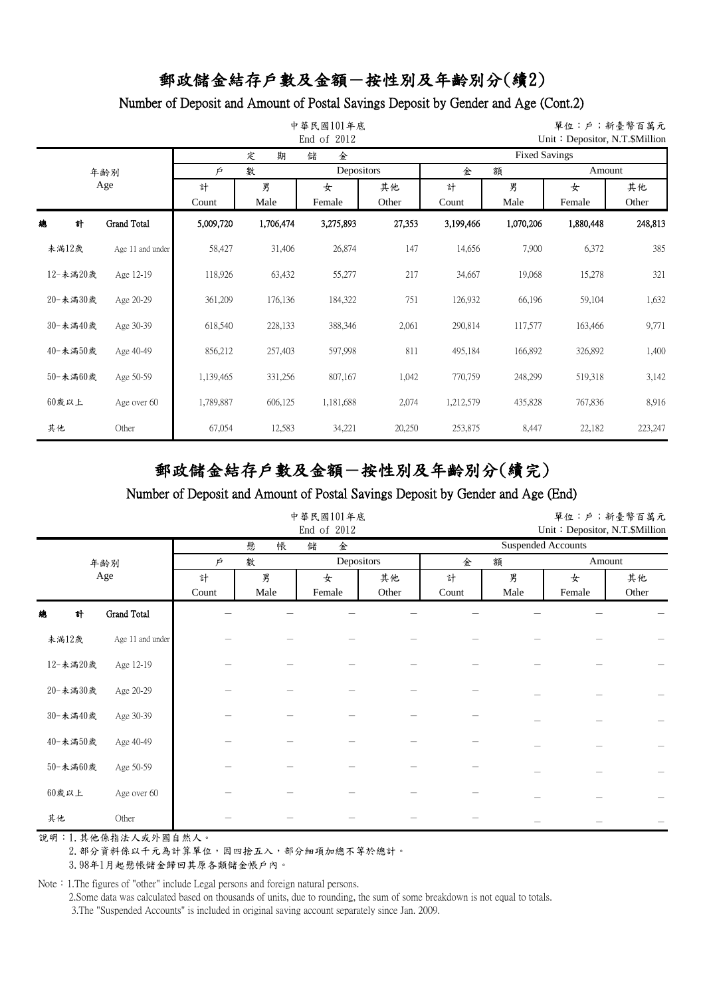## Number of Deposit and Amount of Postal Savings Deposit by Gender and Age (Cont.2)

|    |          |                    |            |           | 中華民國101年底<br>End of 2012 |             | 單位:戶;新臺幣百萬元<br>Unit: Depositor, N.T.\$Million |           |             |             |  |  |
|----|----------|--------------------|------------|-----------|--------------------------|-------------|-----------------------------------------------|-----------|-------------|-------------|--|--|
|    |          |                    |            | 期<br>定    | 儲<br>金                   |             | <b>Fixed Savings</b>                          |           |             |             |  |  |
|    |          | 年齢別                | Þ          | 數         | Depositors               |             | 金<br>額<br>Amount                              |           |             |             |  |  |
|    |          | Age                | 計<br>Count | 男<br>Male | 女<br>Female              | 其他<br>Other | 計<br>Count                                    | 男<br>Male | 女<br>Female | 其他<br>Other |  |  |
| 總  | 計        | <b>Grand Total</b> | 5,009,720  | 1,706,474 | 3,275,893                | 27,353      | 3,199,466                                     | 1,070,206 | 1,880,448   | 248,813     |  |  |
|    | 未滿12歲    | Age 11 and under   | 58,427     | 31,406    | 26,874                   | 147         | 14,656                                        | 7,900     | 6,372       | 385         |  |  |
|    | 12-未滿20歲 | Age 12-19          | 118,926    | 63,432    | 55,277                   | 217         | 34,667                                        | 19,068    | 15,278      | 321         |  |  |
|    | 20-未満30歲 | Age 20-29          | 361,209    | 176,136   | 184,322                  | 751         | 126,932                                       | 66,196    | 59,104      | 1,632       |  |  |
|    | 30-未滿40歲 | Age 30-39          | 618,540    | 228,133   | 388,346                  | 2,061       | 290,814                                       | 117,577   | 163,466     | 9,771       |  |  |
|    | 40-未満50歲 | Age 40-49          | 856,212    | 257,403   | 597,998                  | 811         | 495,184                                       | 166,892   | 326,892     | 1,400       |  |  |
|    | 50-未満60歲 | Age 50-59          | 1,139,465  | 331,256   | 807,167                  | 1,042       | 770,759                                       | 248,299   | 519,318     | 3,142       |  |  |
|    | $60$ 歲以上 | Age over 60        | 1,789,887  | 606,125   | 1,181,688                | 2,074       | 1,212,579                                     | 435,828   | 767,836     | 8,916       |  |  |
| 其他 |          | Other              | 67,054     | 12,583    | 34,221                   | 20,250      | 253,875                                       | 8,447     | 22,182      | 223,247     |  |  |

# 郵政儲金結存戶數及金額-按性別及年齡別分(續完)

#### Number of Deposit and Amount of Postal Savings Deposit by Gender and Age (End)

|          |                  |       | 中華民國101年底 |            | 單位:戶;新臺幣百萬元<br>Unit: Depositor, N.T.\$Million |                           |      |        |       |  |
|----------|------------------|-------|-----------|------------|-----------------------------------------------|---------------------------|------|--------|-------|--|
|          |                  |       | 懸<br>帳    | 儲<br>金     |                                               | <b>Suspended Accounts</b> |      |        |       |  |
|          | 年齢別              | Ŕ     | 數         | Depositors |                                               | 金                         | 額    | Amount |       |  |
|          | Age              | 計     | 男         | 女          | 其他                                            | 計                         | 男    | 女      | 其他    |  |
|          |                  | Count | Male      | Female     | Other                                         | Count                     | Male | Female | Other |  |
| 計<br>總   | Grand Total      |       |           |            |                                               |                           |      |        |       |  |
| 未滿12歲    | Age 11 and under |       |           |            |                                               |                           |      |        |       |  |
| 12-未満20歲 | Age 12-19        |       |           |            |                                               |                           |      |        |       |  |
| 20-未満30歲 | Age 20-29        |       |           |            |                                               |                           |      |        |       |  |
| 30-未満40歲 | Age 30-39        |       |           |            |                                               |                           |      |        |       |  |
| 40-未満50歲 | Age 40-49        |       |           |            |                                               |                           |      |        |       |  |
| 50-未滿60歲 | Age 50-59        |       |           |            |                                               |                           |      |        |       |  |
| $60$ 歲以上 | Age over 60      |       |           |            |                                               |                           |      |        |       |  |
| 其他       | Other            |       |           |            |                                               |                           |      |        |       |  |

說明:1.其他係指法人或外國自然人。

2. 部分資料係以千元為計算單位,因四捨五入,部分細項加總不等於總計。

3.98年1月起懸帳儲金歸回其原各類儲金帳戶內。

Note: 1.The figures of "other" include Legal persons and foreign natural persons.

2.Some data was calculated based on thousands of units, due to rounding, the sum of some breakdown is not equal to totals.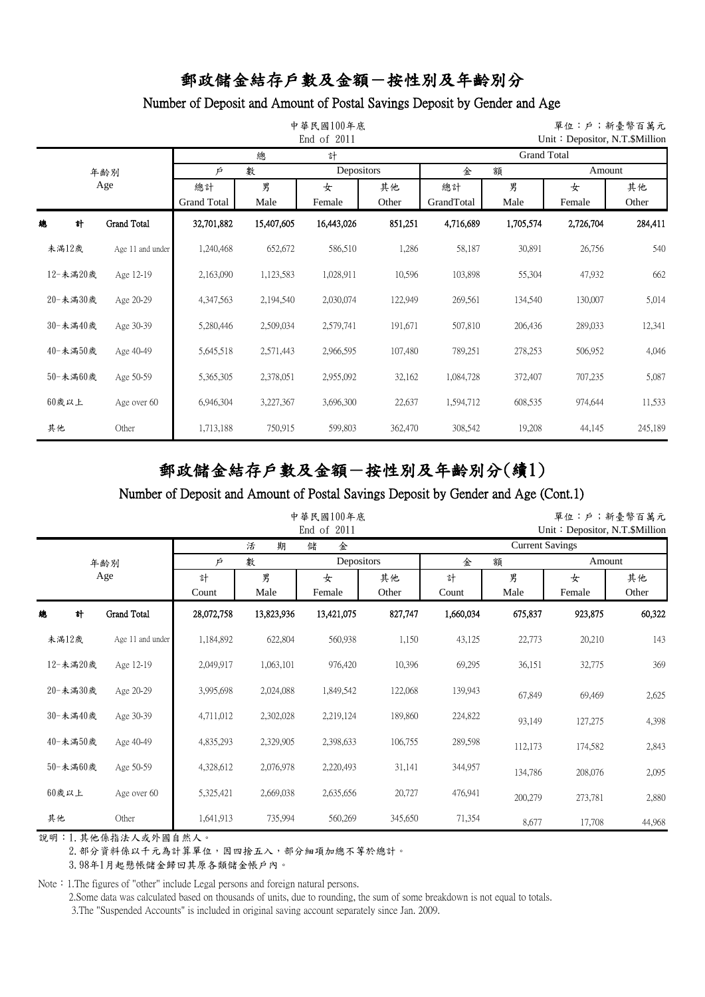## Number of Deposit and Amount of Postal Savings Deposit by Gender and Age

|       |          |                  |                          |            | 中華民國100年底<br>End of 2011 |             | 單位:戶;新臺幣百萬元<br>Unit: Depositor, N.T. \$Million |           |             |             |  |  |
|-------|----------|------------------|--------------------------|------------|--------------------------|-------------|------------------------------------------------|-----------|-------------|-------------|--|--|
|       |          |                  |                          | 總          | 計                        |             | <b>Grand Total</b>                             |           |             |             |  |  |
|       |          | 年齢別              | Þ                        | 數          | Depositors               |             | 金                                              | 額         | Amount      |             |  |  |
|       |          | Age              | 總計<br><b>Grand Total</b> | 男<br>Male  | 女<br>Female              | 其他<br>Other | 總計<br>GrandTotal                               | 男<br>Male | 女<br>Female | 其他<br>Other |  |  |
| 總     | 計        | Grand Total      | 32,701,882               | 15,407,605 | 16,443,026               | 851,251     | 4,716,689                                      | 1,705,574 | 2,726,704   | 284,411     |  |  |
| 未滿12歲 |          | Age 11 and under | 1,240,468                | 652,672    | 586,510                  | 1,286       | 58,187                                         | 30,891    | 26,756      | 540         |  |  |
|       | 12-未滿20歲 | Age 12-19        | 2,163,090                | 1,123,583  | 1,028,911                | 10,596      | 103,898                                        | 55,304    | 47,932      | 662         |  |  |
|       | 20-未満30歲 | Age 20-29        | 4,347,563                | 2,194,540  | 2,030,074                | 122,949     | 269,561                                        | 134,540   | 130,007     | 5,014       |  |  |
|       | 30-未滿40歲 | Age 30-39        | 5,280,446                | 2,509,034  | 2,579,741                | 191,671     | 507,810                                        | 206,436   | 289,033     | 12,341      |  |  |
|       | 40-未滿50歲 | Age 40-49        | 5,645,518                | 2,571,443  | 2,966,595                | 107,480     | 789,251                                        | 278,253   | 506,952     | 4,046       |  |  |
|       | 50-未滿60歲 | Age 50-59        | 5,365,305                | 2,378,051  | 2,955,092                | 32,162      | 1,084,728                                      | 372,407   | 707,235     | 5,087       |  |  |
| 60歲以上 |          | Age over 60      | 6,946,304                | 3,227,367  | 3,696,300                | 22,637      | 1,594,712                                      | 608,535   | 974,644     | 11,533      |  |  |
| 其他    |          | Other            | 1,713,188                | 750,915    | 599,803                  | 362,470     | 308,542                                        | 19,208    | 44,145      | 245,189     |  |  |

# 郵政儲金結存戶數及金額-按性別及年齡別分(續1)

#### Number of Deposit and Amount of Postal Savings Deposit by Gender and Age (Cont.1)

| 中華民國100年底<br>End of 2011 |                    |            |            |            |                        |           |         |         | 單位:戶;新臺幣百萬元<br>Unit: Depositor, N.T.\$Million |  |  |
|--------------------------|--------------------|------------|------------|------------|------------------------|-----------|---------|---------|-----------------------------------------------|--|--|
|                          |                    |            | 期<br>活     | 儲<br>金     | <b>Current Savings</b> |           |         |         |                                               |  |  |
|                          | 年齢別                | Þ          | 數          | Depositors |                        | 金         | 額       | Amount  |                                               |  |  |
|                          | Age                | 計          | 男          | 女          | 其他                     | 計         | 男       | 女       | 其他                                            |  |  |
|                          |                    | Count      | Male       | Female     | Other                  | Count     | Male    | Female  | Other                                         |  |  |
| 總<br>計                   | <b>Grand Total</b> | 28,072,758 | 13,823,936 | 13,421,075 | 827,747                | 1,660,034 | 675,837 | 923,875 | 60,322                                        |  |  |
| 未滿12歲                    | Age 11 and under   | 1,184,892  | 622,804    | 560,938    | 1,150                  | 43,125    | 22,773  | 20,210  | 143                                           |  |  |
| 12-未滿20歲                 | Age 12-19          | 2,049,917  | 1,063,101  | 976,420    | 10,396                 | 69,295    | 36,151  | 32,775  | 369                                           |  |  |
| 20-未満30歲                 | Age 20-29          | 3,995,698  | 2,024,088  | 1,849,542  | 122,068                | 139,943   | 67,849  | 69,469  | 2,625                                         |  |  |
| 30-未滿40歲                 | Age 30-39          | 4,711,012  | 2,302,028  | 2,219,124  | 189,860                | 224,822   | 93,149  | 127,275 | 4,398                                         |  |  |
| 40-未満50歲                 | Age 40-49          | 4,835,293  | 2,329,905  | 2,398,633  | 106,755                | 289,598   | 112,173 | 174,582 | 2,843                                         |  |  |
| 50-未満60歲                 | Age 50-59          | 4,328,612  | 2,076,978  | 2,220,493  | 31,141                 | 344,957   | 134,786 | 208,076 | 2,095                                         |  |  |
| $60$ 歲以上                 | Age over 60        | 5,325,421  | 2,669,038  | 2,635,656  | 20,727                 | 476,941   | 200,279 | 273,781 | 2,880                                         |  |  |
| 其他                       | Other              | 1,641,913  | 735,994    | 560,269    | 345,650                | 71,354    | 8,677   | 17,708  | 44,968                                        |  |  |

說明:1.其他係指法人或外國自然人。

2. 部分資料係以千元為計算單位,因四捨五入,部分細項加總不等於總計。

3.98年1月起懸帳儲金歸回其原各類儲金帳戶內。

Note: 1.The figures of "other" include Legal persons and foreign natural persons.

2.Some data was calculated based on thousands of units, due to rounding, the sum of some breakdown is not equal to totals.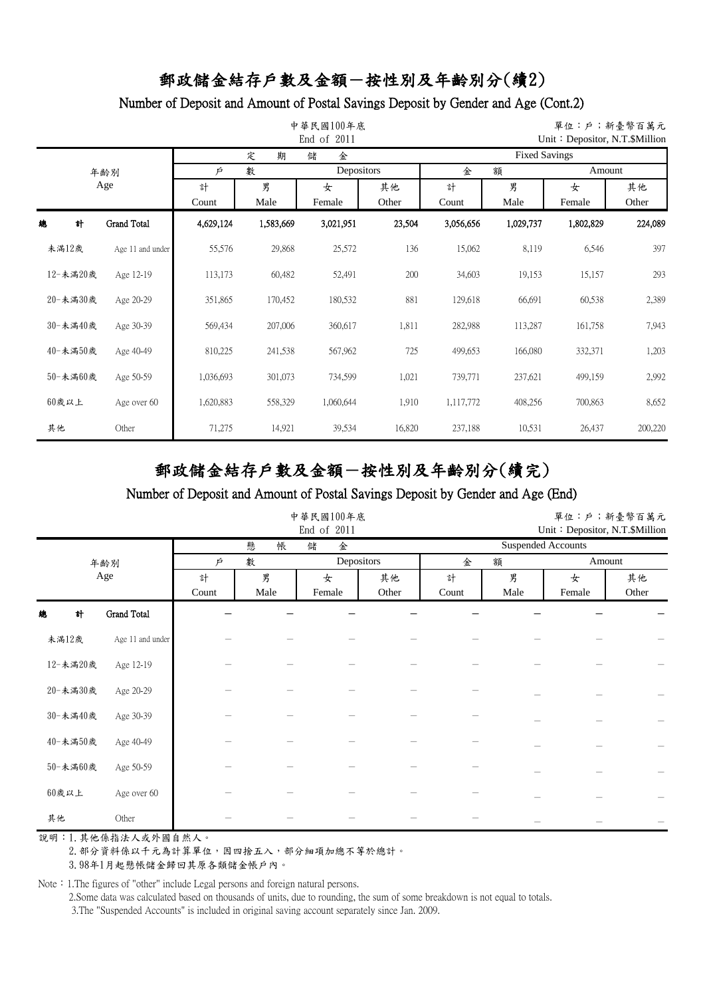### Number of Deposit and Amount of Postal Savings Deposit by Gender and Age (Cont.2)

|          |                    |                      |           | 中華民國100年底<br>End of 2011 |                  | 單位:戶;新臺幣百萬元<br>Unit: Depositor, N.T. \$Million |           |             |             |  |  |
|----------|--------------------|----------------------|-----------|--------------------------|------------------|------------------------------------------------|-----------|-------------|-------------|--|--|
|          |                    |                      | 期<br>定    | 儲<br>金                   |                  | <b>Fixed Savings</b>                           |           |             |             |  |  |
|          | 年齢別                | 數<br>Depositors<br>Þ |           |                          | 金<br>額<br>Amount |                                                |           |             |             |  |  |
|          | Age                | 計<br>Count           | 男<br>Male | 女<br>Female              | 其他<br>Other      | 計<br>Count                                     | 男<br>Male | 女<br>Female | 其他<br>Other |  |  |
| 總<br>計   | <b>Grand Total</b> | 4,629,124            | 1,583,669 | 3,021,951                | 23,504           | 3,056,656                                      | 1,029,737 | 1,802,829   | 224,089     |  |  |
| 未滿12歲    | Age 11 and under   | 55,576               | 29,868    | 25,572                   | 136              | 15,062                                         | 8,119     | 6,546       | 397         |  |  |
| 12-未滿20歲 | Age 12-19          | 113,173              | 60,482    | 52,491                   | 200              | 34,603                                         | 19,153    | 15,157      | 293         |  |  |
| 20-未満30歲 | Age 20-29          | 351,865              | 170,452   | 180,532                  | 881              | 129,618                                        | 66,691    | 60,538      | 2,389       |  |  |
| 30-未滿40歲 | Age 30-39          | 569,434              | 207,006   | 360,617                  | 1,811            | 282,988                                        | 113,287   | 161,758     | 7,943       |  |  |
| 40-未滿50歲 | Age 40-49          | 810,225              | 241,538   | 567,962                  | 725              | 499,653                                        | 166,080   | 332,371     | 1,203       |  |  |
| 50-未滿60歲 | Age 50-59          | 1,036,693            | 301,073   | 734,599                  | 1,021            | 739,771                                        | 237,621   | 499,159     | 2,992       |  |  |
| 60歲以上    | Age over 60        | 1,620,883            | 558,329   | 1,060,644                | 1,910            | 1,117,772                                      | 408,256   | 700,863     | 8,652       |  |  |
| 其他       | Other              | 71,275               | 14,921    | 39,534                   | 16,820           | 237,188                                        | 10,531    | 26,437      | 200,220     |  |  |

# 郵政儲金結存戶數及金額-按性別及年齡別分(續完)

#### Number of Deposit and Amount of Postal Savings Deposit by Gender and Age (End)

|          |                    |        |        | 中華民國100年底<br>End of 2011 | 單位:戶;新臺幣百萬元<br>Unit: Depositor, N.T.\$Million |                           |      |        |       |  |
|----------|--------------------|--------|--------|--------------------------|-----------------------------------------------|---------------------------|------|--------|-------|--|
|          |                    |        | 懸<br>帳 | 儲<br>金                   |                                               | <b>Suspended Accounts</b> |      |        |       |  |
|          | 年齢別                | 數<br>Þ |        | Depositors               |                                               | 金                         | 額    | Amount |       |  |
|          | Age                | 計      | 男      | 女                        | 其他                                            | 計                         | 男    | 女      | 其他    |  |
|          |                    | Count  | Male   | Female                   | Other                                         | Count                     | Male | Female | Other |  |
| 計<br>總   | <b>Grand Total</b> |        |        |                          |                                               |                           |      |        |       |  |
| 未滿12歲    | Age 11 and under   |        |        |                          |                                               |                           |      |        |       |  |
| 12-未満20歲 | Age 12-19          |        |        |                          |                                               |                           |      |        |       |  |
| 20-未満30歲 | Age 20-29          |        |        |                          |                                               |                           |      |        |       |  |
| 30-未滿40歲 | Age 30-39          |        |        |                          |                                               |                           |      |        |       |  |
| 40-未満50歲 | Age 40-49          |        |        |                          |                                               |                           |      |        |       |  |
| 50-未満60歲 | Age 50-59          |        |        |                          |                                               |                           |      |        |       |  |
| $60$ 歲以上 | Age over 60        |        |        |                          |                                               |                           |      |        |       |  |
| 其他       | Other              |        |        |                          |                                               |                           |      |        |       |  |

說明:1.其他係指法人或外國自然人。

2. 部分資料係以千元為計算單位,因四捨五入,部分細項加總不等於總計。

3.98年1月起懸帳儲金歸回其原各類儲金帳戶內。

Note: 1.The figures of "other" include Legal persons and foreign natural persons.

2.Some data was calculated based on thousands of units, due to rounding, the sum of some breakdown is not equal to totals.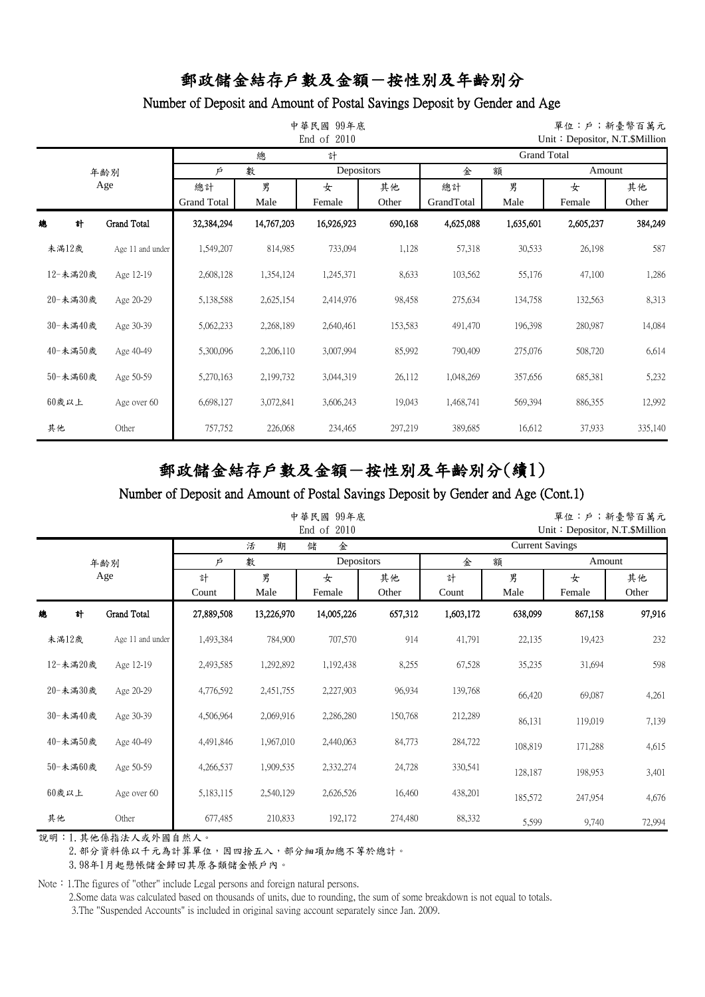## Number of Deposit and Amount of Postal Savings Deposit by Gender and Age

|          |          |                    |                          |            | 中華民國<br>99年底<br>End of 2010 |             | 單位:戶;新臺幣百萬元<br>Unit: Depositor, N.T. $$$ Million |           |             |             |  |  |
|----------|----------|--------------------|--------------------------|------------|-----------------------------|-------------|--------------------------------------------------|-----------|-------------|-------------|--|--|
|          |          |                    |                          | 總          | 計                           |             | <b>Grand Total</b>                               |           |             |             |  |  |
|          |          | 年齢別                | Þ                        | 數          | Depositors                  |             | 額<br>金<br>Amount                                 |           |             |             |  |  |
|          |          | Age                | 總計<br><b>Grand Total</b> | 男<br>Male  | 女<br>Female                 | 其他<br>Other | 總計<br>GrandTotal                                 | 男<br>Male | 女<br>Female | 其他<br>Other |  |  |
| 總        | 計        | <b>Grand Total</b> | 32,384,294               | 14,767,203 | 16,926,923                  | 690,168     | 4,625,088                                        | 1,635,601 | 2,605,237   | 384,249     |  |  |
|          | 未満12歲    | Age 11 and under   | 1,549,207                | 814,985    | 733,094                     | 1,128       | 57,318                                           | 30,533    | 26,198      | 587         |  |  |
|          | 12-未滿20歲 | Age 12-19          | 2,608,128                | 1,354,124  | 1,245,371                   | 8,633       | 103,562                                          | 55,176    | 47,100      | 1,286       |  |  |
|          | 20-未満30歲 | Age 20-29          | 5,138,588                | 2,625,154  | 2,414,976                   | 98,458      | 275,634                                          | 134,758   | 132,563     | 8,313       |  |  |
|          | 30-未滿40歲 | Age 30-39          | 5,062,233                | 2,268,189  | 2,640,461                   | 153,583     | 491,470                                          | 196,398   | 280,987     | 14,084      |  |  |
|          | 40-未滿50歲 | Age 40-49          | 5,300,096                | 2,206,110  | 3,007,994                   | 85,992      | 790,409                                          | 275,076   | 508,720     | 6,614       |  |  |
|          | 50-未滿60歲 | Age 50-59          | 5,270,163                | 2,199,732  | 3,044,319                   | 26,112      | 1,048,269                                        | 357,656   | 685,381     | 5,232       |  |  |
| $60$ 歲以上 |          | Age over 60        | 6,698,127                | 3,072,841  | 3,606,243                   | 19,043      | 1,468,741                                        | 569,394   | 886,355     | 12,992      |  |  |
| 其他       |          | Other              | 757,752                  | 226,068    | 234,465                     | 297,219     | 389,685                                          | 16,612    | 37,933      | 335,140     |  |  |

# 郵政儲金結存戶數及金額-按性別及年齡別分(續1)

#### Number of Deposit and Amount of Postal Savings Deposit by Gender and Age (Cont.1)

|          |                    |            |            | 中華民國 99年底<br>End of<br>2010 |             | 單位:戶;新臺幣百萬元<br>Unit: Depositor, N.T. \$Million |           |             |             |  |  |
|----------|--------------------|------------|------------|-----------------------------|-------------|------------------------------------------------|-----------|-------------|-------------|--|--|
|          |                    |            | 期<br>活     | 儲<br>金                      |             | <b>Current Savings</b>                         |           |             |             |  |  |
|          | 年齢別                | Þ          | 數          | Depositors                  |             | 金                                              | 額         |             | Amount      |  |  |
|          | Age                | 計<br>Count | 男<br>Male  | 女<br>Female                 | 其他<br>Other | 計<br>Count                                     | 男<br>Male | 女<br>Female | 其他<br>Other |  |  |
| 計<br>總   | <b>Grand Total</b> | 27,889,508 | 13,226,970 | 14,005,226                  | 657,312     | 1,603,172                                      | 638,099   | 867,158     | 97,916      |  |  |
| 未滿12歲    | Age 11 and under   | 1,493,384  | 784,900    | 707,570                     | 914         | 41,791                                         | 22,135    | 19,423      | 232         |  |  |
| 12-未滿20歲 | Age 12-19          | 2,493,585  | 1,292,892  | 1,192,438                   | 8,255       | 67,528                                         | 35,235    | 31,694      | 598         |  |  |
| 20-未満30歲 | Age 20-29          | 4,776,592  | 2,451,755  | 2,227,903                   | 96,934      | 139,768                                        | 66,420    | 69,087      | 4,261       |  |  |
| 30-未滿40歲 | Age 30-39          | 4,506,964  | 2,069,916  | 2,286,280                   | 150,768     | 212,289                                        | 86,131    | 119,019     | 7,139       |  |  |
| 40-未満50歲 | Age 40-49          | 4,491,846  | 1,967,010  | 2,440,063                   | 84,773      | 284,722                                        | 108,819   | 171,288     | 4,615       |  |  |
| 50-未満60歲 | Age 50-59          | 4,266,537  | 1,909,535  | 2,332,274                   | 24,728      | 330,541                                        | 128,187   | 198,953     | 3,401       |  |  |
| $60$ 歲以上 | Age over 60        | 5,183,115  | 2,540,129  | 2,626,526                   | 16,460      | 438,201                                        | 185,572   | 247,954     | 4,676       |  |  |
| 其他       | Other              | 677,485    | 210,833    | 192,172                     | 274,480     | 88,332                                         | 5,599     | 9,740       | 72,994      |  |  |

說明:1.其他係指法人或外國自然人。

2. 部分資料係以千元為計算單位,因四捨五入,部分細項加總不等於總計。

3.98年1月起懸帳儲金歸回其原各類儲金帳戶內。

Note: 1.The figures of "other" include Legal persons and foreign natural persons.

2.Some data was calculated based on thousands of units, due to rounding, the sum of some breakdown is not equal to totals.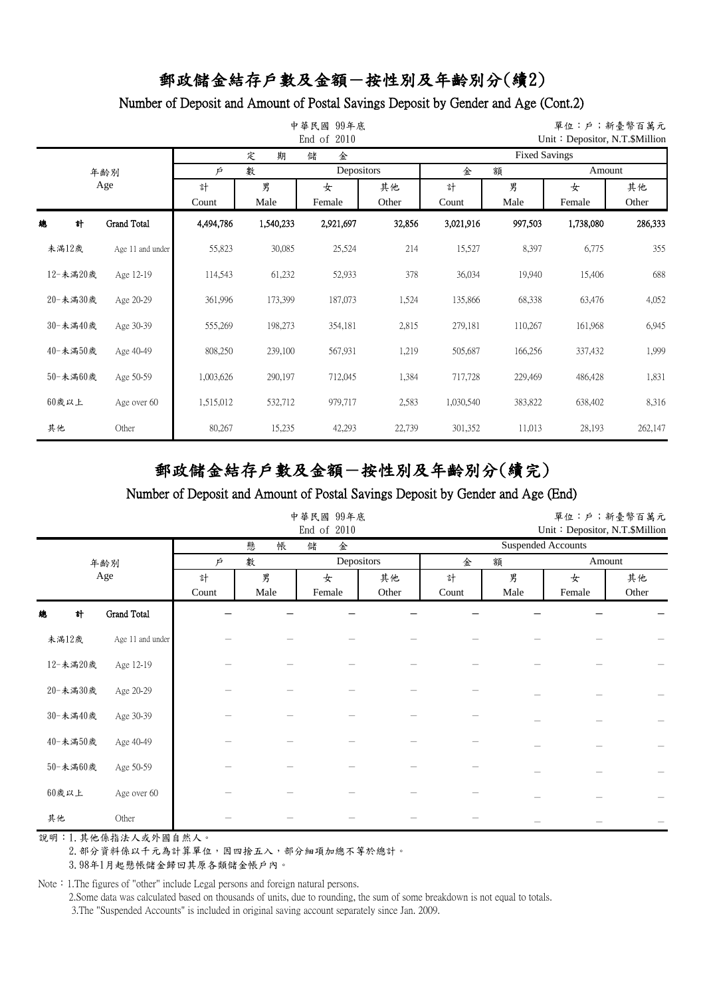### Number of Deposit and Amount of Postal Savings Deposit by Gender and Age (Cont.2)

| 中華民國 99年底<br>End of 2010<br>Unit: Depositor, N.T. \$Million |          |                    |                      |           |             |                  |                      |           |             | 單位:戶;新臺幣百萬元 |  |  |
|-------------------------------------------------------------|----------|--------------------|----------------------|-----------|-------------|------------------|----------------------|-----------|-------------|-------------|--|--|
|                                                             |          |                    |                      | 期<br>定    | 儲<br>金      |                  | <b>Fixed Savings</b> |           |             |             |  |  |
|                                                             |          | 年齢別                | Depositors<br>數<br>Þ |           |             | 金<br>額<br>Amount |                      |           |             |             |  |  |
|                                                             |          | Age                | 計<br>Count           | 男<br>Male | 女<br>Female | 其他<br>Other      | 計<br>Count           | 男<br>Male | 女<br>Female | 其他<br>Other |  |  |
| 總                                                           | 計        | <b>Grand Total</b> | 4,494,786            | 1,540,233 | 2,921,697   | 32,856           | 3,021,916            | 997,503   | 1,738,080   | 286,333     |  |  |
| 未満12歲                                                       |          | Age 11 and under   | 55,823               | 30,085    | 25,524      | 214              | 15,527               | 8,397     | 6,775       | 355         |  |  |
|                                                             | 12-未滿20歲 | Age 12-19          | 114,543              | 61,232    | 52,933      | 378              | 36,034               | 19,940    | 15,406      | 688         |  |  |
|                                                             | 20-未満30歲 | Age 20-29          | 361,996              | 173,399   | 187,073     | 1,524            | 135,866              | 68,338    | 63,476      | 4,052       |  |  |
|                                                             | 30-未滿40歲 | Age 30-39          | 555,269              | 198,273   | 354,181     | 2,815            | 279,181              | 110,267   | 161,968     | 6,945       |  |  |
|                                                             | 40-未滿50歲 | Age 40-49          | 808,250              | 239,100   | 567,931     | 1,219            | 505,687              | 166,256   | 337,432     | 1,999       |  |  |
|                                                             | 50-未滿60歲 | Age 50-59          | 1,003,626            | 290,197   | 712,045     | 1,384            | 717,728              | 229,469   | 486,428     | 1,831       |  |  |
| $60$ 歲以上                                                    |          | Age over 60        | 1,515,012            | 532,712   | 979,717     | 2,583            | 1,030,540            | 383,822   | 638,402     | 8,316       |  |  |
| 其他                                                          |          | Other              | 80,267               | 15,235    | 42,293      | 22,739           | 301,352              | 11,013    | 28,193      | 262,147     |  |  |

# 郵政儲金結存戶數及金額-按性別及年齡別分(續完)

#### Number of Deposit and Amount of Postal Savings Deposit by Gender and Age (End)

|          |                    |        |        | 中華民國 99年底<br>End of 2010 |       | 單位:戶;新臺幣百萬元<br>Unit: Depositor, N.T.\$Million |      |        |       |  |
|----------|--------------------|--------|--------|--------------------------|-------|-----------------------------------------------|------|--------|-------|--|
|          |                    |        | 懸<br>帳 | 儲<br>金                   |       | <b>Suspended Accounts</b>                     |      |        |       |  |
|          | 年齢別                | 數<br>Ŕ |        | Depositors               |       | 金                                             | 額    | Amount |       |  |
|          | Age                | 計      | 男      | 女                        | 其他    | 計                                             | 男    | 女      | 其他    |  |
|          |                    | Count  | Male   | Female                   | Other | Count                                         | Male | Female | Other |  |
| 計<br>總   | <b>Grand Total</b> |        |        |                          |       |                                               |      |        |       |  |
| 未滿12歲    | Age 11 and under   |        |        |                          |       |                                               |      |        |       |  |
| 12-未満20歲 | Age 12-19          |        |        |                          |       |                                               |      |        |       |  |
| 20-未満30歲 | Age 20-29          |        |        |                          |       |                                               |      |        |       |  |
| 30-未満40歲 | Age 30-39          |        |        |                          |       |                                               |      |        |       |  |
| 40-未満50歲 | Age 40-49          |        |        |                          |       |                                               |      |        |       |  |
| 50-未満60歲 | Age 50-59          |        |        |                          |       |                                               |      |        |       |  |
| $60$ 歲以上 | Age over 60        |        |        |                          |       |                                               |      |        |       |  |
| 其他       | Other              |        |        |                          |       |                                               |      |        |       |  |

說明:1.其他係指法人或外國自然人。

2. 部分資料係以千元為計算單位,因四捨五入,部分細項加總不等於總計。

3.98年1月起懸帳儲金歸回其原各類儲金帳戶內。

Note: 1.The figures of "other" include Legal persons and foreign natural persons.

2.Some data was calculated based on thousands of units, due to rounding, the sum of some breakdown is not equal to totals.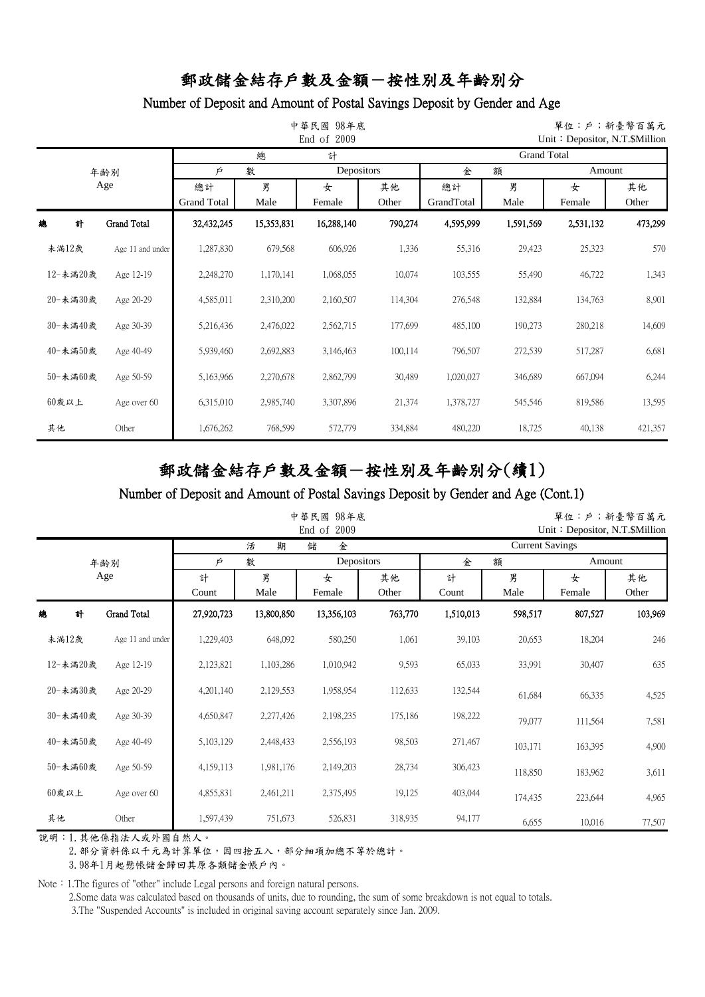## Number of Deposit and Amount of Postal Savings Deposit by Gender and Age

|          |                    |                          |            | 中華民國 98年底<br>End of 2009 |                                 | 單位:戶;新臺幣百萬元<br>Unit: Depositor, N.T. \$Million |           |             |             |  |  |
|----------|--------------------|--------------------------|------------|--------------------------|---------------------------------|------------------------------------------------|-----------|-------------|-------------|--|--|
|          |                    |                          | 總          | 計                        |                                 | <b>Grand Total</b>                             |           |             |             |  |  |
|          | 年齢別                | 數<br>Þ                   |            |                          | Depositors                      |                                                | 額         | Amount      |             |  |  |
|          | Age                | 總計<br><b>Grand Total</b> | 男<br>Male  | 女<br>Female              | 其他<br>總計<br>GrandTotal<br>Other |                                                | 男<br>Male | 女<br>Female | 其他<br>Other |  |  |
| 總<br>計   | <b>Grand Total</b> | 32,432,245               | 15,353,831 | 16,288,140               | 790,274                         | 4,595,999                                      | 1,591,569 | 2,531,132   | 473,299     |  |  |
| 未滿12歲    | Age 11 and under   | 1,287,830                | 679,568    | 606,926                  | 1,336                           | 55,316                                         | 29,423    | 25,323      | 570         |  |  |
| 12-未滿20歲 | Age 12-19          | 2,248,270                | 1,170,141  | 1,068,055                | 10,074                          | 103,555                                        | 55,490    | 46,722      | 1,343       |  |  |
| 20-未滿30歲 | Age 20-29          | 4,585,011                | 2,310,200  | 2,160,507                | 114,304                         | 276,548                                        | 132,884   | 134,763     | 8,901       |  |  |
| 30-未滿40歲 | Age 30-39          | 5,216,436                | 2,476,022  | 2,562,715                | 177,699                         | 485,100                                        | 190,273   | 280,218     | 14,609      |  |  |
| 40-未滿50歲 | Age 40-49          | 5,939,460                | 2,692,883  | 3,146,463                | 100,114                         | 796,507                                        | 272,539   | 517,287     | 6,681       |  |  |
| 50-未滿60歲 | Age 50-59          | 5,163,966                | 2,270,678  | 2,862,799                | 30,489                          | 1,020,027                                      | 346,689   | 667,094     | 6,244       |  |  |
| $60$ 歲以上 | Age over 60        | 6,315,010                | 2,985,740  | 3,307,896                | 21,374                          | 1,378,727                                      | 545,546   | 819,586     | 13,595      |  |  |
| 其他       | Other              | 1,676,262                | 768,599    | 572,779                  | 334,884                         | 480,220                                        | 18,725    | 40,138      | 421,357     |  |  |

# 郵政儲金結存戶數及金額-按性別及年齡別分(續1)

#### Number of Deposit and Amount of Postal Savings Deposit by Gender and Age (Cont.1)

|          |                    |            |            | 中華民國<br>98年底<br>End of<br>2009 |             | 單位:戶;新臺幣百萬元<br>Unit: Depositor, N.T. \$Million |           |             |         |  |
|----------|--------------------|------------|------------|--------------------------------|-------------|------------------------------------------------|-----------|-------------|---------|--|
|          |                    |            | 期<br>活     | 儲<br>金                         |             | <b>Current Savings</b>                         |           |             |         |  |
|          | 年齢別                | Þ          | 數          | Depositors                     |             | 金<br>額                                         |           | Amount      |         |  |
|          | Age                | 計<br>Count | 男<br>Male  | 女<br>Female                    | 其他<br>Other | 計<br>Count                                     | 男<br>Male | 女<br>Female |         |  |
| 計<br>總   | <b>Grand Total</b> | 27,920,723 | 13,800,850 | 13,356,103                     | 763,770     | 1,510,013                                      | 598,517   | 807,527     | 103,969 |  |
| 未滿12歲    | Age 11 and under   | 1,229,403  | 648,092    | 580,250                        | 1,061       | 39,103                                         | 20,653    | 18,204      | 246     |  |
| 12-未滿20歲 | Age 12-19          | 2,123,821  | 1,103,286  | 1,010,942                      | 9,593       | 65,033                                         | 33,991    | 30,407      | 635     |  |
| 20-未滿30歲 | Age 20-29          | 4,201,140  | 2,129,553  | 1,958,954                      | 112,633     | 132,544                                        | 61,684    | 66,335      | 4,525   |  |
| 30-未滿40歲 | Age 30-39          | 4,650,847  | 2,277,426  | 2,198,235                      | 175,186     | 198,222                                        | 79,077    | 111,564     | 7,581   |  |
| 40-未滿50歲 | Age 40-49          | 5,103,129  | 2,448,433  | 2,556,193                      | 98,503      | 271,467                                        | 103,171   | 163,395     | 4,900   |  |
| 50-未滿60歲 | Age 50-59          | 4,159,113  | 1,981,176  | 2,149,203                      | 28,734      | 306,423                                        | 118,850   | 183,962     | 3,611   |  |
| 60歲以上    | Age over 60        | 4,855,831  | 2,461,211  | 2,375,495                      | 19,125      | 403,044                                        | 174,435   | 223,644     | 4,965   |  |
| 其他       | Other              | 1,597,439  | 751,673    | 526,831                        | 318,935     | 94,177                                         | 6,655     | 10,016      | 77,507  |  |

說明:1.其他係指法人或外國自然人。

2. 部分資料係以千元為計算單位,因四捨五入,部分細項加總不等於總計。

3.98年1月起懸帳儲金歸回其原各類儲金帳戶內。

Note: 1.The figures of "other" include Legal persons and foreign natural persons.

2.Some data was calculated based on thousands of units, due to rounding, the sum of some breakdown is not equal to totals.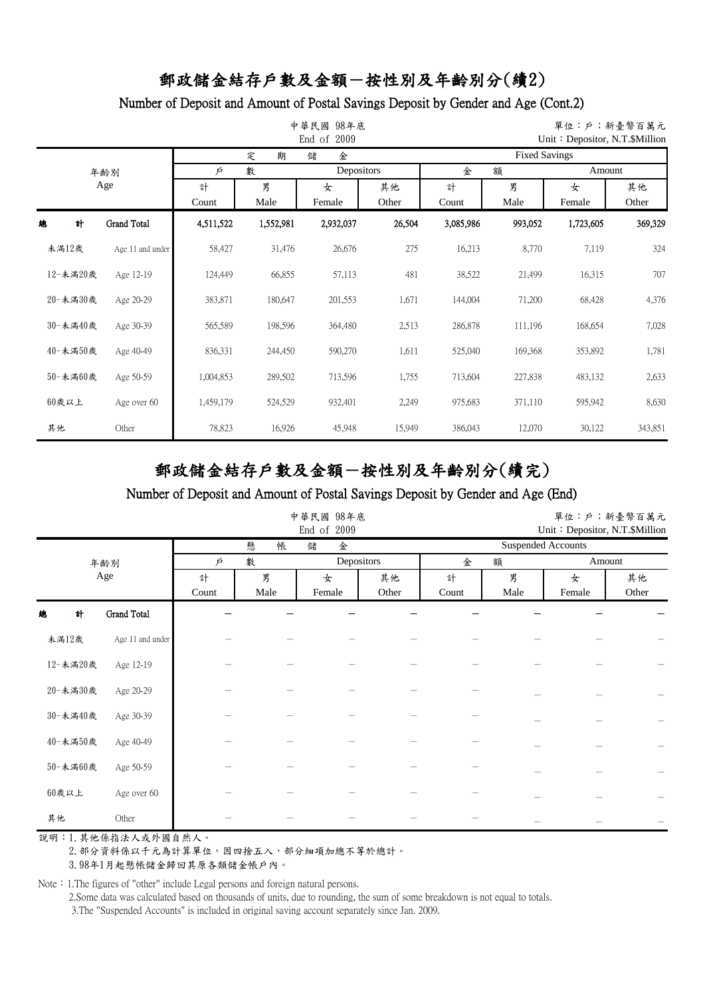### Number of Deposit and Amount of Postal Savings Deposit by Gender and Age (Cont.2)

|    |          |                    |                      |           | 中華民國 98年底<br>End of 2009   |                  | 單位:戶;新臺幣百萬元<br>Unit: Depositor, N.T.\$Million |                      |             |             |  |
|----|----------|--------------------|----------------------|-----------|----------------------------|------------------|-----------------------------------------------|----------------------|-------------|-------------|--|
|    |          |                    |                      | 定<br>期    | 儲<br>金                     |                  |                                               | <b>Fixed Savings</b> |             |             |  |
|    |          | 年齢別                | 數<br>Depositors<br>Þ |           |                            | 金<br>額<br>Amount |                                               |                      |             |             |  |
|    |          | Age                | 計<br>Count           | 男<br>Male | 其他<br>女<br>Female<br>Other |                  | 計<br>Count                                    | 男<br>Male            | 女<br>Female | 其他<br>Other |  |
| 總  | 計        | <b>Grand Total</b> | 4,511,522            | 1,552,981 | 2,932,037                  | 26,504           | 3,085,986                                     | 993,052              | 1,723,605   | 369,329     |  |
|    | 未滿12歲    | Age 11 and under   | 58,427               | 31,476    | 26,676                     | 275              | 16,213                                        | 8,770                | 7,119       | 324         |  |
|    | 12-未滿20歲 | Age 12-19          | 124,449              | 66,855    | 57,113                     | 481              | 38,522                                        | 21,499               | 16,315      | 707         |  |
|    | 20-未満30歲 | Age 20-29          | 383,871              | 180,647   | 201,553                    | 1,671            | 144,004                                       | 71,200               | 68,428      | 4,376       |  |
|    | 30-未滿40歲 | Age 30-39          | 565,589              | 198,596   | 364,480                    | 2,513            | 286,878                                       | 111,196              | 168,654     | 7,028       |  |
|    | 40-未満50歲 | Age 40-49          | 836,331              | 244,450   | 590,270                    | 1,611            | 525,040                                       | 169,368              | 353,892     | 1,781       |  |
|    | 50-未滿60歲 | Age 50-59          | 1,004,853            | 289,502   | 713,596                    | 1,755            | 713,604                                       | 227,838              | 483,132     | 2,633       |  |
|    | $60$ 歲以上 | Age over 60        | 1,459,179            | 524,529   | 932,401                    | 2,249            | 975,683                                       | 371,110              | 595,942     | 8,630       |  |
| 其他 |          | Other              | 78,823               | 16,926    | 45,948                     | 15,949           | 386,043                                       | 12,070               | 30,122      | 343,851     |  |

# 郵政儲金結存戶數及金額-按性別及年齡別分(續完)

#### Number of Deposit and Amount of Postal Savings Deposit by Gender and Age (End)

|          |                    |        |        | 中華民國 98年底<br>End of 2009 |       | 單位:戶;新臺幣百萬元<br>Unit: Depositor, N.T.\$Million |      |        |       |  |
|----------|--------------------|--------|--------|--------------------------|-------|-----------------------------------------------|------|--------|-------|--|
|          |                    |        | 懸<br>帳 | 儲<br>金                   |       | <b>Suspended Accounts</b>                     |      |        |       |  |
|          | 年齢別                | 數<br>Ŕ |        | Depositors               |       | 額<br>金                                        |      | Amount |       |  |
|          | Age                | 計      | 男      | 女                        | 其他    | 計                                             | 男    | 女      | 其他    |  |
|          |                    | Count  | Male   | Female                   | Other | Count                                         | Male | Female | Other |  |
| 計<br>總   | <b>Grand Total</b> |        |        |                          |       |                                               |      |        |       |  |
| 未滿12歲    | Age 11 and under   |        |        |                          |       |                                               |      |        |       |  |
| 12-未満20歲 | Age 12-19          |        |        |                          |       |                                               |      |        |       |  |
| 20-未満30歲 | Age 20-29          |        |        |                          |       |                                               |      |        |       |  |
| 30-未満40歲 | Age 30-39          |        |        |                          |       |                                               |      |        |       |  |
| 40-未満50歲 | Age 40-49          |        |        |                          |       |                                               |      |        |       |  |
| 50-未満60歲 | Age 50-59          |        |        |                          |       |                                               |      |        |       |  |
| $60$ 歲以上 | Age over 60        |        |        |                          |       |                                               |      |        |       |  |
| 其他       | Other              |        |        |                          |       |                                               |      |        |       |  |

說明:1.其他係指法人或外國自然人。

2. 部分資料係以千元為計算單位,因四捨五入,部分細項加總不等於總計。

3.98年1月起懸帳儲金歸回其原各類儲金帳戶內。

Note: 1.The figures of "other" include Legal persons and foreign natural persons.

2.Some data was calculated based on thousands of units, due to rounding, the sum of some breakdown is not equal to totals.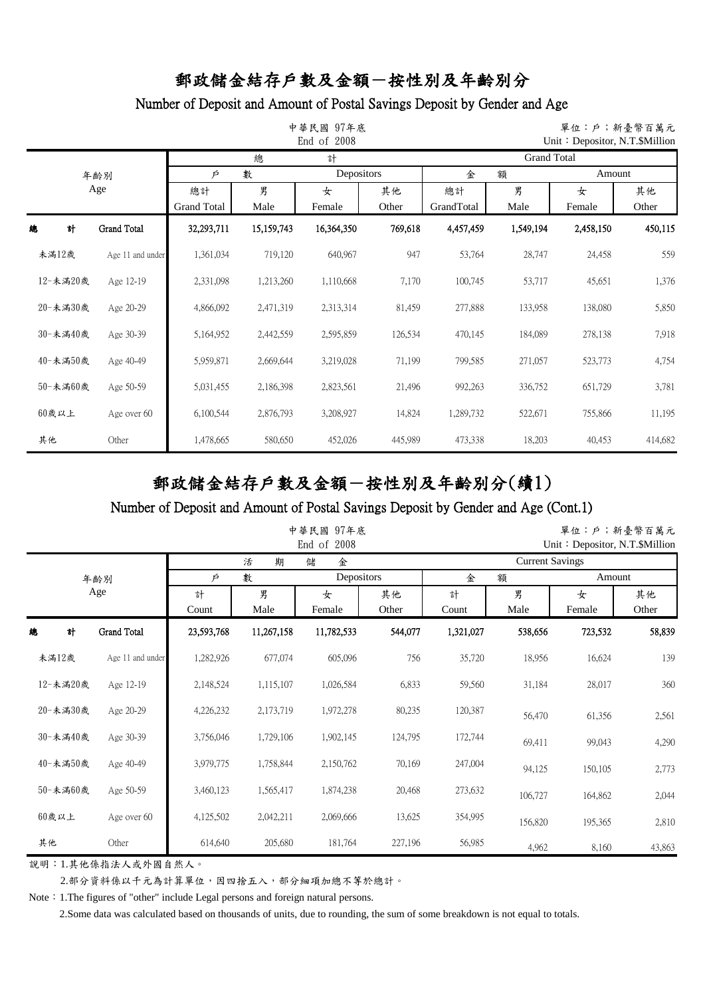## Number of Deposit and Amount of Postal Savings Deposit by Gender and Age

|       |          |                    |                    |            | 中華民國 97年底<br>End of 2008 |         | 單位:戶;新臺幣百萬元<br>Unit: Depositor, N.T.\$Million |           |           |         |  |  |
|-------|----------|--------------------|--------------------|------------|--------------------------|---------|-----------------------------------------------|-----------|-----------|---------|--|--|
|       |          |                    |                    | 總          | 計                        |         | <b>Grand Total</b>                            |           |           |         |  |  |
|       |          | 年齢別                | 數<br>Þ             |            | Depositors               |         | 金                                             | 額         | Amount    |         |  |  |
|       |          | Age                | 總計                 | 男          | 女                        | 其他      | 總計                                            | 男         | 女         | 其他      |  |  |
|       |          |                    | <b>Grand Total</b> | Male       | Female                   | Other   | GrandTotal                                    | Male      | Female    | Other   |  |  |
| 總     | 計        | <b>Grand Total</b> | 32,293,711         | 15,159,743 | 16,364,350               | 769,618 | 4,457,459                                     | 1,549,194 | 2,458,150 | 450,115 |  |  |
| 未満12歲 |          | Age 11 and under   | 1,361,034          | 719,120    | 640,967                  | 947     | 53,764                                        | 28,747    | 24,458    | 559     |  |  |
|       | 12-未滿20歲 | Age 12-19          | 2,331,098          | 1,213,260  | 1,110,668                | 7,170   | 100,745                                       | 53,717    | 45,651    | 1,376   |  |  |
|       | 20-未満30歲 | Age 20-29          | 4,866,092          | 2,471,319  | 2,313,314                | 81,459  | 277,888                                       | 133,958   | 138,080   | 5,850   |  |  |
|       | 30-未満40歲 | Age 30-39          | 5,164,952          | 2,442,559  | 2,595,859                | 126,534 | 470,145                                       | 184,089   | 278,138   | 7,918   |  |  |
|       | 40-未満50歲 | Age 40-49          | 5,959,871          | 2,669,644  | 3,219,028                | 71,199  | 799,585                                       | 271,057   | 523,773   | 4,754   |  |  |
|       | 50-未満60歲 | Age 50-59          | 5,031,455          | 2,186,398  | 2,823,561                | 21,496  | 992,263                                       | 336,752   | 651,729   | 3,781   |  |  |
| 60歲以上 |          | Age over 60        | 6,100,544          | 2,876,793  | 3,208,927                | 14,824  | 1,289,732                                     | 522,671   | 755,866   | 11,195  |  |  |
| 其他    |          | Other              | 1,478,665          | 580,650    | 452,026                  | 445,989 | 473,338                                       | 18,203    | 40,453    | 414,682 |  |  |

# 郵政儲金結存戶數及金額-按性別及年齡別分(續1)

#### Number of Deposit and Amount of Postal Savings Deposit by Gender and Age (Cont.1)

|          |          |                  |            |            | 中華民國 97年底<br>End of 2008 |             | 單位:戶;新臺幣百萬元<br>Unit: Depositor, N.T. \$Million |         |             |             |  |
|----------|----------|------------------|------------|------------|--------------------------|-------------|------------------------------------------------|---------|-------------|-------------|--|
|          |          |                  |            | 期<br>活     | 儲<br>金                   |             | <b>Current Savings</b>                         |         |             |             |  |
|          |          | 年齢別              | Þ          | 數          | Depositors               |             | 金                                              | 額       | Amount      |             |  |
|          |          | Age              | 計<br>Count | 男<br>Male  | 女<br>Female              | 其他<br>Other | 男<br>計<br>Male<br>Count                        |         | 女<br>Female | 其他<br>Other |  |
| 總        | 計        | Grand Total      | 23,593,768 | 11,267,158 | 11,782,533               | 544,077     | 1,321,027                                      | 538,656 | 723,532     | 58,839      |  |
| 未満12歲    |          | Age 11 and under | 1,282,926  | 677,074    | 605,096                  | 756         | 35,720                                         | 18,956  | 16,624      | 139         |  |
|          | 12-未滿20歲 | Age 12-19        | 2,148,524  | 1,115,107  | 1,026,584                | 6,833       | 59,560                                         | 31,184  | 28,017      | 360         |  |
|          | 20-未満30歲 | Age 20-29        | 4,226,232  | 2,173,719  | 1,972,278                | 80,235      | 120,387                                        | 56,470  | 61,356      | 2,561       |  |
|          | 30-未満40歲 | Age 30-39        | 3,756,046  | 1,729,106  | 1,902,145                | 124,795     | 172,744                                        | 69,411  | 99,043      | 4,290       |  |
|          | 40-未滿50歲 | Age 40-49        | 3,979,775  | 1,758,844  | 2,150,762                | 70,169      | 247,004                                        | 94,125  | 150,105     | 2,773       |  |
|          | 50-未満60歲 | Age 50-59        | 3,460,123  | 1,565,417  | 1,874,238                | 20,468      | 273,632                                        | 106,727 | 164,862     | 2,044       |  |
| $60$ 歲以上 |          | Age over 60      | 4,125,502  | 2,042,211  | 2,069,666                | 13,625      | 354,995                                        | 156,820 | 195,365     | 2,810       |  |
| 其他       |          | Other            | 614,640    | 205,680    | 181,764                  | 227,196     | 56,985                                         | 4,962   | 8,160       | 43,863      |  |

說明:1.其他係指法人或外國自然人。

2.部分資料係以千元為計算單位,因四捨五入,部分細項加總不等於總計。

Note: 1.The figures of "other" include Legal persons and foreign natural persons.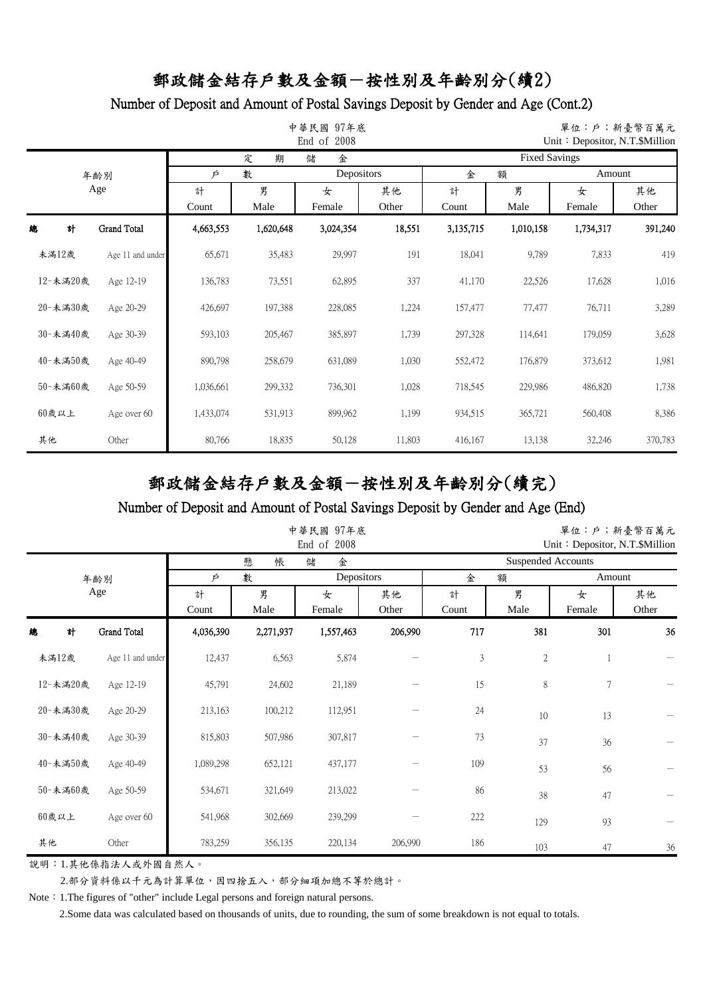## Number of Deposit and Amount of Postal Savings Deposit by Gender and Age (Cont.2)

|          |                  |                      |           | 中華民國<br>97年底<br>End of 2008 |        | 單位:戶;新臺幣百萬元<br>Unit: Depositor, N.T. \$Million |           |           |         |  |  |
|----------|------------------|----------------------|-----------|-----------------------------|--------|------------------------------------------------|-----------|-----------|---------|--|--|
|          |                  |                      | 定<br>期    | 金<br>儲                      |        | <b>Fixed Savings</b>                           |           |           |         |  |  |
|          | 年齡別              | Depositors<br>數<br>Þ |           |                             |        | Amount<br>金<br>額                               |           |           |         |  |  |
|          | Age              | 計                    | 男         | 女                           | 其他     | 計                                              | 男<br>女    |           | 其他      |  |  |
|          |                  | Count                | Male      | Female                      | Other  | Count                                          | Male      | Female    | Other   |  |  |
| 總<br>計   | Grand Total      | 4,663,553            | 1,620,648 | 3,024,354                   | 18,551 | 3,135,715                                      | 1,010,158 | 1,734,317 | 391,240 |  |  |
| 未満12歲    | Age 11 and under | 65,671               | 35,483    | 29,997                      | 191    | 18,041                                         | 9,789     | 7,833     | 419     |  |  |
| 12-未滿20歲 | Age 12-19        | 136,783              | 73,551    | 62,895                      | 337    | 41,170                                         | 22,526    | 17,628    | 1,016   |  |  |
| 20-未満30歲 | Age 20-29        | 426,697              | 197,388   | 228,085                     | 1,224  | 157,477                                        | 77,477    | 76,711    | 3,289   |  |  |
| 30-未滿40歲 | Age 30-39        | 593,103              | 205,467   | 385,897                     | 1,739  | 297,328                                        | 114,641   | 179,059   | 3,628   |  |  |
| 40-未満50歲 | Age 40-49        | 890,798              | 258,679   | 631,089                     | 1,030  | 552,472                                        | 176,879   | 373,612   | 1,981   |  |  |
| 50-未満60歲 | Age 50-59        | 1,036,661            | 299,332   | 736,301                     | 1,028  | 718,545                                        | 229,986   | 486,820   | 1,738   |  |  |
| 60歲以上    | Age over 60      | 1,433,074            | 531,913   | 899,962                     | 1,199  | 934,515                                        | 365,721   | 560,408   | 8,386   |  |  |
| 其他       | Other            | 80,766               | 18,835    | 50,128                      | 11,803 | 416,167                                        | 13,138    | 32,246    | 370,783 |  |  |

# 郵政儲金結存戶數及金額-按性別及年齡別分(續完)

#### Number of Deposit and Amount of Postal Savings Deposit by Gender and Age (End)

|          |                  |            |           | 中華民國 97年底<br>End of 2008 |             | 單位:戶;新臺幣百萬元<br>Unit: Depositor, N.T. \$Million |            |             |             |  |
|----------|------------------|------------|-----------|--------------------------|-------------|------------------------------------------------|------------|-------------|-------------|--|
|          |                  |            | 懸<br>帳    | 金<br>儲                   |             | <b>Suspended Accounts</b>                      |            |             |             |  |
|          | 年齡別              | P          | 數         | Depositors               |             | 金                                              | 額          | Amount      |             |  |
|          | Age              | 計<br>Count | 男<br>Male | 女<br>Female              | 其他<br>Other | 計<br>Count                                     | 男<br>Male  | 女<br>Female | 其他<br>Other |  |
| 總<br>計   | Grand Total      | 4,036,390  | 2,271,937 | 1,557,463                | 206,990     | 717                                            | 381        | 301         | 36          |  |
| 未滿12歲    | Age 11 and under | 12,437     | 6,563     | 5,874                    |             | $\mathfrak z$                                  | $\sqrt{2}$ |             |             |  |
| 12-未滿20歲 | Age 12-19        | 45,791     | 24,602    | 21,189                   |             | 15                                             | 8          | 7           |             |  |
| 20-未満30歲 | Age 20-29        | 213,163    | 100,212   | 112,951                  |             | 24                                             | 10         | 13          |             |  |
| 30-未満40歲 | Age 30-39        | 815,803    | 507,986   | 307,817                  |             | 73                                             | 37         | 36          |             |  |
| 40-未滿50歲 | Age 40-49        | 1,089,298  | 652,121   | 437,177                  |             | 109                                            | 53         | 56          |             |  |
| 50-未満60歲 | Age 50-59        | 534,671    | 321,649   | 213,022                  |             | 86                                             | 38         | 47          |             |  |
| $60$ 歲以上 | Age over 60      | 541,968    | 302,669   | 239,299                  |             | 222                                            | 129        | 93          |             |  |
| 其他       | Other            | 783,259    | 356,135   | 220,134                  | 206,990     | 186                                            | 103        | 47          | 36          |  |

說明:1.其他係指法人或外國自然人。

2.部分資料係以千元為計算單位,因四捨五入,部分細項加總不等於總計。

Note: 1.The figures of "other" include Legal persons and foreign natural persons.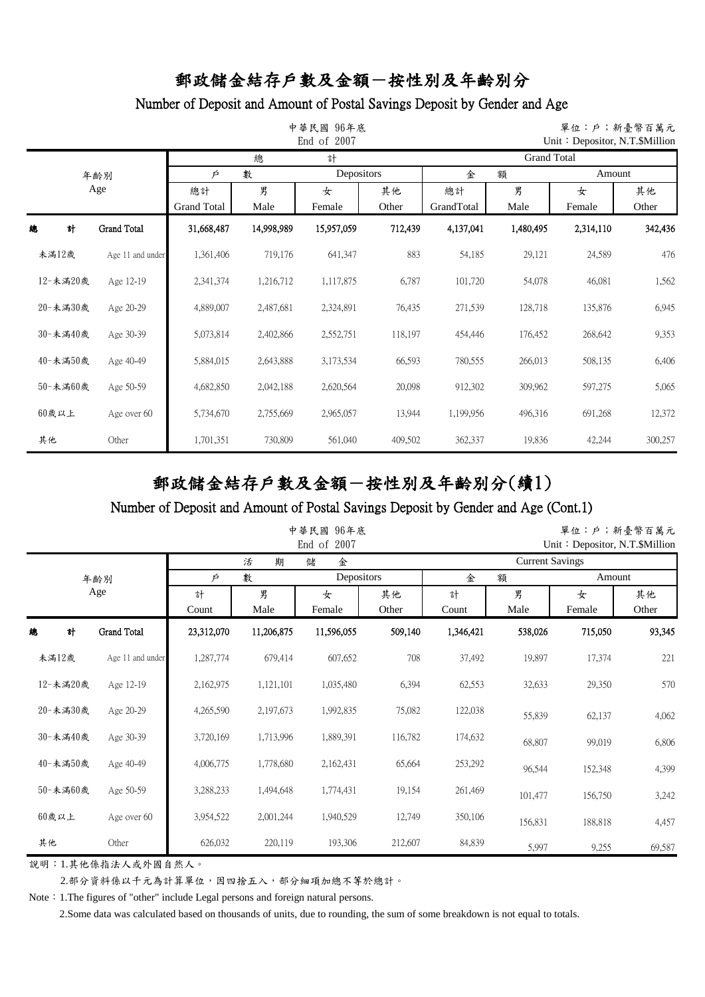## Number of Deposit and Amount of Postal Savings Deposit by Gender and Age

|    |          |                    |             |            | 中華民國 96年底<br>End of 2007 |         | 單位:戶;新臺幣百萬元<br>Unit: Depositor, N.T.\$Million |                |           |         |  |  |
|----|----------|--------------------|-------------|------------|--------------------------|---------|-----------------------------------------------|----------------|-----------|---------|--|--|
|    |          |                    |             | 總          | 計                        |         | <b>Grand Total</b>                            |                |           |         |  |  |
|    |          | 年齢別                | 數<br>Þ      |            | Depositors               |         | 金<br>額                                        |                | Amount    |         |  |  |
|    | Age      |                    | 總計          | 男          | 女                        | 其他      | 總計                                            | 男              | 女         | 其他      |  |  |
|    |          |                    | Grand Total | Male       | Female                   | Other   | GrandTotal                                    | Male<br>Female |           | Other   |  |  |
| 總  | 計        | <b>Grand Total</b> | 31,668,487  | 14,998,989 | 15,957,059               | 712,439 | 4,137,041                                     | 1,480,495      | 2,314,110 | 342,436 |  |  |
|    | 未満12歲    | Age 11 and under   | 1,361,406   | 719,176    | 641,347                  | 883     | 54,185                                        | 29,121         | 24,589    | 476     |  |  |
|    | 12-未滿20歲 | Age 12-19          | 2,341,374   | 1,216,712  | 1,117,875                | 6,787   | 101,720                                       | 54,078         | 46,081    | 1,562   |  |  |
|    | 20-未満30歲 | Age 20-29          | 4,889,007   | 2,487,681  | 2,324,891                | 76,435  | 271,539                                       | 128,718        | 135,876   | 6,945   |  |  |
|    | 30-未滿40歲 | Age 30-39          | 5,073,814   | 2,402,866  | 2,552,751                | 118,197 | 454,446                                       | 176,452        | 268,642   | 9,353   |  |  |
|    | 40-未満50歲 | Age 40-49          | 5,884,015   | 2,643,888  | 3,173,534                | 66,593  | 780,555                                       | 266,013        | 508,135   | 6,406   |  |  |
|    | 50-未満60歲 | Age 50-59          | 4,682,850   | 2,042,188  | 2,620,564                | 20,098  | 912,302                                       | 309,962        | 597,275   | 5,065   |  |  |
|    | 60歲以上    | Age over 60        | 5,734,670   | 2,755,669  | 2,965,057                | 13,944  | 1,199,956                                     | 496,316        | 691,268   | 12,372  |  |  |
| 其他 |          | Other              | 1,701,351   | 730,809    | 561,040                  | 409,502 | 362,337                                       | 19,836         | 42,244    | 300,257 |  |  |

# 郵政儲金結存戶數及金額-按性別及年齡別分(續1)

#### Number of Deposit and Amount of Postal Savings Deposit by Gender and Age (Cont.1)

|          |   |                    |            |            | 中華民國<br>96年底<br>End of 2007 |             | 單位:戶;新臺幣百萬元<br>Unit: Depositor, N.T. \$Million |           |             |        |  |
|----------|---|--------------------|------------|------------|-----------------------------|-------------|------------------------------------------------|-----------|-------------|--------|--|
|          |   |                    |            | 活<br>期     | 金<br>儲                      |             | <b>Current Savings</b>                         |           |             |        |  |
|          |   | 年齢別                | Þ          | 數          | Depositors                  |             | 額<br>金<br>Amount                               |           |             |        |  |
|          |   | Age                | 計<br>Count | 男<br>Male  | 女<br>Female                 | 其他<br>Other | 計<br>Count                                     | 男<br>Male | 女<br>Female |        |  |
| 總        | 計 | <b>Grand Total</b> | 23,312,070 | 11,206,875 | 11,596,055                  | 509,140     | 1,346,421                                      | 538,026   | 715,050     | 93,345 |  |
| 未満12歲    |   | Age 11 and under   | 1,287,774  | 679,414    | 607,652                     | 708         | 37,492                                         | 19,897    | 17,374      | 221    |  |
| 12-未滿20歲 |   | Age 12-19          | 2,162,975  | 1,121,101  | 1,035,480                   | 6,394       | 62,553                                         | 32,633    | 29,350      | 570    |  |
| 20-未満30歲 |   | Age 20-29          | 4,265,590  | 2,197,673  | 1,992,835                   | 75,082      | 122,038                                        | 55,839    | 62,137      | 4,062  |  |
| 30-未滿40歲 |   | Age 30-39          | 3,720,169  | 1,713,996  | 1,889,391                   | 116,782     | 174,632                                        | 68,807    | 99,019      | 6,806  |  |
| 40-未滿50歲 |   | Age 40-49          | 4,006,775  | 1,778,680  | 2,162,431                   | 65,664      | 253,292                                        | 96,544    | 152,348     | 4,399  |  |
| 50-未満60歲 |   | Age 50-59          | 3,288,233  | 1,494,648  | 1,774,431                   | 19,154      | 261,469                                        | 101,477   | 156,750     | 3,242  |  |
| $60$ 歲以上 |   | Age over 60        | 3,954,522  | 2,001,244  | 1,940,529                   | 12,749      | 350,106                                        | 156,831   | 188,818     | 4,457  |  |
| 其他       |   | Other              | 626,032    | 220,119    | 193,306                     | 212,607     | 84,839                                         | 5,997     | 9,255       | 69,587 |  |

說明:1.其他係指法人或外國自然人。

2.部分資料係以千元為計算單位,因四捨五入,部分細項加總不等於總計。

Note: 1.The figures of "other" include Legal persons and foreign natural persons.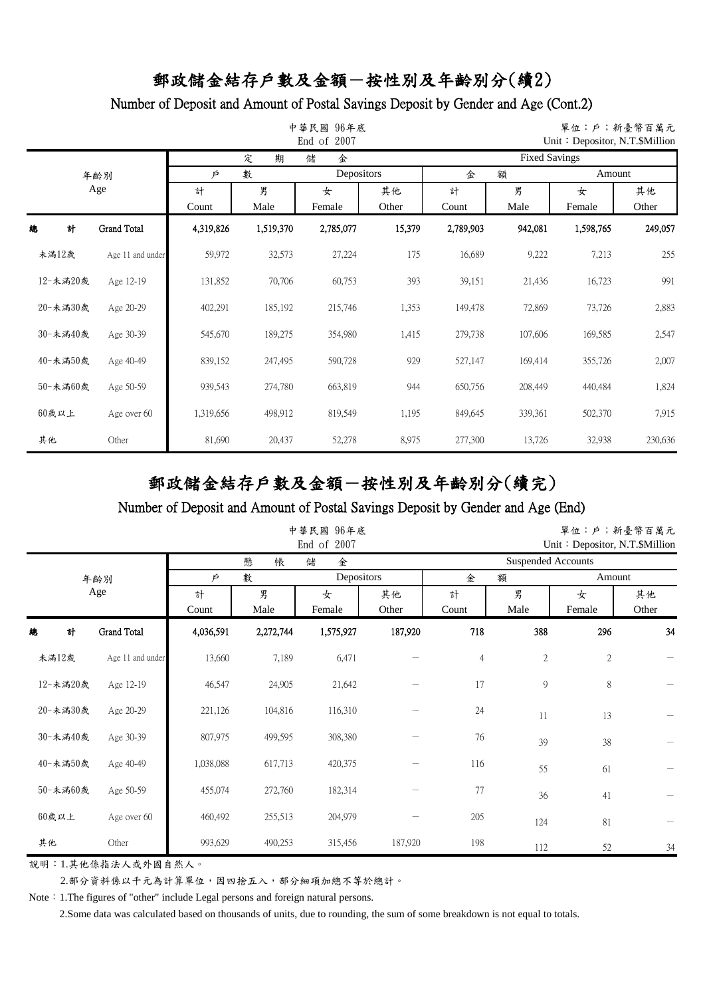## Number of Deposit and Amount of Postal Savings Deposit by Gender and Age (Cont.2)

|          |                  |                      |           | 中華民國<br>96年底<br>End of 2007 |        | 單位:戶;新臺幣百萬元<br>Unit: Depositor, N.T.\$Million |         |           |         |  |  |
|----------|------------------|----------------------|-----------|-----------------------------|--------|-----------------------------------------------|---------|-----------|---------|--|--|
|          |                  |                      | 定<br>期    | 金<br>儲                      |        | <b>Fixed Savings</b>                          |         |           |         |  |  |
|          | 年齡別              | Depositors<br>數<br>Þ |           |                             |        | Amount<br>金<br>額                              |         |           |         |  |  |
|          | Age              | 計                    | 男         | 女                           | 其他     | 計                                             | 男<br>女  |           | 其他      |  |  |
|          |                  | Count                | Male      | Female                      | Other  | Count                                         | Male    | Female    | Other   |  |  |
| 總<br>計   | Grand Total      | 4,319,826            | 1,519,370 | 2,785,077                   | 15,379 | 2,789,903                                     | 942,081 | 1,598,765 | 249,057 |  |  |
| 未滿12歲    | Age 11 and under | 59,972               | 32,573    | 27,224                      | 175    | 16,689                                        | 9,222   | 7,213     | 255     |  |  |
| 12-未滿20歲 | Age 12-19        | 131,852              | 70,706    | 60,753                      | 393    | 39,151                                        | 21,436  | 16,723    | 991     |  |  |
| 20-未満30歲 | Age 20-29        | 402,291              | 185,192   | 215,746                     | 1,353  | 149,478                                       | 72,869  | 73,726    | 2,883   |  |  |
| 30-未滿40歲 | Age 30-39        | 545,670              | 189,275   | 354,980                     | 1,415  | 279,738                                       | 107,606 | 169,585   | 2,547   |  |  |
| 40-未滿50歲 | Age 40-49        | 839,152              | 247,495   | 590,728                     | 929    | 527,147                                       | 169,414 | 355,726   | 2,007   |  |  |
| 50-未満60歲 | Age 50-59        | 939,543              | 274,780   | 663,819                     | 944    | 650,756                                       | 208,449 | 440,484   | 1,824   |  |  |
| 60歲以上    | Age over 60      | 1,319,656            | 498,912   | 819,549                     | 1,195  | 849,645                                       | 339,361 | 502,370   | 7,915   |  |  |
| 其他       | Other            | 81,690               | 20,437    | 52,278                      | 8,975  | 277,300                                       | 13,726  | 32,938    | 230,636 |  |  |

# 郵政儲金結存戶數及金額-按性別及年齡別分(續完)

#### Number of Deposit and Amount of Postal Savings Deposit by Gender and Age (End)

|          |     |                  |                    |                   | 中華民國 96年底<br>End of 2007 |                  | 單位:戶;新臺幣百萬元<br>Unit: Depositor, N.T. \$Million |              |                |             |  |
|----------|-----|------------------|--------------------|-------------------|--------------------------|------------------|------------------------------------------------|--------------|----------------|-------------|--|
|          |     |                  |                    | 懸<br>帳            | 金<br>儲                   |                  | <b>Suspended Accounts</b>                      |              |                |             |  |
|          | 年齡別 |                  | P                  | 數                 | Depositors               |                  | 金                                              | 額            | Amount         |             |  |
|          | Age |                  | 計                  | 男                 | 女                        | 其他               | 計                                              | 男            | 女              | 其他          |  |
| 總        | 計   | Grand Total      | Count<br>4,036,591 | Male<br>2,272,744 | Female<br>1,575,927      | Other<br>187,920 | Count<br>718                                   | Male<br>388  | Female<br>296  | Other<br>34 |  |
| 未滿12歲    |     | Age 11 and under | 13,660             | 7,189             | 6,471                    |                  | $\overline{4}$                                 | $\mathbf{2}$ | $\overline{2}$ |             |  |
| 12-未滿20歲 |     | Age 12-19        | 46,547             | 24,905            | 21,642                   |                  | 17                                             | 9            | 8              |             |  |
| 20-未満30歲 |     | Age 20-29        | 221,126            | 104,816           | 116,310                  |                  | 24                                             | 11           | 13             |             |  |
| 30-未満40歲 |     | Age 30-39        | 807,975            | 499,595           | 308,380                  |                  | 76                                             | 39           | 38             |             |  |
| 40-未滿50歲 |     | Age 40-49        | 1,038,088          | 617,713           | 420,375                  |                  | 116                                            | 55           | 61             |             |  |
| 50-未満60歲 |     | Age 50-59        | 455,074            | 272,760           | 182,314                  |                  | 77                                             | 36           | 41             |             |  |
| $60$ 歲以上 |     | Age over 60      | 460,492            | 255,513           | 204,979                  |                  | 205                                            | 124          | 81             |             |  |
| 其他       |     | Other            | 993,629            | 490,253           | 315,456                  | 187,920          | 198                                            | 112          | 52             | 34          |  |

說明:1.其他係指法人或外國自然人。

2.部分資料係以千元為計算單位,因四捨五入,部分細項加總不等於總計。

Note: 1.The figures of "other" include Legal persons and foreign natural persons.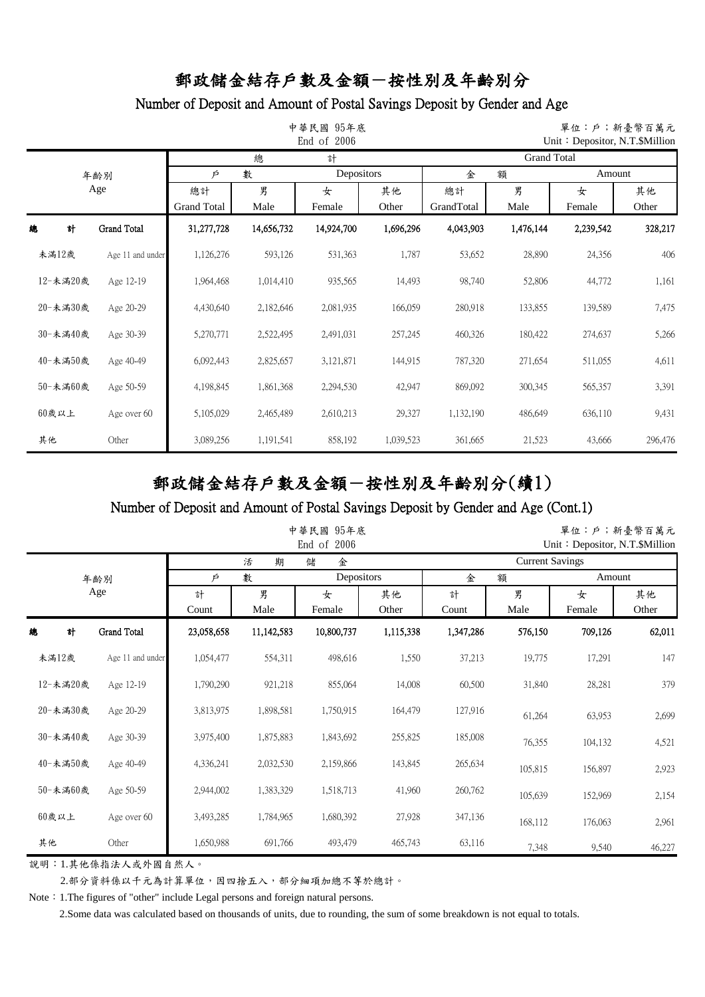## Number of Deposit and Amount of Postal Savings Deposit by Gender and Age

|            |                  |                    | 中華民國<br>95年底<br>End of 2006 |            |           |            |                    | 單位:戶;新臺幣百萬元<br>Unit: Depositor, N.T. \$Million |         |  |  |  |
|------------|------------------|--------------------|-----------------------------|------------|-----------|------------|--------------------|------------------------------------------------|---------|--|--|--|
| 總<br>計     |                  |                    |                             |            |           |            | <b>Grand Total</b> |                                                |         |  |  |  |
| 年齢別<br>Age |                  | 數<br>Þ             |                             | Depositors |           | 額<br>金     |                    | Amount                                         |         |  |  |  |
|            |                  | 總計                 | 男                           | 女          | 其他        | 總計         | 男                  | 女                                              | 其他      |  |  |  |
|            |                  | <b>Grand Total</b> | Male                        | Female     | Other     | GrandTotal | Male               | Female                                         | Other   |  |  |  |
| 總          | 計<br>Grand Total | 31,277,728         | 14,656,732                  | 14,924,700 | 1,696,296 | 4,043,903  | 1,476,144          | 2,239,542                                      | 328,217 |  |  |  |
| 未滿12歲      | Age 11 and under | 1,126,276          | 593,126                     | 531,363    | 1,787     | 53,652     | 28,890             | 24,356                                         | 406     |  |  |  |
| 12-未滿20歲   | Age 12-19        | 1,964,468          | 1,014,410                   | 935,565    | 14,493    | 98,740     | 52,806             | 44,772                                         | 1,161   |  |  |  |
| 20-未満30歲   | Age 20-29        | 4,430,640          | 2,182,646                   | 2,081,935  | 166,059   | 280,918    | 133,855            | 139,589                                        | 7,475   |  |  |  |
| 30-未滿40歲   | Age 30-39        | 5,270,771          | 2,522,495                   | 2,491,031  | 257,245   | 460,326    | 180,422            | 274,637                                        | 5,266   |  |  |  |
| 40-未滿50歲   | Age 40-49        | 6,092,443          | 2,825,657                   | 3,121,871  | 144,915   | 787,320    | 271,654            | 511,055                                        | 4,611   |  |  |  |
| 50-未満60歲   | Age 50-59        | 4,198,845          | 1,861,368                   | 2,294,530  | 42,947    | 869,092    | 300,345            | 565,357                                        | 3,391   |  |  |  |
| 60歲以上      | Age over 60      | 5,105,029          | 2,465,489                   | 2,610,213  | 29,327    | 1,132,190  | 486,649            | 636,110                                        | 9,431   |  |  |  |
| 其他         | Other            | 3,089,256          | 1,191,541                   | 858,192    | 1,039,523 | 361,665    | 21,523             | 43,666                                         | 296,476 |  |  |  |

# 郵政儲金結存戶數及金額-按性別及年齡別分(續1)

#### Number of Deposit and Amount of Postal Savings Deposit by Gender and Age (Cont.1)

|                  |   |                      |            |             | 中華民國 95年底<br>End of 2006 |                  | 單位:戶;新臺幣百萬元<br>Unit: Depositor, N.T. \$Million |             |             |        |  |  |
|------------------|---|----------------------|------------|-------------|--------------------------|------------------|------------------------------------------------|-------------|-------------|--------|--|--|
| 活<br>期<br>金<br>儲 |   |                      |            |             |                          |                  | <b>Current Savings</b>                         |             |             |        |  |  |
| 年齢別<br>Age       |   | 數<br>Depositors<br>Þ |            |             |                          | 金<br>額<br>Amount |                                                |             |             |        |  |  |
|                  |   | 計<br>Count           | 男<br>Male  | 女<br>Female | 其他<br>Other              | 計<br>Count       | 男<br>Male                                      | 女<br>Female | 其他<br>Other |        |  |  |
| 總                | 計 | <b>Grand Total</b>   | 23,058,658 | 11,142,583  | 10,800,737               | 1,115,338        | 1,347,286                                      | 576,150     | 709,126     | 62,011 |  |  |
| 未満12歲            |   | Age 11 and under     | 1,054,477  | 554,311     | 498,616                  | 1,550            | 37,213                                         | 19,775      | 17,291      | 147    |  |  |
| 12-未滿20歲         |   | Age 12-19            | 1,790,290  | 921,218     | 855,064                  | 14,008           | 60,500                                         | 31,840      | 28,281      | 379    |  |  |
| 20-未満30歲         |   | Age 20-29            | 3,813,975  | 1,898,581   | 1,750,915                | 164,479          | 127,916                                        | 61,264      | 63,953      | 2,699  |  |  |
| 30-未滿40歲         |   | Age 30-39            | 3,975,400  | 1,875,883   | 1,843,692                | 255,825          | 185,008                                        | 76,355      | 104,132     | 4,521  |  |  |
| 40-未滿50歲         |   | Age 40-49            | 4,336,241  | 2,032,530   | 2,159,866                | 143,845          | 265,634                                        | 105,815     | 156,897     | 2,923  |  |  |
| 50-未満60歲         |   | Age 50-59            | 2,944,002  | 1,383,329   | 1,518,713                | 41,960           | 260,762                                        | 105,639     | 152,969     | 2,154  |  |  |
| $60$ 歲以上         |   | Age over 60          | 3,493,285  | 1,784,965   | 1,680,392                | 27,928           | 347,136                                        | 168,112     | 176,063     | 2,961  |  |  |
| 其他               |   | Other                | 1,650,988  | 691,766     | 493,479                  | 465,743          | 63,116                                         | 7,348       | 9,540       | 46,227 |  |  |

說明:1.其他係指法人或外國自然人。

2.部分資料係以千元為計算單位,因四捨五入,部分細項加總不等於總計。

Note: 1.The figures of "other" include Legal persons and foreign natural persons.